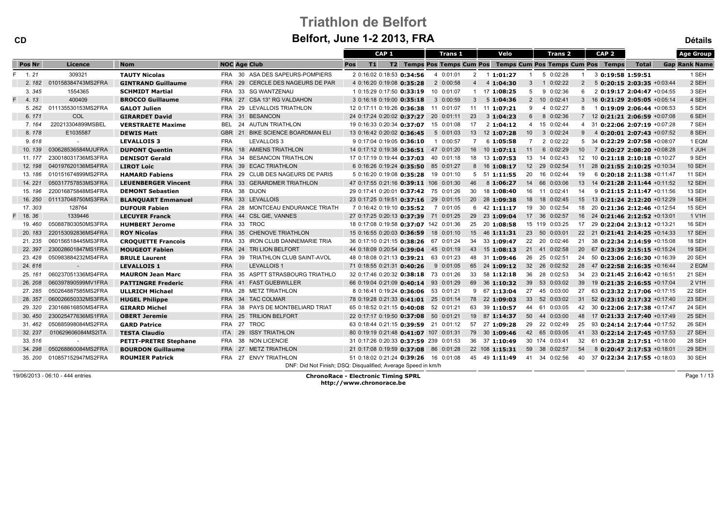| <b>CD</b>     |                    | Beltort, June 1-2 2013, FRA  |                                             |                                                               |                             |                                           |                                                              |                                                          |                      |  |  |
|---------------|--------------------|------------------------------|---------------------------------------------|---------------------------------------------------------------|-----------------------------|-------------------------------------------|--------------------------------------------------------------|----------------------------------------------------------|----------------------|--|--|
|               |                    |                              |                                             | CAP <sub>1</sub>                                              | <b>Trans 1</b>              | Velo                                      | CAP <sub>2</sub><br><b>Trans 2</b>                           |                                                          | <b>Age Group</b>     |  |  |
| <b>Pos Nr</b> | Licence            | <b>Nom</b>                   | <b>NOC Age Club</b>                         | Pos<br>T1                                                     |                             |                                           | T2 Temps Pos Temps Cum Pos Temps Cum Pos Temps Cum Pos Temps | <b>Total</b>                                             | <b>Gap Rank Name</b> |  |  |
| 1.21          | 309321             | <b>TAUTY Nicolas</b>         | FRA 30 ASA DES SAPEURS-POMPIERS             | 2 0:16:02 0:18:53 0:34:56                                     | 4 0:01:01<br>$\overline{2}$ | 11:01:27<br>$\mathbf{1}$                  | 5 0:02:28<br>3 0:19:58 1:59:51                               |                                                          | 1 SEH                |  |  |
| 2.182         | 010158384743MS2FRA | <b>GINTRAND Guillaume</b>    | CERCLE DES NAGEURS DE PAR<br><b>FRA</b> 29  | 4 0:16:20 0:19:08 0:35:28                                     | 2 0:00:58<br>$\overline{4}$ | 4 1:04:30<br>3                            | 1 0:02:22<br>$\overline{2}$                                  | 5 0:20:15 2:03:35 +0:03:44                               | 2 SEH                |  |  |
| 3.345         | 1554365            | <b>SCHMIDT Martial</b>       | FRA 33 SG WANTZENAU                         | 1 0:15:29 0:17:50 0:33:19                                     | 10 0:01:07                  | $5^{\circ}$<br>$1 \quad 17 \quad 1:08:25$ | 9 0:02:36<br>6                                               | 2 0:19:17 2:04:47 +0:04:55                               | 3 SEH                |  |  |
| 4.13          | 400409             | <b>BROCCO Guillaume</b>      | FRA 27 CSA 13° RG VALDAHON                  | 3 0:16:18 0:19:00 0:35:18                                     | 3 0:00:59<br>3 <sup>1</sup> | 51:04:36                                  | 2 10 0:02:41                                                 | 3 16 0:21:29 2:05:05 +0:05:14                            | 4 SEH                |  |  |
| 5.262         | 011135530153MS2FRA | <b>GALOT Julien</b>          | FRA 29 LEVALLOIS TRIATHLON                  | 12 0:17:11 0:19:26 0:36:38 11 0:01:07                         |                             | 11 11 1:07:21<br>9                        | 4 0:02:27                                                    | 8 1 0:19:09 2:06:44 +0:06:53                             | 5 SEH                |  |  |
| 6.171         | COL                | <b>GIRARDET David</b>        | <b>BESANCON</b><br><b>FRA 31</b>            | 24 0:17:24 0:20:02 0:37:27 20 0:01:11                         | 23                          | 31:04:23<br>$6^{\circ}$                   | 8 0:02:36                                                    | 7 12 0:21:21 2:06:59 +0:07:08                            | 6 SEH                |  |  |
| 7.164         | 220213304899MSBEL  | <b>VERSTRAETE Maxime</b>     | 24 AUTUN TRIATHLON<br>BEL                   | 19 0:16:33 0:20:34 0:37:07                                    | 15 0:01:08<br>17            | 21:04:12                                  | 4 15 0:02:44                                                 | 4 31 0:22:06 2:07:19 +0:07:28                            | 7 SEH                |  |  |
| 8.178         | E1035587           | <b>DEWIS Matt</b>            | GBR 21 BIKE SCIENCE BOARDMAN ELI            | 13 0:16:42 0:20:02 0:36:45                                    | 5 0:01:03                   | 13 12 1:07:28                             | 10 3 0:02:24<br>9                                            | 4 0:20:01 2:07:43 +0:07:52                               | 8 SEH                |  |  |
| 9.618         |                    | <b>LEVALLOIS 3</b>           | <b>FRA</b><br>LEVALLOIS 3                   | 9 0:17:04 0:19:05 0:36:10                                     | 1 0:00:57<br>$\overline{7}$ | 6 1:05:58<br>$7^{\circ}$                  | 2 0:02:22                                                    | 5 34 0:22:29 2:07:58 +0:08:07                            | 1 EQM                |  |  |
| 10.139        | 030628536584MJUFRA | <b>DUPONT Quentin</b>        | FRA 18 AMIENS TRIATHLON                     | 14 0:17:12 0:19:38 0:36:51 47 0:01:20                         |                             | 16 10 1:07:11<br>11                       | 6 0:02:29<br>10 <sup>1</sup>                                 | 7 0:20:27 2:08:20 +0:08:28                               | 1 JUH                |  |  |
| 11.177        | 230018031736MS3FRA | <b>DENISOT Gerald</b>        | FRA 34 BESANCON TRIATHLON                   | 17 0:17:19 0:19:44 0:37:03 40 0:01:18                         | 18                          | 13 1:07:53                                | 13 14 0:02:43                                                | 12 10 0:21:18 2:10:18 +0:10:27                           | 9 SEH                |  |  |
| 12.198        | 040197620136MS4FRA | <b>LIROT Loic</b>            | FRA 39 ECAC TRIATHLON                       | 6 0:16:26 0:19:24 0:35:50 85 0:01:27                          |                             | 8 16 1:08:17                              | 12 29 0:02:54                                                | $11 \quad 28 \quad 0:21:55 \quad 2:10:25 \quad +0:10:34$ | 10 SEH               |  |  |
| 13.186        | 010151674899MS2FRA | <b>HAMARD Fabiens</b>        | FRA 29 CLUB DES NAGEURS DE PARIS            | 5 0:16:20 0:19:08 0:35:28 19 0:01:10                          |                             | 20<br>$5\quad 51$ 1:11:55                 | 16 0:02:44<br>19                                             | 6 0:20:18 2:11:38 +0:11:47                               | <b>11 SEH</b>        |  |  |
| 14.221        | 050317757853MS3FRA | <b>LEUENBERGER Vincent</b>   | <b>FRA 33</b><br><b>GERARDMER TRIATHLON</b> | 47 0:17:55 0:21:16 0:39:11 106 0:01:30                        | 46                          | 8 1:06:27                                 | 14 66 0:03:06<br>13                                          | 14 0:21:28 2:11:44 +0:11:52                              | 12 SEH               |  |  |
| 15.196        | 220016875848MS4FRA | <b>DEMONT Sebastien</b>      | FRA 38 DIJON                                | 29 0:17:41 0:20:01 0:37:42 75 0:01:26                         | 30                          | 18 1:08:40                                | 16 11 0:02:41<br>14                                          | $9$ 0:21:15 2:11:47 +0:11:56                             | 13 SEH               |  |  |
| 16.250        | 011137048750MS3FRA | <b>BLANQUART Emmanuel</b>    | FRA 33 LEVALLOIS                            | 23 0:17:25 0:19:51 0:37:16 29 0:01:15                         |                             | 20 28 1:09:38                             | 18  18  0:02:45                                              | $15$ $13$ <b>0:21:24 2:12:20</b> $+0.12:29$              | 14 SEH               |  |  |
| 17.303        | 128764             | <b>DUFOUR Fabien</b>         | FRA 28 MONTCEAU ENDURANCE TRIATH            | 7 0:16:42 0:19:10 0:35:52                                     | 7 0:01:05                   | $6$ 42 1:11:17                            | 19 30 0:02:54                                                | 18 20 0:21:36 2:12:46 +0:12:54                           | 15 SEH               |  |  |
| 18.36         | 1339446            | <b>LECUYER Franck</b>        | FRA 44 CSL GIE, VANNES                      | 27 0:17:25 0:20:13 0:37:39 71 0:01:25                         |                             | 29 23 1:09:04                             | 17 36 0:02:57                                                | 16 24 0:21:46 2:12:52 +0:13:01                           | 1 V1H                |  |  |
| 19.460        | 050887803050MS3FRA | <b>HUMBERT Jerome</b>        | FRA 33 TROC                                 | 18 0:17:08 0:19:58 0:37:07 142 0:01:36                        |                             | 25 20 1:08:58                             | 15 119 0:03:25                                               | 17 29 0:22:04 2:13:12 +0:13:21                           | 16 SEH               |  |  |
| 20.183        | 220153092836MS4FRA | <b>ROY Nicolas</b>           | FRA 35 CHENOVE TRIATHLON                    | 15 0:16:55 0:20:03 0:36:59 18 0:01:10                         |                             | $15$ 46 <b>1:11:31</b>                    | 23 50 0:03:01                                                | 22 21 0:21:41 2:14:25 +0:14:33                           | 17 SEH               |  |  |
| 21.235        | 060156518445MS3FRA | <b>CROQUETTE Francois</b>    | FRA 33 IRON CLUB DANNEMARIE TRIA            | 36 0:17:10 0:21:15 0:38:26 67 0:01:24                         | 34                          | 33 1:09:47                                | 22 20 0:02:46                                                | 21 38 0:22:34 2:14:59 +0:15:08                           | 18 SEH               |  |  |
| 22.397        | 230028601847MS1FRA | <b>MOUGEOT Fabien</b>        | FRA 24 TRI LION BELFORT                     | 44 0:18:09 0:20:54 0:39:04 45 0:01:19                         |                             | 43 15 1:08:13                             | 21 41 0:02:58                                                | 20 67 0:23:39 2:15:15 +0:15:24                           | 19 SEH               |  |  |
| 23.428        | 050983884232MS4FRA | <b>BRULE Laurent</b>         | TRIATHLON CLUB SAINT-AVOL<br>FRA<br>- 39    | 48 0:18:08 0:21:13 0:39:21                                    | 63 0:01:23                  | 48 31 1:09:46                             | 26 25 0:02:51<br>24                                          | 50 0:23:06 2:16:30 +0:16:39                              | 20 SEH               |  |  |
| 24.616        | $\sim$             | <b>LEVALLOIS 1</b>           | <b>FRA</b><br><b>LEVALLOIS 1</b>            | 71 0:18:55 0:21:31 0:40:26                                    | 9 0:01:05                   | 65 24 1:09:12                             | 32 26 0:02:52                                                | 28 47 0:22:58 2:16:35 +0:16:44                           | 2 EQM                |  |  |
| 25.161        | 060237051336MS4FRA | <b>MAURON Jean Marc</b>      | FRA 35 ASPTT STRASBOURG TRIATHLO            | 32 0:17:46 0:20:32 0:38:18 73 0:01:26                         |                             | 33 58 1:12:18                             | 36 28 0:02:53                                                | 34 23 0:21:45 2:16:42 +0:16:51                           | 21 SEH               |  |  |
| 26.208        | 060397890599MV1FRA | <b>PATTINGRE Frederic</b>    | FRA 41 FAST GUEBWILLER                      | 66 0:19:04 0:21:09 0:40:14 93 0:01:29                         |                             | 69 36 1:10:32<br>39                       | 53 0:03:02<br>39                                             | 19 0:21:35 2:16:55 +0:17:04                              | 2 V1H                |  |  |
| 27.285        | 050264887585MS2FRA | <b>ULLRICH Michael</b>       | FRA 28 METZ TRIATHLON                       | 8 0:16:41 0:19:24 0:36:06 53 0:01:21                          |                             | $9 \t 67 \t 1:13:04$                      | 27 45 0:03:00                                                | 27 63 0:23:32 2:17:06 +0:17:15                           | 22 SEH               |  |  |
| 28.357        | 060026650332MS3FRA | <b>HUGEL Philippe</b>        | FRA 34 TAC COLMAR                           | 78 0:19:28 0:21:33 0:41:01 25 0:01:14                         |                             | 78 22 1:09:03                             | 33 52 0:03:02                                                | 31 52 0:23:10 2:17:32 +0:17:40                           | 23 SEH               |  |  |
| 29.320        | 230168616850MS4FRA | <b>GIRARD Michel</b>         | FRA 38 PAYS DE MONTBELIARD TRIAT            | 65 0:18:52 0:21:15 0:40:08 52 0:01:21                         |                             | 63 39 1:10:57<br>44                       | 61 0:03:05<br>42                                             | 30 0:22:06 2:17:38 +0:17:47                              | 24 SEH               |  |  |
| 30.450        | 230025477636MS1FRA | <b>OBERT Jeremie</b>         | FRA 25 TRILION BELFORT                      | 22 0:17:17 0:19:50 0:37:08 50 0:01:21                         |                             | 19 87 1:14:37                             | 50 44 0:03:00                                                | 48 17 0:21:33 2:17:40 +0:17:49                           | 25 SEH               |  |  |
| 31.462        | 050885998084MS2FRA | <b>GARD Patrice</b>          | FRA 27 TROC                                 | 63 0:18:44 0:21:15 0:39:59 21 0:01:12                         |                             | 57 27 1:09:28                             | 29 22 0:02:49<br>25                                          | $93$ 0:24:14 2:17:44 $+0.17:52$                          | 26 SEH               |  |  |
| 32.237        | 010629606084MS2ITA | <b>TESTA Claudio</b>         | ITA 29 ISSY TRIATHLON                       | 80 0:19:19 0:21:48 0:41:07 107 0:01:31                        |                             | 79 30 1:09:46                             | 42 65 0:03:05                                                | 41 33 0:22:14 2:17:45 +0:17:53                           | 27 SEH               |  |  |
| 33.516        |                    | <b>PETIT-PRETRE Stephane</b> | FRA 38 NON LICENCIE                         | 31 0:17:26 0:20:33 0:37:59 239 0:01:53                        |                             | 36 37 1:10:49                             | 30 174 0:03:41                                               | 32 61 0:23:28 2:17:51 +0:18:00                           | 28 SEH               |  |  |
| 34.298        | 050268860084MS2FRA | <b>BOURDON Guillaume</b>     | FRA 27 METZ TRIATHLON                       | 21 0:17:08 0:19:59 0:37:08 86 0:01:28                         |                             | 22 108 1:15:31                            | 59 38 0:02:57<br>54                                          | 8 0:20:47 2:17:53 +0:18:01                               | 29 SEH               |  |  |
| 35.200        | 010857152947MS2FRA | <b>ROUMIER Patrick</b>       | FRA 27 ENVY TRIATHLON                       | 51 0:18:02 0:21:24 0:39:26 16 0:01:08                         |                             | 45 49 1:11:49                             | 41 34 0:02:56<br>40                                          | 37 0:22:34 2:17:55 +0:18:03                              | 30 SEH               |  |  |
|               |                    |                              |                                             | DNF: Did Not Finish; DSQ: Disqualified; Average Speed in km/h |                             |                                           |                                                              |                                                          |                      |  |  |

19/06/2013 - 06:10 - 444 entries

 ChronoRace - Electronic Timing SPRLhttp://www.chronorace.be

Page 1 / 13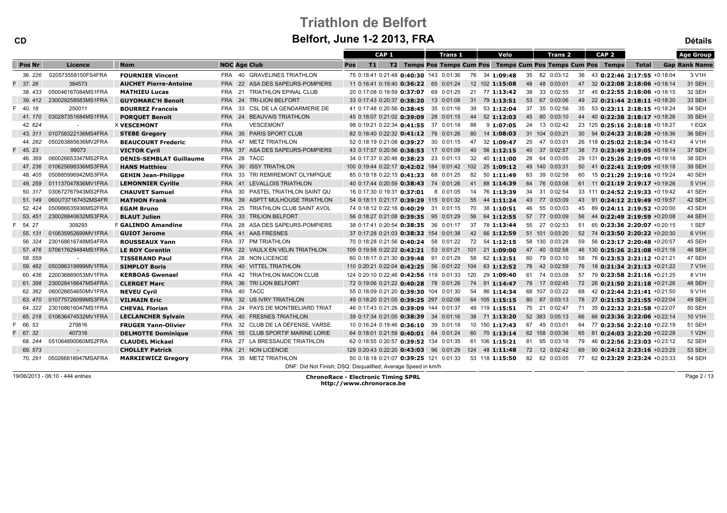|                         | 2 ZU13. FRA |  |  |  |      |  |         |  |                                                           |              |  | <b>Détails</b>       |  |
|-------------------------|-------------|--|--|--|------|--|---------|--|-----------------------------------------------------------|--------------|--|----------------------|--|
| CAP 1<br><b>Trans 1</b> |             |  |  |  | Velo |  | Trans 2 |  | CAP <sub>2</sub>                                          |              |  | <b>Age Group</b>     |  |
| T2                      |             |  |  |  |      |  |         |  | Temps Pos Temps Cum Pos Temps Cum Pos Temps Cum Pos Temps | <b>Total</b> |  | <b>Gap Rank Name</b> |  |

| Pos Nr  | Licence                    | <b>Nom</b>                     | <b>NOC Age Club</b> |                                                               | Pos<br>T1                               |                                              |  |     | T2 Temps Pos Temps Cum Pos Temps Cum Pos Temps Cum Pos Temps |    |                |     |                                 | <b>Total</b> | <b>Gap Rank Name</b> |
|---------|----------------------------|--------------------------------|---------------------|---------------------------------------------------------------|-----------------------------------------|----------------------------------------------|--|-----|--------------------------------------------------------------|----|----------------|-----|---------------------------------|--------------|----------------------|
| 36.226  | 020573558150FS4FRA         | <b>FOURNIER Vincent</b>        |                     | FRA 40 GRAVELINES TRIATHLON                                   |                                         | 75 0:18:41 0:21:48 0:40:30 143 0:01:36       |  |     | 76 34 1:09:48                                                |    | 35 82 0:03:12  | 36  | 43 0:22:46 2:17:55 +0:18:04     |              | 3 V1H                |
| 37.26   | 384573                     | <b>AUCHET Pierre-Antoine</b>   |                     | FRA 22 ASA DES SAPEURS-POMPIERS                               |                                         | 11 0:16:41 0:19:40 0:36:22 65 0:01:24        |  |     | 12 102 1:15:08                                               |    | 48 48 0:03:01  |     | 47 32 0:22:08 2:18:06 +0:18:14  |              | <b>31 SEH</b>        |
| 38.433  | 050046167084MS1FRA         | <b>MATHIEU Lucas</b>           | <b>FRA 21</b>       | <b>TRIATHLON EPINAL CLUB</b>                                  |                                         | 20 0:17:08 0:19:59 0:37:07 69 0:01:25        |  |     | 21 77 1:13:42                                                |    | 38 33 0:02:55  | 37  | 45 0:22:55 2:18:06 +0:18:15     |              | 32 SEH               |
| 39.412  | 230029258583MS1FRA         | <b>GUYOMARC'H Benoit</b>       |                     | FRA 24 TRI-LION BELFORT                                       |                                         | 33 0:17:43 0:20:37 0:38:20 13 0:01:08        |  |     | 31 79 1:13:51                                                |    | 53 67 0:03:06  |     | 49 22 0:21:44 2:18:11 +0:18:20  |              | 33 SEH               |
| 40.18   | 250011                     | <b>BOURREZ Francois</b>        | <b>FRA 33</b>       | CSL DE LA GENDARMERIE DE                                      |                                         | 41 0:17:48 0:20:56 0:38:45 35 0:01:16        |  |     | 39 53 1:12:04                                                | 37 | 35 0:02:56     | 35  | 53 0:23:11 2:18:15 +0:18:24     |              | 34 SEH               |
| 41, 170 | 030287351684MS1FRA         | <b>PORQUET Benoit</b>          |                     | FRA 24 BEAUVAIS TRIATHLON                                     |                                         | 45 0:18:07 0:21:02 0:39:09 28 0:01:15        |  |     | 44 52 1:12:03                                                |    | 45 80 0:03:10  |     | 44 40 0:22:38 2:18:17 +0:18:26  |              | 35 SEH               |
| 42.624  |                            | X VESCEMONT                    | FRA                 | VESCEMONT                                                     |                                         | 98 0:19:21 0:22:34 0:41:55 37 0:01:18        |  | 88  | 91:07:05                                                     |    | 24 13 0:02:42  |     | 23 125 0:25:16 2:18:18 +0:18:27 |              | 1 EQX                |
|         | 43. 311 010758322136MS4FRA | <b>STEBE Gregory</b>           |                     | FRA 35 PARIS SPORT CLUB                                       |                                         | 82 0:18:40 0:22:32 0:41:12 76 0:01:26        |  | 80  | 14 1:08:03                                                   |    | 31 104 0:03:21 |     | 30 94 0:24:23 2:18:28 +0:18:36  |              | 36 SEH               |
| 44.282  | 050263885636MV2FRA         | <b>BEAUCOURT Frederic</b>      |                     | FRA 47 METZ TRIATHLON                                         |                                         | 52 0:18:19 0:21:08 0:39:27 30 0:01:15        |  | 47  | 32 1:09:47                                                   |    | 25 47 0:03:01  |     | 26 118 0:25:02 2:18:34 +0:18:43 |              | 4 V1H                |
| 45.23   | 99073                      | <b>VICTOR Cyril</b>            | <b>FRA 37</b>       | ASA DES SAPEURS-POMPIERS                                      |                                         | 43 0:17:57 0:20:56 0:38:53 17 0:01:09        |  |     | 40 56 1:12:15                                                |    | 40 37 0:02:57  |     | 38 73 0:23:49 2:19:05 +0:19:14  |              | 37 SEH               |
| 46.369  | 060026653347MS2FRA         | <b>DENIS-SEMBLAT Guillaume</b> | FRA 28 TACC         |                                                               |                                         | 34 0:17:37 0:20:46 0:38:23 23 0:01:13        |  |     | 32 40 1:11:00                                                |    | 28 64 0:03:05  |     | 29 131 0:25:26 2:19:09 +0:19:18 |              | 38 SEH               |
| 47.236  | 010625698336MS3FRA         | <b>HANS Matthieu</b>           |                     | FRA 30 ISSY TRIATHLON                                         | 100 0:19:44 0:22:17 0:42:02 184 0:01:42 |                                              |  | 102 | 25 1:09:12                                                   |    | 49 140 0:03:31 |     | 50 41 0:22:41 2:19:09 +0:19:18  |              | 39 SEH               |
| 48.405  | 050885996942MS3FRA         | <b>GEHIN Jean-Philippe</b>     |                     | FRA 33 TRI REMIREMONT OLYMPIQUE                               |                                         | 85 0:19:18 0:22:15 0:41:33 68 0:01:25        |  |     | 82 50 1:11:49                                                |    | 63 39 0:02:58  | 60  | 15 0:21:29 2:19:16 +0:19:24     |              | 40 SEH               |
| 49.259  | 011137047836MV1FRA         | <b>LEMONNIER Cyrille</b>       |                     | FRA 41 LEVALLOIS TRIATHLON                                    |                                         | 40 0:17:44 0:20:59 0:38:43 74 0:01:26        |  |     | 41 88 1:14:39                                                |    | 64 76 0:03:08  |     | 61 11 0:21:19 2:19:17 +0:19:26  |              | 5 V1H                |
| 50.317  | 030672767943MS2FRA         | <b>CHAUVET Samuel</b>          |                     | FRA 30 PASTEL TRIATHLON SAINT QU                              |                                         | 16 0:17:30 0:19:31 <b>0:37:01</b> 8 0:01:05  |  |     | 14 76 1:13:39                                                | 34 | 31 0:02:54     |     | 33 111 0:24:52 2:19:33 +0:19:42 |              | 41 SEH               |
| 51.149  | 060U?37167452MS4FR         | <b>MATHON Frank</b>            |                     | FRA 39 ASPTT MULHOUSE TRIATHLON                               |                                         | 54 0:18:11 0:21:17 0:39:29 115 0:01:32       |  |     | 55 44 1:11:24                                                |    | 43 77 0:03:09  |     | 43 91 0:24:12 2:19:49 +0:19:57  |              | 42 SEH               |
| 52.424  | 050986635936MS2FRA         | <b>EGAM Bruno</b>              | FRA 25              | TRIATHLON CLUB SAINT AVOL                                     |                                         | 74 0:18:12 0:22:16 0:40:29 31 0:01:15        |  |     | 70 38 1:10:51                                                | 46 | 55 0:03:03     |     | 45 89 0:24:11 2:19:52 +0:20:00  |              | 43 SEH               |
| 53.451  | 230028840632MS3FRA         | <b>BLAUT Julien</b>            | <b>FRA</b> 33       | <b>TRILION BELFORT</b>                                        |                                         | 56 0:18:27 0:21:08 0:39:35 95 0:01:29        |  |     | 56 64 1:12:55                                                |    | 57 77 0:03:09  |     | 56 44 0:22:49 2:19:59 +0:20:08  |              | 44 SEH               |
| 54.27   | 309293                     | <b>F GALINDO Amandine</b>      |                     | FRA 28 ASA DES SAPEURS-POMPIERS                               |                                         | 38 0:17:41 0:20:54 0:38:35 36 0:01:17        |  |     | 37 78 1:13:44                                                |    | 55 27 0:02:53  | -51 | 65 0:23:36 2:20:07 +0:20:15     |              | 1 SEF                |
| 55, 131 | 010635952699MV1FRA         | <b>GUIOT Jerome</b>            | <b>FRA 41</b>       | AAS FRESNES                                                   |                                         | 37 0:17:28 0:21:03 0:38:32 154 0:01:38       |  |     | 42 66 1:12:59                                                |    | 51 101 0:03:20 |     | 52 74 0:23:50 2:20:22 +0:20:30  |              | 6 V1H                |
| 56.324  | 230168616748MS4FRA         | <b>ROUSSEAUX Yann</b>          |                     | FRA 37 PM TRIATHLON                                           |                                         | 70 0:18:28 0:21:56 <b>0:40:24</b> 58 0:01:22 |  |     | 72 54 1:12:15                                                |    | 58 130 0:03:28 |     | 59 56 0:23:17 2:20:48 +0:20:57  |              | 45 SEH               |
| 57.476  | 070617629484MS1FRA         | <b>LE ROY Corentin</b>         |                     | FRA 22 VAULX EN VELIN TRIATHLON                               | 109 0:19:58 0:22:22 0:42:21 53 0:01:21  |                                              |  |     | 101 21 1:09:00                                               |    | 47 40 0:02:58  |     | 46 130 0:25:26 2:21:08 +0:21:16 |              | 46 SEH               |
| 58.559  |                            | <b>TISSERAND Paul</b>          |                     | FRA 28 NON LICENCIE                                           |                                         | 60 0:18:17 0:21:30 0:39:48 91 0:01:29        |  | 58  | 62 1:12:51                                                   |    | 60 79 0:03:10  | 58  | 76 0:23:53 2:21:12 +0:21:21     |              | 47 SEH               |
| 59.482  | 050386319999MV1FRA         | <b>SIMPLOT Boris</b>           |                     | FRA 40 VITTEL TRIATHLON                                       | 110 0:20:21 0:22:04 0:42:25 56 0:01:22  |                                              |  | 104 | 63 1:12:52                                                   |    | 76 42 0:02:59  | 76  | 18 0:21:34 2:21:13 +0:21:22     |              | 7 V1H                |
| 60.436  | 220036889053MV1FRA         | <b>KERBOAS Gwenael</b>         | FRA                 | 42 TRIATHLON MACON CLUB                                       | 124 0:20:10 0:22:46 0:42:56 119 0:01:33 |                                              |  | 120 | 29 1:09:40                                                   |    | 61 74 0:03:08  | 57  | 79 0:23:58 2:21:16 +0:21:25     |              | 8 V1H                |
| 61.398  | 230028416647MS4FRA         | <b>CLERGET Marc</b>            |                     | FRA 36 TRI LION BELFORT                                       |                                         | 72 0:19:06 0:21:22 0:40:28 78 0:01:26        |  |     | 74 91 1:14:47                                                |    | 78 17 0:02:45  |     | 72 26 0:21:50 2:21:18 +0:21:26  |              | 48 SEH               |
| 62.362  | 060026654650MV1FRA         | <b>NEVEU Cyril</b>             | FRA                 | 40 TACC                                                       |                                         | 55 0:18:09 0:21:20 0:39:30 104 0:01:30       |  |     | 54 86 1:14:34                                                |    | 68 107 0:03:22 | 68  | 42 0:22:44 2:21:41 +0:21:50     |              | 9 V1H                |
| 63.470  | 010775726099MS3FRA         | <b>VILMAIN Eric</b>            |                     | FRA 32 US IVRY TRIATHLON                                      |                                         | 49 0:18:20 0:21:05 0:39:25 297 0:02:06       |  |     | 64 105 1:15:15                                               |    | 80 87 0:03:13  |     | 78 27 0:21:53 2:21:55 +0:22:04  |              | 49 SEH               |
| 64.322  | 230168616047MS1FRA         | <b>CHEVAL Florian</b>          | FRA<br>-24          | PAYS DE MONTBELIARD TRIAT                                     |                                         | 46 0:17:43 0:21:26 0:39:09 144 0:01:37       |  |     | 49 119 1:15:51                                               |    | 75 21 0:02:47  | 71  | 35 0:22:32 2:21:58 +0:22:07     |              | <b>50 SEH</b>        |
| 65.218  | 010636474532MV1FRA         | <b>LECLANCHER Sylvain</b>      |                     | FRA 40 FRESNES TRIATHLON                                      |                                         | 39 0:17:34 0:21:05 0:38:39 34 0:01:16        |  |     | 38 71 1:13:20                                                |    | 52 383 0:05:13 | 66  | 66 0:23:36 2:22:06 +0:22:14     |              | 10 V1H               |
| 66.53   | 279816                     | <b>FRUGER Yann-Olivier</b>     | FRA                 | 32 CLUB DE LA DÉFENSE. VARSE                                  |                                         | 10 0:16:24 0:19:46 0:36:10 39 0:01:18        |  |     | 10 150 1:17:43                                               |    | 67 49 0:03:01  | 64  | 77 0:23:56 2:22:10 +0:22:19     |              | <b>51 SEH</b>        |
| 67.32   | 407316                     | <b>DELMOTTE Dominique</b>      |                     | FRA 55 CLUB SPORTIF MARINE LORIE                              |                                         | 64 0:18:01 0:21:59 0:40:01 64 0:01:24        |  |     | 60 70 1:13:14                                                |    | 62 158 0:03:36 |     | 65 81 0:24:03 2:22:20 +0:22:28  |              | 1 V2H                |
| 68.244  | 051064890060MS2FRA         | <b>CLAUDEL Mickael</b>         |                     | FRA 27 LA BRESSAUDE TRIATHLON                                 |                                         | 62 0:18:55 0:20:57 0:39:52 134 0:01:35       |  |     | 61 106 1:15:21                                               |    | 81 95 0:03:18  | 79  | 46 0:22:56 2:23:03 +0:23:12     |              | 52 SEH               |
| 69.573  |                            | <b>CHOLLEY Patrick</b>         |                     | FRA 21 NON LICENCIE                                           | 129 0:20:43 0:22:20 0:43:03 96 0:01:29  |                                              |  |     | 124 48 1:11:48                                               |    | 72 12 0:02:42  | 69  | 90 0:24:12 2:23:16 +0:23:25     |              | <b>53 SEH</b>        |
| 70.291  | 050266618947MSAFRA         | <b>MARKIEWICZ Gregory</b>      |                     | FRA 35 METZ TRIATHLON                                         |                                         | 50 0:18:18 0:21:07 0:39:25 121 0:01:33       |  |     | 53 118 1:15:50                                               |    | 82 62 0:03:05  | 77  | 62 0:23:29 2:23:24 +0:23:33     |              | 54 SEH               |
|         |                            |                                |                     | DNF: Did Not Finish; DSQ: Disqualified; Average Speed in km/h |                                         |                                              |  |     |                                                              |    |                |     |                                 |              |                      |

19/06/2013 - 06:10 - 444 entries

ChronoRace - Electronic Timing SPRL http://www.chronorace.be

Page 2 / 13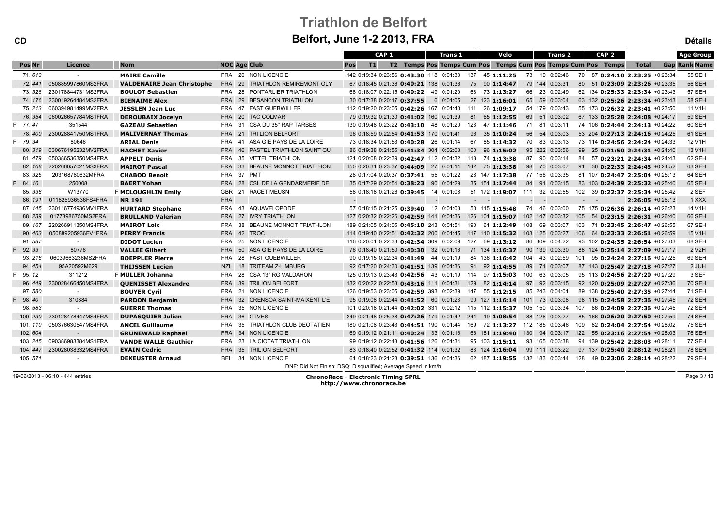| <b>CD</b> |                    |                                   |            | Belfort, June 1-2 2013, FRA                                   |        |                  |                                                         |        |                |                          |                              |                                                                         |     |                   |                  |                                          | <b>Détails</b>       |
|-----------|--------------------|-----------------------------------|------------|---------------------------------------------------------------|--------|------------------|---------------------------------------------------------|--------|----------------|--------------------------|------------------------------|-------------------------------------------------------------------------|-----|-------------------|------------------|------------------------------------------|----------------------|
|           |                    |                                   |            |                                                               |        | CAP <sub>1</sub> |                                                         |        | <b>Trans 1</b> |                          | Velo                         | Trans 2                                                                 |     |                   | CAP <sub>2</sub> |                                          | <b>Age Group</b>     |
| Pos Nr    | Licence            | <b>Nom</b>                        |            | <b>NOC Age Club</b>                                           | Pos    | T1               |                                                         |        |                |                          |                              | T2 Temps Pos Temps Cum Pos Temps Cum Pos Temps Cum Pos Temps            |     |                   |                  | <b>Total</b>                             | <b>Gap Rank Name</b> |
| 71.613    |                    | <b>MAIRE Camille</b>              |            | FRA 20 NON LICENCIE                                           |        |                  | 142 0:19:34 0:23:56 0:43:30 118 0:01:33 137 45 1:11:25  |        |                |                          |                              | 73 19 0:02:46                                                           |     |                   |                  | 70 87 0:24:10 2:23:25 +0:23:34           | <b>55 SEH</b>        |
| 72.441    | 050885997860MS2FRA | <b>VALDENAIRE Jean Christophe</b> |            | FRA 29 TRIATHLON REMIREMONT OLY                               |        |                  | 67 0:18:45 0:21:36 0:40:21 138 0:01:36                  |        |                |                          | 75 90 1:14:47                | 79 144 0:03:31                                                          |     |                   |                  | 80 51 0:23:09 2:23:26 +0:23:35           | <b>56 SEH</b>        |
| 73.328    | 230178844731MS2FRA | <b>BOULOT Sebastien</b>           |            | FRA 28 PONTARLIER TRIATHLON                                   |        |                  | 68 0:18:07 0:22:15 0:40:22 49 0:01:20                   |        |                |                          | 68 73 1:13:27                | 66 23 0:02:49                                                           |     |                   |                  | 62 134 0:25:33 2:23:34 +0:23:43          | 57 SEH               |
| 74.176    | 230019264484MS2FRA | <b>BIENAIME Alex</b>              |            | FRA 29 BESANCON TRIATHLON                                     |        |                  | 30 0:17:38 0:20:17 0:37:55                              |        | 6 0:01:05      |                          | 27 123 1:16:01               | 65 59 0:03:04                                                           |     |                   |                  | 63 132 0:25:26 2:23:34 +0:23:43          | <b>58 SEH</b>        |
| 75.213    | 060394981499MV2FRA | JESSLEN Jean Luc                  |            | FRA 47 FAST GUEBWILLER                                        |        |                  | 112 0:19:20 0:23:05 0:42:26 167 0:01:40 111 26 1:09:17  |        |                |                          |                              | 54 179 0:03:43                                                          |     |                   |                  | 55 173 0:26:32 2:23:41 +0:23:50          | 11 V1H               |
| 76.354    | 060026657784MS1FRA | <b>DEROUBAIX Jocelyn</b>          |            | FRA 20 TAC COLMAR                                             |        |                  | 79 0:19:32 0:21:30 0:41:02 160 0:01:39                  |        |                |                          | 81 65 1:12:55                | 69 51 0:03:02                                                           |     |                   |                  | 67 133 0:25:28 2:24:08 +0:24:17          | <b>59 SEH</b>        |
| 77.47     | 351544             | <b>GAZEAU Sebastien</b>           |            | FRA 31 CSA DU 35° RAP TARBES                                  |        |                  | 130 0:19:48 0:23:22 0:43:10 48 0:01:20                  |        |                |                          | 123 47 1:11:46               | 71 81 0:03:11                                                           |     |                   |                  | 74 106 0:24:44 2:24:13 +0:24:22          | 60 SEH               |
| 78.400    | 230028841750MS1FRA | <b>MALIVERNAY Thomas</b>          |            | FRA 21 TRI LION BELFORT                                       |        |                  | 96 0:18:59 0:22:54 0:41:53 170 0:01:41                  |        |                |                          | 96 35 1:10:24                | 56 54 0:03:03                                                           |     |                   |                  | 53 204 0:27:13 2:24:16 +0:24:25          | 61 SEH               |
| 79.34     | 80646              | <b>ARIAL Denis</b>                |            | FRA 41 ASA GIE PAYS DE LA LOIRE                               |        |                  | 73 0:18:34 0:21:53 0:40:28 26 0:01:14                   |        |                |                          | 67 85 1:14:32                | 70 83 0:03:13                                                           |     |                   |                  | 73 114 0:24:56 2:24:24 +0:24:33          | 12 V1H               |
| 80.319    | 030676195232MV2FRA | <b>HACHET Xavier</b>              |            | FRA 46 PASTEL TRIATHLON SAINT QU                              |        |                  | 86 0:19:38 0:21:55 0:41:34 304 0:02:08                  |        |                |                          | $100 \quad 96 \quad 1:15:02$ | 95 222 0:03:56                                                          |     |                   |                  | 99 25 <b>0:21:50 2:24:31</b> $+0.24:40$  | 13 V1H               |
| 81, 479   | 050386536350MS4FRA | <b>APPELT Denis</b>               |            | FRA 35 VITTEL TRIATHLON                                       |        |                  | 121 0:20:08 0:22:39 0:42:47 112 0:01:32 118 74 1:13:38  |        |                |                          |                              | 87 90 0:03:14                                                           |     |                   |                  | 84 57 0:23:21 2:24:34 +0:24:43           | 62 SEH               |
| 82.168    | 220266057021MS3FRA | <b>MAIROT Pascal</b>              |            | FRA 33 BEAUNE MONNOT TRIATLHON                                |        |                  | 150 0:20:31 0:23:37 0:44:09 27 0:01:14 142 75 1:13:38   |        |                |                          |                              | 98 70 0:03:07                                                           |     |                   |                  | 91 36 0:22:33 2:24:43 +0:24:52           | 63 SEH               |
| 83.325    | 203168780632MFRA   | <b>CHABOD Benoit</b>              |            | FRA 37 PMT                                                    |        |                  | 28 0:17:04 0:20:37 0:37:41 55 0:01:22                   |        |                |                          | 28 147 1:17:38               | 77 156 0:03:35                                                          |     |                   |                  | 81 107 0:24:47 2:25:04 +0:25:13          | 64 SEH               |
| 84.16     | 250008             | <b>BAERT Yohan</b>                |            | FRA 28 CSL DE LA GENDARMERIE DE                               |        |                  | 35 0:17:29 0:20:54 0:38:23 90 0:01:29                   |        |                |                          | 35 151 1:17:44               | 84 91 0:03:15                                                           |     |                   |                  | 83 103 0:24:39 2:25:32 +0:25:40          | 65 SEH               |
| 85.338    | W13770             | <b>F MCLOUGHLIN Emily</b>         |            | GBR 21 RACETIMEUSN                                            |        |                  | 58 0:18:18 0:21:26 0:39:45 14 0:01:08                   |        |                |                          |                              | 51 172 1:19:07 111 32 0:02:55                                           |     |                   |                  | 102 39 0:22:37 2:25:34 +0:25:42          | 2 SEF                |
| 86, 191   | 011825936536FS4FRA | <b>NR191</b>                      | <b>FRA</b> |                                                               | $\sim$ |                  |                                                         | $\sim$ |                | $\sim 10^{-1}$ m $^{-1}$ |                              | $\sim 10^{-1}$ m $^{-1}$                                                |     | $\sim$ 100 $\sim$ |                  | $2:26:05 + 0.26:13$                      | 1 XXX                |
| 87.145    | 230116774936MV1FRA | <b>HURTARD Stephane</b>           |            | FRA 43 AQUAVELOPODE                                           |        |                  | 57 0:18:15 0:21:25 0:39:40 12 0:01:08                   |        |                |                          | 50 115 1:15:48               | 74 46 0:03:00                                                           |     |                   |                  | 75 175 0:26:36 2:26:14 +0:26:23          | 14 V1H               |
| 88.239    | 01778986750MS2FRA  | <b>BRULLAND Valerian</b>          |            | FRA 27 IVRY TRIATHLON                                         |        |                  | 127 0:20:32 0:22:26 0:42:59 141 0:01:36                 |        |                |                          | 126 101 1:15:07              | 102 147 0:03:32                                                         | 105 |                   |                  | 54 0:23:15 2:26:31 +0:26:40              | 66 SEH               |
| 89.167    | 220266911350MS4FRA | <b>MAIROT Loic</b>                |            | FRA 38 BEAUNE MONNOT TRIATHLON                                |        |                  | 189 0:21:05 0:24:05 0:45:10 243 0:01:54                 |        |                |                          | 190 61 1:12:49               | 108 69 0:03:07                                                          |     |                   |                  | 103 71 0:23:45 2:26:47 +0:26:55          | 67 SEH               |
| 90.463    | 050889205936FV1FRA | <b>PERRY Francis</b>              |            | FRA 42 TROC                                                   |        |                  |                                                         |        |                |                          |                              | 114 0:19:40 0:22:51 0:42:32 200 0:01:45 117 110 1:15:32 103 125 0:03:27 | 106 |                   |                  | 64 0:23:33 2:26:51 +0:26:59              | 15 V1H               |
| 91.587    | $\sim$             | <b>DIDOT Lucien</b>               |            | FRA 25 NON LICENCIE                                           |        |                  | 116 0:20:01 0:22:33 0:42:34 309 0:02:09                 |        |                |                          | 127 69 1:13:12               | 86 309 0:04:22                                                          |     |                   |                  | 93 102 <b>0:24:35 2:26:54</b> $+0.27:03$ | 68 SEH               |
| 92.33     | 80776              | <b>VALLEE Gilbert</b>             |            | FRA 50 ASA GIE PAYS DE LA LOIRE                               |        |                  | 76 0:18:40 0:21:50 0:40:30 32 0:01:16                   |        |                |                          | 71 134 1:16:37               | 90 139 0:03:30                                                          |     |                   |                  | 88 124 0:25:14 2:27:09 +0:27:17          | 2 V2H                |
| 93.216    | 06039663236MS2FRA  | <b>BOEPPLER Pierre</b>            |            | FRA 28 FAST GUEBWILLER                                        |        |                  | 90 0:19:15 0:22:34 0:41:49 44 0:01:19                   |        |                |                          | 84 136 1:16:42               | 104 43 0:02:59                                                          | 101 |                   |                  | $95$ 0:24:24 2:27:16 $+0.27:25$          | 69 SEH               |
| 94.454    | 95A20592M629       | <b>THIJSSEN Lucien</b>            |            | NZL 18 TRITEAM Z-LIMBURG                                      |        |                  | 92 0:17:20 0:24:30 0:41:51 139 0:01:36                  |        |                |                          | 94 92 1:14:55                | 89 71 0:03:07                                                           |     |                   |                  | 87 143 0:25:47 2:27:18 +0:27:27          | 2 JUH                |
| 95.12     | 311212             | F MULLER Johanna                  |            | FRA 28 CSA 13° RG VALDAHON                                    |        |                  | 125 0:19:13 0:23:43 0:42:56 43 0:01:19 114 97 1:15:03   |        |                |                          |                              | 100 63 0:03:05                                                          |     |                   |                  | 95 113 0:24:56 2:27:20 +0:27:29          | 3 SEF                |
| 96.449    | 230028466450MS4FRA | <b>QUENISSET Alexandre</b>        |            | FRA 39 TRILION BELFORT                                        |        |                  | 132 0:20:22 0:22:53 0:43:16 111 0:01:31 129 82 1:14:14  |        |                |                          |                              | 97 92 0:03:15                                                           |     |                   |                  | 92 120 0:25:09 2:27:27 +0:27:36          | <b>70 SEH</b>        |
| 97.580    |                    | <b>BOUYER Cyril</b>               |            | FRA 21 NON LICENCIE                                           |        |                  | 126 0:19:53 0:23:05 0:42:59 393 0:02:39                 |        |                |                          | 147 55 1:12:15               | 85 243 0:04:01                                                          |     |                   |                  | 89 138 0:25:40 2:27:35 +0:27:44          | 71 SEH               |
| 98.40     | 310384             | <b>PARDON Benjamin</b>            |            | FRA 32 CRENSOA SAINT-MAIXENT L'E                              |        |                  | 95 0:19:08 0:22:44 0:41:52 60 0:01:23                   |        |                |                          |                              | 90 127 1:16:14 101 73 0:03:08                                           |     |                   |                  | 98 115 0:24:58 2:27:36 +0:27:45          | 72 SEH               |
| 98.583    |                    | <b>GUERRE Thomas</b>              |            | FRA 35 NON LICENCIE                                           |        |                  | 101 0:20:18 0:21:44 0:42:02 331 0:02:12 115 112 1:15:37 |        |                |                          |                              | 105 150 0:03:34                                                         | 107 |                   |                  | 86 0:24:09 2:27:36 +0:27:45              | <b>72 SEH</b>        |
| 100.230   | 230128478447MS4FRA | <b>DUPASQUIER Julien</b>          |            | FRA 36 GTVHS                                                  |        |                  | 249 0:21:48 0:25:38 0:47:26 179 0:01:42 244 19 1:08:54  |        |                |                          |                              | 88 126 0:03:27                                                          |     |                   |                  | 85 166 0:26:20 2:27:50 +0:27:59          | 74 SEH               |
| 101.110   | 050376630547MS4FRA | <b>ANCEL Guillaume</b>            |            | FRA 35 TRIATHLON CLUB DEOTATIEN                               |        |                  | 180 0:21:08 0:23:43 0:44:51 190 0:01:44                 |        |                |                          |                              | 169 72 1:13:27 112 185 0:03:46                                          | 109 |                   |                  | 82 0:24:04 2:27:54 +0:28:02              | 75 SEH               |
| 102.604   | $\sim$             | <b>GRUNEWALD Raphael</b>          |            | FRA 34 NON LICENCIE                                           |        |                  | 69 0:19:12 0:21:11 0:40:24 33 0:01:16                   |        |                |                          | 66 181 1:19:40               | 130 94 0:03:17                                                          |     |                   |                  | 122 55 0:23:16 2:27:54 +0:28:03          | <b>76 SEH</b>        |
| 103.245   | 090386983384MS1FRA | <b>VANDE WALLE Gauthier</b>       |            | FRA 23 LA CIOTAT TRIATHLON                                    |        |                  | 99 0:19:12 0:22:43 0:41:56 126 0:01:34                  |        |                |                          | 95 103 1:15:11               | 93 165 0:03:38                                                          |     |                   |                  | 94 139 0:25:42 2:28:03 +0:28:11          | 77 SEH               |
| 104.447   | 230028038332MS4FRA | <b>EVAIN Cedric</b>               |            | FRA 35 TRILION BELFORT                                        |        |                  | 83 0:18:40 0:22:52 0:41:32 114 0:01:32                  |        |                |                          | 83 124 1:16:04               | 99 111 0:03:22                                                          |     |                   |                  | 97 137 0:25:40 2:28:12 +0:28:21          | <b>78 SEH</b>        |
| 105.571   |                    | <b>DEKEUSTER Arnaud</b>           |            | BEL 34 NON LICENCIE                                           |        |                  | 61 0:18:23 0:21:28 0:39:51 136 0:01:36                  |        |                |                          | 62 187 1:19:55               | 132 183 0:03:44                                                         | 128 |                   |                  | 49 0:23:06 2:28:14 +0:28:22              | <b>79 SEH</b>        |
|           |                    |                                   |            | DNF: Did Not Finish; DSQ: Disqualified; Average Speed in km/h |        |                  |                                                         |        |                |                          |                              |                                                                         |     |                   |                  |                                          |                      |

19/06/2013 - 06:10 - 444 entries

ChronoRace - Electronic Timing SPRL http://www.chronorace.be

Page 3 / 13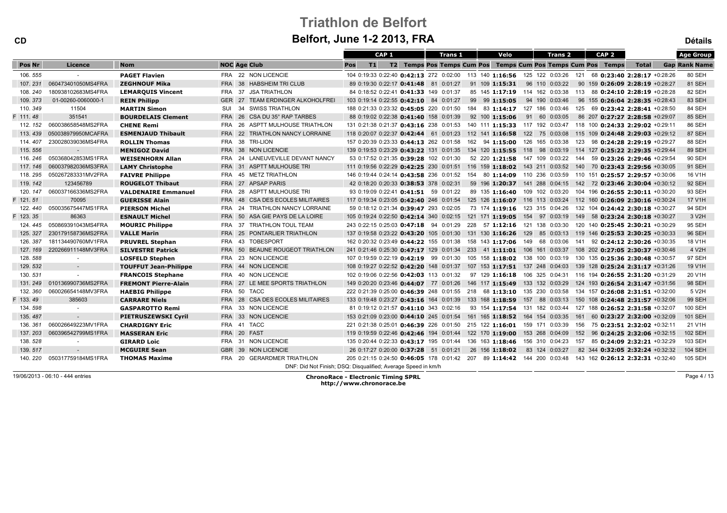CD

| CAP <sub>1</sub><br><b>Age Group</b><br>Velo<br>CAP <sub>2</sub><br><b>Trans 1</b><br>Trans 2<br><b>NOC Age Club</b><br>Pos Nr<br>Licence<br><b>Nom</b><br><b>T1</b><br>T2 Temps Pos Temps Cum Pos Temps Cum Pos Temps Cum Pos Temps<br><b>Total</b><br><b>Gap Rank Name</b><br>Pos<br>106.555<br>FRA 22 NON LICENCIE<br>80 SEH<br><b>PAGET Flavien</b><br>104 0:19:33 0:22:40 0:42:13 272 0:02:00 113 140 1:16:56 125 122 0:03:26 121<br>68 0:23:40 2:28:17 +0:28:26<br>81 SEH<br>060473401050MS4FRA<br>FRA 38 HABSHEIM TRI CLUB<br>107.231<br><b>ZEGHNOUF Mika</b><br>89 0:19:30 0:22:17 0:41:48 81 0:01:27<br>91 109 1:15:31<br>96 110 0:03:22<br>90 159 0:26:09 2:28:19 +0:28:27<br>108.240<br>180938102683MS4FRA<br>FRA 37 JSA TRIATHLON<br>82 SEH<br><b>LEMARQUIS Vincent</b><br>84 0:18:52 0:22:41 0:41:33 149 0:01:37<br>85 145 1:17:19 114 162 0:03:38 113 88 0:24:10 2:28:19 +0:28:28<br>83 SEH<br>109.373<br>01-00260-0060000-1<br>GER 27<br><b>TEAM ERDINGER ALKOHOLFREI</b><br>94 190 0:03:46<br>103 0:19:14 0:22:55 0:42:10 84 0:01:27<br>99 99 1:15:05<br>96 155 0:26:04 2:28:35 +0:28:43<br><b>REIN Philipp</b><br>84 SEH<br>110.349<br>11504<br>34 SWISS TRIATHLON<br>184 83 1:14:17 127 186 0:03:46<br><b>MARTIN Simon</b><br>SUI<br>188 0:21:33 0:23:32 0:45:05 220 0:01:50<br>125<br>69 0:23:42 2:28:41 +0:28:50<br>F 111.48<br>351541<br>FRA 26 CSA DU 35° RAP TARBES<br>91 60 0:03:05<br><b>85 SEH</b><br><b>BOURDELAIS Clement</b><br>88 0:19:02 0:22:38 0:41:40 158 0:01:39<br>92 100 1:15:06<br>86 207 0:27:27 2:28:58 +0:29:07<br>060038658548MS2FRA<br>86 SEH<br>FRA 26 ASPTT MULHOUSE TRIATHLON<br>131 0:21:38 0:21:37 0:43:16 238 0:01:53<br>140 111 1:15:33 117 192 0:03:47 118 100 0:24:33 2:29:02 +0:29:11<br>112. 152<br><b>CHENE Remi</b><br>87 SEH<br>113.439<br>050038979950MCAFRA<br>FRA 22 TRIATHLON NANCY LORRAINE<br>118 0:20:07 0:22:37 0:42:44 61 0:01:23 112 141 1:16:58 122 75 0:03:08 115 109 0:24:48 2:29:03 +0:29:12<br><b>ESMENJAUD Thibault</b><br>114, 407<br>230028039036MS4FRA<br>FRA 38 TRI-LION<br>88 SEH<br>157 0:20:39 0:23:33 0:44:13 262 0:01:58<br>162 94 1:15:00 126 165 0:03:38<br><b>ROLLIN Thomas</b><br>123 98 0:24:28 2:29:19 +0:29:27<br>115.556<br>FRA 38 NON LICENCIE<br>139 0:19:53 0:23:29 0:43:22 131 0:01:35 134 120 1:15:55 118 98 0:03:19 114 127 0:25:22 2:29:35 +0:29:44<br>89 SEH<br><b>MENIGOZ David</b><br>$\sim 100$<br>050368042853MS1FRA<br>24 LANEUVEVILLE DEVANT NANCY<br>90 SEH<br>116, 246<br>53 0:17:52 0:21:35 0:39:28 102 0:01:30<br>52 220 1:21:58 147 109 0:03:22 144<br><b>WEISENHORN Allan</b><br>FRA<br>59 0:23:26 2:29:46 +0:29:54<br>91 SEH<br>117, 146<br>060037982036MS3FRA<br>FRA 31 ASPTT MULHOUSE TRI<br>111 0:19:56 0:22:29 0:42:25 230 0:01:51 116 159 1:18:02 143 211 0:03:52 140 70 0:23:43 2:29:56 +0:30:05<br><b>LAMY Christophe</b><br>118.295<br>050267283331MV2FRA<br>45 METZ TRIATHLON<br>154 80 1:14:09 110 236 0:03:59 110 151 0:25:57 2:29:57 +0:30:06<br>16 V1H<br><b>FAIVRE Philippe</b><br>FRA<br>146 0:19:44 0:24:14 0:43:58 236 0:01:52<br>123456789<br>92 SEH<br>119, 142<br>FRA 27 APSAP PARIS<br>42 0:18:20 0:20:33 0:38:53 378 0:02:31<br>59 196 1:20:37 141 288 0:04:15 142 72 0:23:46 2:30:04 +0:30:12<br><b>ROUGELOT Thibaut</b><br>93 SEH<br>060037166336MS2FRA<br>FRA 28 ASPTT MULHOUSE TRI<br>89 135 1:16:40 109 102 0:03:20 104 196 0:26:55 2:30:11 +0:30:20<br>120.147<br><b>VALDENAIRE Emmanuel</b><br>93 0:19:09 0:22:41 <b>0:41:51</b> 59 0:01:22<br>70095<br>17 V1H<br>F 121.51<br><b>FRA 48</b><br><b>CSA DES ECOLES MILITAIRES</b><br>117 0:19:34 0:23:05 0:42:40 246 0:01:54 125 126 1:16:07 116 113 0:03:24 112 160 0:26:09 2:30:16 +0:30:24<br><b>GUERISSE Alain</b><br>94 SEH<br>050035675447MS1FRA<br>122.440<br>FRA<br>24 TRIATHLON NANCY LORRAINE<br>59 0:18:12 0:21:34 0:39:47 293 0:02:05<br>73 174 1:19:16 123 315 0:04:26 132 104 0:24:42 2:30:18 +0:30:27<br><b>PIERSON Michel</b><br>F 123.35<br>86363<br>3 V2H<br><b>ESNAULT Michel</b><br><b>FRA 50</b><br>ASA GIE PAYS DE LA LOIRE<br>105 0:19:24 0:22:50 0:42:14 340 0:02:15 121 171 1:19:05 154 97 0:03:19 149 58 0:23:24 2:30:18 +0:30:27<br>050869391043MS4FRA<br>FRA 37 TRIATHLON TOUL TEAM<br>95 SEH<br>124, 445<br>243 0:22:15 0:25:03 0:47:18 94 0:01:29 228 57 1:12:16 121 138 0:03:30 120 140 0:25:45 2:30:21 +0:30:29<br><b>MOURIC Philippe</b><br>230179158736MS2FRA<br><b>96 SEH</b><br>125.327<br><b>VALLE Marin</b><br>FRA 25 PONTARLIER TRIATHLON<br>137 0:19:58 0:23:22 0:43:20 105 0:01:30 131 130 1:16:26 129 85 0:03:13 119 146 0:25:53 2:30:25 +0:30:33<br>FRA 43 TOBESPORT<br>126, 387<br>181134490760MV1FRA<br>162 0:20:32 0:23:49 0:44:22 155 0:01:38 158 143 1:17:06 149 68 0:03:06 141<br>18 V1H<br><b>PRUVREL Stephan</b><br>92 0:24:12 2:30:26 +0:30:35<br>4 V2H<br>127, 169<br>220266911148MV3FRA<br>BEAUNE ROUGEOT TRIATHLON<br><b>SILVESTRE Patrick</b><br><b>FRA 50</b><br>241 0:21:46 0:25:30 0:47:17 129 0:01:34 233 41 1:11:01 106 161 0:03:37 108 202 0:27:05 2:30:37 +0:30:46<br>128.588<br>97 SEH<br>FRA 23 NON LICENCIE<br>107 0:19:59 0:22:19 0:42:19 99 0:01:30 105 158 1:18:02 138 100 0:03:19 130 135 0:25:36 2:30:48 +0:30:57<br><b>LOSFELD Stephen</b><br>$\sim$<br>129.532<br>19 V1H<br>FRA 44 NON LICENCIE<br>108 0:19:27 0:22:52 0:42:20 148 0:01:37 107 153 1:17:51 137 248 0:04:03 139 128 0:25:24 2:31:17 +0:31:26<br>$\sim$<br><b>TOUFFUT Jean-Philippe</b><br>20 V1H<br>130.531<br>FRA 40 NON LICENCIE<br>102 0:19:06 0:22:56 0:42:03 113 0:01:32<br>97 129 1:16:18 106 325 0:04:31 116 194 0:26:55 2:31:20 +0:31:29<br><b>FRANCOIS Stephane</b> |
|----------------------------------------------------------------------------------------------------------------------------------------------------------------------------------------------------------------------------------------------------------------------------------------------------------------------------------------------------------------------------------------------------------------------------------------------------------------------------------------------------------------------------------------------------------------------------------------------------------------------------------------------------------------------------------------------------------------------------------------------------------------------------------------------------------------------------------------------------------------------------------------------------------------------------------------------------------------------------------------------------------------------------------------------------------------------------------------------------------------------------------------------------------------------------------------------------------------------------------------------------------------------------------------------------------------------------------------------------------------------------------------------------------------------------------------------------------------------------------------------------------------------------------------------------------------------------------------------------------------------------------------------------------------------------------------------------------------------------------------------------------------------------------------------------------------------------------------------------------------------------------------------------------------------------------------------------------------------------------------------------------------------------------------------------------------------------------------------------------------------------------------------------------------------------------------------------------------------------------------------------------------------------------------------------------------------------------------------------------------------------------------------------------------------------------------------------------------------------------------------------------------------------------------------------------------------------------------------------------------------------------------------------------------------------------------------------------------------------------------------------------------------------------------------------------------------------------------------------------------------------------------------------------------------------------------------------------------------------------------------------------------------------------------------------------------------------------------------------------------------------------------------------------------------------------------------------------------------------------------------------------------------------------------------------------------------------------------------------------------------------------------------------------------------------------------------------------------------------------------------------------------------------------------------------------------------------------------------------------------------------------------------------------------------------------------------------------------------------------------------------------------------------------------------------------------------------------------------------------------------------------------------------------------------------------------------------------------------------------------------------------------------------------------------------------------------------------------------------------------------------------------------------------------------------------------------------------------------------------------------------------------------------------------------------------------------------------------------------------------------------------------------------------------------------------------------------------------------------------------------------------------------------------------------------------------------------------------------------------------------------------------------------------------------------------------------------------------------------------------------------------------------------------------------------------------------------------------------------------------------------------------------------------------------------------------------------------------------------------------------------------------------------------------------------------------------------------------------------------------------------------------------------------------------------------------------------------------------------------------------------------------------------------------------------------------------------------------------------------------------------------------------------------------------------------------------------------------------------------------------------------------------------------------------------------------------------------------------------------------|
|                                                                                                                                                                                                                                                                                                                                                                                                                                                                                                                                                                                                                                                                                                                                                                                                                                                                                                                                                                                                                                                                                                                                                                                                                                                                                                                                                                                                                                                                                                                                                                                                                                                                                                                                                                                                                                                                                                                                                                                                                                                                                                                                                                                                                                                                                                                                                                                                                                                                                                                                                                                                                                                                                                                                                                                                                                                                                                                                                                                                                                                                                                                                                                                                                                                                                                                                                                                                                                                                                                                                                                                                                                                                                                                                                                                                                                                                                                                                                                                                                                                                                                                                                                                                                                                                                                                                                                                                                                                                                                                                                                                                                                                                                                                                                                                                                                                                                                                                                                                                                                                                                                                                                                                                                                                                                                                                                                                                                                                                                                                                                                                                                |
|                                                                                                                                                                                                                                                                                                                                                                                                                                                                                                                                                                                                                                                                                                                                                                                                                                                                                                                                                                                                                                                                                                                                                                                                                                                                                                                                                                                                                                                                                                                                                                                                                                                                                                                                                                                                                                                                                                                                                                                                                                                                                                                                                                                                                                                                                                                                                                                                                                                                                                                                                                                                                                                                                                                                                                                                                                                                                                                                                                                                                                                                                                                                                                                                                                                                                                                                                                                                                                                                                                                                                                                                                                                                                                                                                                                                                                                                                                                                                                                                                                                                                                                                                                                                                                                                                                                                                                                                                                                                                                                                                                                                                                                                                                                                                                                                                                                                                                                                                                                                                                                                                                                                                                                                                                                                                                                                                                                                                                                                                                                                                                                                                |
|                                                                                                                                                                                                                                                                                                                                                                                                                                                                                                                                                                                                                                                                                                                                                                                                                                                                                                                                                                                                                                                                                                                                                                                                                                                                                                                                                                                                                                                                                                                                                                                                                                                                                                                                                                                                                                                                                                                                                                                                                                                                                                                                                                                                                                                                                                                                                                                                                                                                                                                                                                                                                                                                                                                                                                                                                                                                                                                                                                                                                                                                                                                                                                                                                                                                                                                                                                                                                                                                                                                                                                                                                                                                                                                                                                                                                                                                                                                                                                                                                                                                                                                                                                                                                                                                                                                                                                                                                                                                                                                                                                                                                                                                                                                                                                                                                                                                                                                                                                                                                                                                                                                                                                                                                                                                                                                                                                                                                                                                                                                                                                                                                |
|                                                                                                                                                                                                                                                                                                                                                                                                                                                                                                                                                                                                                                                                                                                                                                                                                                                                                                                                                                                                                                                                                                                                                                                                                                                                                                                                                                                                                                                                                                                                                                                                                                                                                                                                                                                                                                                                                                                                                                                                                                                                                                                                                                                                                                                                                                                                                                                                                                                                                                                                                                                                                                                                                                                                                                                                                                                                                                                                                                                                                                                                                                                                                                                                                                                                                                                                                                                                                                                                                                                                                                                                                                                                                                                                                                                                                                                                                                                                                                                                                                                                                                                                                                                                                                                                                                                                                                                                                                                                                                                                                                                                                                                                                                                                                                                                                                                                                                                                                                                                                                                                                                                                                                                                                                                                                                                                                                                                                                                                                                                                                                                                                |
|                                                                                                                                                                                                                                                                                                                                                                                                                                                                                                                                                                                                                                                                                                                                                                                                                                                                                                                                                                                                                                                                                                                                                                                                                                                                                                                                                                                                                                                                                                                                                                                                                                                                                                                                                                                                                                                                                                                                                                                                                                                                                                                                                                                                                                                                                                                                                                                                                                                                                                                                                                                                                                                                                                                                                                                                                                                                                                                                                                                                                                                                                                                                                                                                                                                                                                                                                                                                                                                                                                                                                                                                                                                                                                                                                                                                                                                                                                                                                                                                                                                                                                                                                                                                                                                                                                                                                                                                                                                                                                                                                                                                                                                                                                                                                                                                                                                                                                                                                                                                                                                                                                                                                                                                                                                                                                                                                                                                                                                                                                                                                                                                                |
|                                                                                                                                                                                                                                                                                                                                                                                                                                                                                                                                                                                                                                                                                                                                                                                                                                                                                                                                                                                                                                                                                                                                                                                                                                                                                                                                                                                                                                                                                                                                                                                                                                                                                                                                                                                                                                                                                                                                                                                                                                                                                                                                                                                                                                                                                                                                                                                                                                                                                                                                                                                                                                                                                                                                                                                                                                                                                                                                                                                                                                                                                                                                                                                                                                                                                                                                                                                                                                                                                                                                                                                                                                                                                                                                                                                                                                                                                                                                                                                                                                                                                                                                                                                                                                                                                                                                                                                                                                                                                                                                                                                                                                                                                                                                                                                                                                                                                                                                                                                                                                                                                                                                                                                                                                                                                                                                                                                                                                                                                                                                                                                                                |
|                                                                                                                                                                                                                                                                                                                                                                                                                                                                                                                                                                                                                                                                                                                                                                                                                                                                                                                                                                                                                                                                                                                                                                                                                                                                                                                                                                                                                                                                                                                                                                                                                                                                                                                                                                                                                                                                                                                                                                                                                                                                                                                                                                                                                                                                                                                                                                                                                                                                                                                                                                                                                                                                                                                                                                                                                                                                                                                                                                                                                                                                                                                                                                                                                                                                                                                                                                                                                                                                                                                                                                                                                                                                                                                                                                                                                                                                                                                                                                                                                                                                                                                                                                                                                                                                                                                                                                                                                                                                                                                                                                                                                                                                                                                                                                                                                                                                                                                                                                                                                                                                                                                                                                                                                                                                                                                                                                                                                                                                                                                                                                                                                |
|                                                                                                                                                                                                                                                                                                                                                                                                                                                                                                                                                                                                                                                                                                                                                                                                                                                                                                                                                                                                                                                                                                                                                                                                                                                                                                                                                                                                                                                                                                                                                                                                                                                                                                                                                                                                                                                                                                                                                                                                                                                                                                                                                                                                                                                                                                                                                                                                                                                                                                                                                                                                                                                                                                                                                                                                                                                                                                                                                                                                                                                                                                                                                                                                                                                                                                                                                                                                                                                                                                                                                                                                                                                                                                                                                                                                                                                                                                                                                                                                                                                                                                                                                                                                                                                                                                                                                                                                                                                                                                                                                                                                                                                                                                                                                                                                                                                                                                                                                                                                                                                                                                                                                                                                                                                                                                                                                                                                                                                                                                                                                                                                                |
|                                                                                                                                                                                                                                                                                                                                                                                                                                                                                                                                                                                                                                                                                                                                                                                                                                                                                                                                                                                                                                                                                                                                                                                                                                                                                                                                                                                                                                                                                                                                                                                                                                                                                                                                                                                                                                                                                                                                                                                                                                                                                                                                                                                                                                                                                                                                                                                                                                                                                                                                                                                                                                                                                                                                                                                                                                                                                                                                                                                                                                                                                                                                                                                                                                                                                                                                                                                                                                                                                                                                                                                                                                                                                                                                                                                                                                                                                                                                                                                                                                                                                                                                                                                                                                                                                                                                                                                                                                                                                                                                                                                                                                                                                                                                                                                                                                                                                                                                                                                                                                                                                                                                                                                                                                                                                                                                                                                                                                                                                                                                                                                                                |
|                                                                                                                                                                                                                                                                                                                                                                                                                                                                                                                                                                                                                                                                                                                                                                                                                                                                                                                                                                                                                                                                                                                                                                                                                                                                                                                                                                                                                                                                                                                                                                                                                                                                                                                                                                                                                                                                                                                                                                                                                                                                                                                                                                                                                                                                                                                                                                                                                                                                                                                                                                                                                                                                                                                                                                                                                                                                                                                                                                                                                                                                                                                                                                                                                                                                                                                                                                                                                                                                                                                                                                                                                                                                                                                                                                                                                                                                                                                                                                                                                                                                                                                                                                                                                                                                                                                                                                                                                                                                                                                                                                                                                                                                                                                                                                                                                                                                                                                                                                                                                                                                                                                                                                                                                                                                                                                                                                                                                                                                                                                                                                                                                |
|                                                                                                                                                                                                                                                                                                                                                                                                                                                                                                                                                                                                                                                                                                                                                                                                                                                                                                                                                                                                                                                                                                                                                                                                                                                                                                                                                                                                                                                                                                                                                                                                                                                                                                                                                                                                                                                                                                                                                                                                                                                                                                                                                                                                                                                                                                                                                                                                                                                                                                                                                                                                                                                                                                                                                                                                                                                                                                                                                                                                                                                                                                                                                                                                                                                                                                                                                                                                                                                                                                                                                                                                                                                                                                                                                                                                                                                                                                                                                                                                                                                                                                                                                                                                                                                                                                                                                                                                                                                                                                                                                                                                                                                                                                                                                                                                                                                                                                                                                                                                                                                                                                                                                                                                                                                                                                                                                                                                                                                                                                                                                                                                                |
|                                                                                                                                                                                                                                                                                                                                                                                                                                                                                                                                                                                                                                                                                                                                                                                                                                                                                                                                                                                                                                                                                                                                                                                                                                                                                                                                                                                                                                                                                                                                                                                                                                                                                                                                                                                                                                                                                                                                                                                                                                                                                                                                                                                                                                                                                                                                                                                                                                                                                                                                                                                                                                                                                                                                                                                                                                                                                                                                                                                                                                                                                                                                                                                                                                                                                                                                                                                                                                                                                                                                                                                                                                                                                                                                                                                                                                                                                                                                                                                                                                                                                                                                                                                                                                                                                                                                                                                                                                                                                                                                                                                                                                                                                                                                                                                                                                                                                                                                                                                                                                                                                                                                                                                                                                                                                                                                                                                                                                                                                                                                                                                                                |
|                                                                                                                                                                                                                                                                                                                                                                                                                                                                                                                                                                                                                                                                                                                                                                                                                                                                                                                                                                                                                                                                                                                                                                                                                                                                                                                                                                                                                                                                                                                                                                                                                                                                                                                                                                                                                                                                                                                                                                                                                                                                                                                                                                                                                                                                                                                                                                                                                                                                                                                                                                                                                                                                                                                                                                                                                                                                                                                                                                                                                                                                                                                                                                                                                                                                                                                                                                                                                                                                                                                                                                                                                                                                                                                                                                                                                                                                                                                                                                                                                                                                                                                                                                                                                                                                                                                                                                                                                                                                                                                                                                                                                                                                                                                                                                                                                                                                                                                                                                                                                                                                                                                                                                                                                                                                                                                                                                                                                                                                                                                                                                                                                |
|                                                                                                                                                                                                                                                                                                                                                                                                                                                                                                                                                                                                                                                                                                                                                                                                                                                                                                                                                                                                                                                                                                                                                                                                                                                                                                                                                                                                                                                                                                                                                                                                                                                                                                                                                                                                                                                                                                                                                                                                                                                                                                                                                                                                                                                                                                                                                                                                                                                                                                                                                                                                                                                                                                                                                                                                                                                                                                                                                                                                                                                                                                                                                                                                                                                                                                                                                                                                                                                                                                                                                                                                                                                                                                                                                                                                                                                                                                                                                                                                                                                                                                                                                                                                                                                                                                                                                                                                                                                                                                                                                                                                                                                                                                                                                                                                                                                                                                                                                                                                                                                                                                                                                                                                                                                                                                                                                                                                                                                                                                                                                                                                                |
|                                                                                                                                                                                                                                                                                                                                                                                                                                                                                                                                                                                                                                                                                                                                                                                                                                                                                                                                                                                                                                                                                                                                                                                                                                                                                                                                                                                                                                                                                                                                                                                                                                                                                                                                                                                                                                                                                                                                                                                                                                                                                                                                                                                                                                                                                                                                                                                                                                                                                                                                                                                                                                                                                                                                                                                                                                                                                                                                                                                                                                                                                                                                                                                                                                                                                                                                                                                                                                                                                                                                                                                                                                                                                                                                                                                                                                                                                                                                                                                                                                                                                                                                                                                                                                                                                                                                                                                                                                                                                                                                                                                                                                                                                                                                                                                                                                                                                                                                                                                                                                                                                                                                                                                                                                                                                                                                                                                                                                                                                                                                                                                                                |
|                                                                                                                                                                                                                                                                                                                                                                                                                                                                                                                                                                                                                                                                                                                                                                                                                                                                                                                                                                                                                                                                                                                                                                                                                                                                                                                                                                                                                                                                                                                                                                                                                                                                                                                                                                                                                                                                                                                                                                                                                                                                                                                                                                                                                                                                                                                                                                                                                                                                                                                                                                                                                                                                                                                                                                                                                                                                                                                                                                                                                                                                                                                                                                                                                                                                                                                                                                                                                                                                                                                                                                                                                                                                                                                                                                                                                                                                                                                                                                                                                                                                                                                                                                                                                                                                                                                                                                                                                                                                                                                                                                                                                                                                                                                                                                                                                                                                                                                                                                                                                                                                                                                                                                                                                                                                                                                                                                                                                                                                                                                                                                                                                |
|                                                                                                                                                                                                                                                                                                                                                                                                                                                                                                                                                                                                                                                                                                                                                                                                                                                                                                                                                                                                                                                                                                                                                                                                                                                                                                                                                                                                                                                                                                                                                                                                                                                                                                                                                                                                                                                                                                                                                                                                                                                                                                                                                                                                                                                                                                                                                                                                                                                                                                                                                                                                                                                                                                                                                                                                                                                                                                                                                                                                                                                                                                                                                                                                                                                                                                                                                                                                                                                                                                                                                                                                                                                                                                                                                                                                                                                                                                                                                                                                                                                                                                                                                                                                                                                                                                                                                                                                                                                                                                                                                                                                                                                                                                                                                                                                                                                                                                                                                                                                                                                                                                                                                                                                                                                                                                                                                                                                                                                                                                                                                                                                                |
|                                                                                                                                                                                                                                                                                                                                                                                                                                                                                                                                                                                                                                                                                                                                                                                                                                                                                                                                                                                                                                                                                                                                                                                                                                                                                                                                                                                                                                                                                                                                                                                                                                                                                                                                                                                                                                                                                                                                                                                                                                                                                                                                                                                                                                                                                                                                                                                                                                                                                                                                                                                                                                                                                                                                                                                                                                                                                                                                                                                                                                                                                                                                                                                                                                                                                                                                                                                                                                                                                                                                                                                                                                                                                                                                                                                                                                                                                                                                                                                                                                                                                                                                                                                                                                                                                                                                                                                                                                                                                                                                                                                                                                                                                                                                                                                                                                                                                                                                                                                                                                                                                                                                                                                                                                                                                                                                                                                                                                                                                                                                                                                                                |
|                                                                                                                                                                                                                                                                                                                                                                                                                                                                                                                                                                                                                                                                                                                                                                                                                                                                                                                                                                                                                                                                                                                                                                                                                                                                                                                                                                                                                                                                                                                                                                                                                                                                                                                                                                                                                                                                                                                                                                                                                                                                                                                                                                                                                                                                                                                                                                                                                                                                                                                                                                                                                                                                                                                                                                                                                                                                                                                                                                                                                                                                                                                                                                                                                                                                                                                                                                                                                                                                                                                                                                                                                                                                                                                                                                                                                                                                                                                                                                                                                                                                                                                                                                                                                                                                                                                                                                                                                                                                                                                                                                                                                                                                                                                                                                                                                                                                                                                                                                                                                                                                                                                                                                                                                                                                                                                                                                                                                                                                                                                                                                                                                |
|                                                                                                                                                                                                                                                                                                                                                                                                                                                                                                                                                                                                                                                                                                                                                                                                                                                                                                                                                                                                                                                                                                                                                                                                                                                                                                                                                                                                                                                                                                                                                                                                                                                                                                                                                                                                                                                                                                                                                                                                                                                                                                                                                                                                                                                                                                                                                                                                                                                                                                                                                                                                                                                                                                                                                                                                                                                                                                                                                                                                                                                                                                                                                                                                                                                                                                                                                                                                                                                                                                                                                                                                                                                                                                                                                                                                                                                                                                                                                                                                                                                                                                                                                                                                                                                                                                                                                                                                                                                                                                                                                                                                                                                                                                                                                                                                                                                                                                                                                                                                                                                                                                                                                                                                                                                                                                                                                                                                                                                                                                                                                                                                                |
|                                                                                                                                                                                                                                                                                                                                                                                                                                                                                                                                                                                                                                                                                                                                                                                                                                                                                                                                                                                                                                                                                                                                                                                                                                                                                                                                                                                                                                                                                                                                                                                                                                                                                                                                                                                                                                                                                                                                                                                                                                                                                                                                                                                                                                                                                                                                                                                                                                                                                                                                                                                                                                                                                                                                                                                                                                                                                                                                                                                                                                                                                                                                                                                                                                                                                                                                                                                                                                                                                                                                                                                                                                                                                                                                                                                                                                                                                                                                                                                                                                                                                                                                                                                                                                                                                                                                                                                                                                                                                                                                                                                                                                                                                                                                                                                                                                                                                                                                                                                                                                                                                                                                                                                                                                                                                                                                                                                                                                                                                                                                                                                                                |
|                                                                                                                                                                                                                                                                                                                                                                                                                                                                                                                                                                                                                                                                                                                                                                                                                                                                                                                                                                                                                                                                                                                                                                                                                                                                                                                                                                                                                                                                                                                                                                                                                                                                                                                                                                                                                                                                                                                                                                                                                                                                                                                                                                                                                                                                                                                                                                                                                                                                                                                                                                                                                                                                                                                                                                                                                                                                                                                                                                                                                                                                                                                                                                                                                                                                                                                                                                                                                                                                                                                                                                                                                                                                                                                                                                                                                                                                                                                                                                                                                                                                                                                                                                                                                                                                                                                                                                                                                                                                                                                                                                                                                                                                                                                                                                                                                                                                                                                                                                                                                                                                                                                                                                                                                                                                                                                                                                                                                                                                                                                                                                                                                |
|                                                                                                                                                                                                                                                                                                                                                                                                                                                                                                                                                                                                                                                                                                                                                                                                                                                                                                                                                                                                                                                                                                                                                                                                                                                                                                                                                                                                                                                                                                                                                                                                                                                                                                                                                                                                                                                                                                                                                                                                                                                                                                                                                                                                                                                                                                                                                                                                                                                                                                                                                                                                                                                                                                                                                                                                                                                                                                                                                                                                                                                                                                                                                                                                                                                                                                                                                                                                                                                                                                                                                                                                                                                                                                                                                                                                                                                                                                                                                                                                                                                                                                                                                                                                                                                                                                                                                                                                                                                                                                                                                                                                                                                                                                                                                                                                                                                                                                                                                                                                                                                                                                                                                                                                                                                                                                                                                                                                                                                                                                                                                                                                                |
|                                                                                                                                                                                                                                                                                                                                                                                                                                                                                                                                                                                                                                                                                                                                                                                                                                                                                                                                                                                                                                                                                                                                                                                                                                                                                                                                                                                                                                                                                                                                                                                                                                                                                                                                                                                                                                                                                                                                                                                                                                                                                                                                                                                                                                                                                                                                                                                                                                                                                                                                                                                                                                                                                                                                                                                                                                                                                                                                                                                                                                                                                                                                                                                                                                                                                                                                                                                                                                                                                                                                                                                                                                                                                                                                                                                                                                                                                                                                                                                                                                                                                                                                                                                                                                                                                                                                                                                                                                                                                                                                                                                                                                                                                                                                                                                                                                                                                                                                                                                                                                                                                                                                                                                                                                                                                                                                                                                                                                                                                                                                                                                                                |
|                                                                                                                                                                                                                                                                                                                                                                                                                                                                                                                                                                                                                                                                                                                                                                                                                                                                                                                                                                                                                                                                                                                                                                                                                                                                                                                                                                                                                                                                                                                                                                                                                                                                                                                                                                                                                                                                                                                                                                                                                                                                                                                                                                                                                                                                                                                                                                                                                                                                                                                                                                                                                                                                                                                                                                                                                                                                                                                                                                                                                                                                                                                                                                                                                                                                                                                                                                                                                                                                                                                                                                                                                                                                                                                                                                                                                                                                                                                                                                                                                                                                                                                                                                                                                                                                                                                                                                                                                                                                                                                                                                                                                                                                                                                                                                                                                                                                                                                                                                                                                                                                                                                                                                                                                                                                                                                                                                                                                                                                                                                                                                                                                |
|                                                                                                                                                                                                                                                                                                                                                                                                                                                                                                                                                                                                                                                                                                                                                                                                                                                                                                                                                                                                                                                                                                                                                                                                                                                                                                                                                                                                                                                                                                                                                                                                                                                                                                                                                                                                                                                                                                                                                                                                                                                                                                                                                                                                                                                                                                                                                                                                                                                                                                                                                                                                                                                                                                                                                                                                                                                                                                                                                                                                                                                                                                                                                                                                                                                                                                                                                                                                                                                                                                                                                                                                                                                                                                                                                                                                                                                                                                                                                                                                                                                                                                                                                                                                                                                                                                                                                                                                                                                                                                                                                                                                                                                                                                                                                                                                                                                                                                                                                                                                                                                                                                                                                                                                                                                                                                                                                                                                                                                                                                                                                                                                                |
|                                                                                                                                                                                                                                                                                                                                                                                                                                                                                                                                                                                                                                                                                                                                                                                                                                                                                                                                                                                                                                                                                                                                                                                                                                                                                                                                                                                                                                                                                                                                                                                                                                                                                                                                                                                                                                                                                                                                                                                                                                                                                                                                                                                                                                                                                                                                                                                                                                                                                                                                                                                                                                                                                                                                                                                                                                                                                                                                                                                                                                                                                                                                                                                                                                                                                                                                                                                                                                                                                                                                                                                                                                                                                                                                                                                                                                                                                                                                                                                                                                                                                                                                                                                                                                                                                                                                                                                                                                                                                                                                                                                                                                                                                                                                                                                                                                                                                                                                                                                                                                                                                                                                                                                                                                                                                                                                                                                                                                                                                                                                                                                                                |
| 131.249<br>010136990736MS2FRA<br>FRA 27 LE MEE SPORTS TRIATHLON<br><b>98 SEH</b><br>149 0:20:20 0:23:46 0:44:07 77 0:01:26 146 117 1:15:49 133 132 0:03:29<br>124 193 0:26:54 2:31:47 +0:31:56<br><b>FREMONT Pierre-Alain</b>                                                                                                                                                                                                                                                                                                                                                                                                                                                                                                                                                                                                                                                                                                                                                                                                                                                                                                                                                                                                                                                                                                                                                                                                                                                                                                                                                                                                                                                                                                                                                                                                                                                                                                                                                                                                                                                                                                                                                                                                                                                                                                                                                                                                                                                                                                                                                                                                                                                                                                                                                                                                                                                                                                                                                                                                                                                                                                                                                                                                                                                                                                                                                                                                                                                                                                                                                                                                                                                                                                                                                                                                                                                                                                                                                                                                                                                                                                                                                                                                                                                                                                                                                                                                                                                                                                                                                                                                                                                                                                                                                                                                                                                                                                                                                                                                                                                                                                                                                                                                                                                                                                                                                                                                                                                                                                                                                                                  |
| 5 V2H<br>132, 360<br>060026654148MV3FRA<br>FRA 50 TACC<br>222 0:21:39 0:25:00 0:46:39 248 0:01:55 218 68 1:13:10 135 230 0:03:58 134 157 0:26:08 2:31:51 +0:32:00<br><b>HAEBIG Philippe</b>                                                                                                                                                                                                                                                                                                                                                                                                                                                                                                                                                                                                                                                                                                                                                                                                                                                                                                                                                                                                                                                                                                                                                                                                                                                                                                                                                                                                                                                                                                                                                                                                                                                                                                                                                                                                                                                                                                                                                                                                                                                                                                                                                                                                                                                                                                                                                                                                                                                                                                                                                                                                                                                                                                                                                                                                                                                                                                                                                                                                                                                                                                                                                                                                                                                                                                                                                                                                                                                                                                                                                                                                                                                                                                                                                                                                                                                                                                                                                                                                                                                                                                                                                                                                                                                                                                                                                                                                                                                                                                                                                                                                                                                                                                                                                                                                                                                                                                                                                                                                                                                                                                                                                                                                                                                                                                                                                                                                                    |
| <b>99 SEH</b><br>F 133, 49<br>385603<br><b>FRA</b> 28<br><b>CSA DES ECOLES MILITAIRES</b><br>133 0:19:48 0:23:27 0:43:16 164 0:01:39 133 168 1:18:59 157 88 0:03:13 150 108 0:24:48 2:31:57 +0:32:06<br><b>CARRARE Niels</b>                                                                                                                                                                                                                                                                                                                                                                                                                                                                                                                                                                                                                                                                                                                                                                                                                                                                                                                                                                                                                                                                                                                                                                                                                                                                                                                                                                                                                                                                                                                                                                                                                                                                                                                                                                                                                                                                                                                                                                                                                                                                                                                                                                                                                                                                                                                                                                                                                                                                                                                                                                                                                                                                                                                                                                                                                                                                                                                                                                                                                                                                                                                                                                                                                                                                                                                                                                                                                                                                                                                                                                                                                                                                                                                                                                                                                                                                                                                                                                                                                                                                                                                                                                                                                                                                                                                                                                                                                                                                                                                                                                                                                                                                                                                                                                                                                                                                                                                                                                                                                                                                                                                                                                                                                                                                                                                                                                                   |
| <b>100 SEH</b><br>134.598<br>FRA 33 NON LICENCIE<br>93 154 1:17:54 131 182 0:03:44 127 188 0:26:52 2:31:58 +0:32:07<br><b>GASPAROTTO Remi</b><br>81 0:19:12 0:21:57 0:41:10 343 0:02:16                                                                                                                                                                                                                                                                                                                                                                                                                                                                                                                                                                                                                                                                                                                                                                                                                                                                                                                                                                                                                                                                                                                                                                                                                                                                                                                                                                                                                                                                                                                                                                                                                                                                                                                                                                                                                                                                                                                                                                                                                                                                                                                                                                                                                                                                                                                                                                                                                                                                                                                                                                                                                                                                                                                                                                                                                                                                                                                                                                                                                                                                                                                                                                                                                                                                                                                                                                                                                                                                                                                                                                                                                                                                                                                                                                                                                                                                                                                                                                                                                                                                                                                                                                                                                                                                                                                                                                                                                                                                                                                                                                                                                                                                                                                                                                                                                                                                                                                                                                                                                                                                                                                                                                                                                                                                                                                                                                                                                        |
| FRA 33 NON LICENCIE<br>101 SEH<br>135.487<br>153 0:21:09 0:23:00 0:44:10 245 0:01:54 161 165 1:18:52 164 154 0:03:35 161<br>PIETRUSZEWSKI Cyril<br>60 0:23:27 2:32:00 +0:32:09<br>$\sim$                                                                                                                                                                                                                                                                                                                                                                                                                                                                                                                                                                                                                                                                                                                                                                                                                                                                                                                                                                                                                                                                                                                                                                                                                                                                                                                                                                                                                                                                                                                                                                                                                                                                                                                                                                                                                                                                                                                                                                                                                                                                                                                                                                                                                                                                                                                                                                                                                                                                                                                                                                                                                                                                                                                                                                                                                                                                                                                                                                                                                                                                                                                                                                                                                                                                                                                                                                                                                                                                                                                                                                                                                                                                                                                                                                                                                                                                                                                                                                                                                                                                                                                                                                                                                                                                                                                                                                                                                                                                                                                                                                                                                                                                                                                                                                                                                                                                                                                                                                                                                                                                                                                                                                                                                                                                                                                                                                                                                       |
| 060026649223MV1FRA<br>FRA 41 TACC<br>21 V1H<br>136.361<br>221 0:21:38 0:25:01 0:46:39 226 0:01:50 215 122 1:16:01 159 171 0:03:39 156<br><b>CHARDIGNY Eric</b><br>75 0:23:51 2:32:02 +0:32:11                                                                                                                                                                                                                                                                                                                                                                                                                                                                                                                                                                                                                                                                                                                                                                                                                                                                                                                                                                                                                                                                                                                                                                                                                                                                                                                                                                                                                                                                                                                                                                                                                                                                                                                                                                                                                                                                                                                                                                                                                                                                                                                                                                                                                                                                                                                                                                                                                                                                                                                                                                                                                                                                                                                                                                                                                                                                                                                                                                                                                                                                                                                                                                                                                                                                                                                                                                                                                                                                                                                                                                                                                                                                                                                                                                                                                                                                                                                                                                                                                                                                                                                                                                                                                                                                                                                                                                                                                                                                                                                                                                                                                                                                                                                                                                                                                                                                                                                                                                                                                                                                                                                                                                                                                                                                                                                                                                                                                  |
| FRA 20 FAST<br><b>102 SEH</b><br>137.203<br>060396542799MS1FRA<br>119 0:19:59 0:22:46 0:42:46 194 0:01:44 122 170 1:19:00 153 268 0:04:09<br><b>MASSERAN Eric</b><br>152<br>96 0:24:25 2:32:06 +0:32:15                                                                                                                                                                                                                                                                                                                                                                                                                                                                                                                                                                                                                                                                                                                                                                                                                                                                                                                                                                                                                                                                                                                                                                                                                                                                                                                                                                                                                                                                                                                                                                                                                                                                                                                                                                                                                                                                                                                                                                                                                                                                                                                                                                                                                                                                                                                                                                                                                                                                                                                                                                                                                                                                                                                                                                                                                                                                                                                                                                                                                                                                                                                                                                                                                                                                                                                                                                                                                                                                                                                                                                                                                                                                                                                                                                                                                                                                                                                                                                                                                                                                                                                                                                                                                                                                                                                                                                                                                                                                                                                                                                                                                                                                                                                                                                                                                                                                                                                                                                                                                                                                                                                                                                                                                                                                                                                                                                                                        |
| 138.528<br>103 SEH<br><b>GIRARD Loic</b><br>FRA 31 NON LICENCIE<br>135 0:20:44 0:22:33 0:43:17 195 0:01:44 136 163 1:18:46 156 310 0:04:23<br>157<br>85 0:24:09 2:32:21 +0:32:29                                                                                                                                                                                                                                                                                                                                                                                                                                                                                                                                                                                                                                                                                                                                                                                                                                                                                                                                                                                                                                                                                                                                                                                                                                                                                                                                                                                                                                                                                                                                                                                                                                                                                                                                                                                                                                                                                                                                                                                                                                                                                                                                                                                                                                                                                                                                                                                                                                                                                                                                                                                                                                                                                                                                                                                                                                                                                                                                                                                                                                                                                                                                                                                                                                                                                                                                                                                                                                                                                                                                                                                                                                                                                                                                                                                                                                                                                                                                                                                                                                                                                                                                                                                                                                                                                                                                                                                                                                                                                                                                                                                                                                                                                                                                                                                                                                                                                                                                                                                                                                                                                                                                                                                                                                                                                                                                                                                                                               |
| 139.517<br>GBR 39 NON LICENCIE<br><b>104 SEH</b><br>26 0:17:27 0:20:00 0:37:28 51 0:01:21<br>26 156 1:18:02<br>83 124 0:03:27<br>82 344 0:32:05 2:32:24 +0:32:32<br><b>MCGUIRE Sean</b><br>$\sim$                                                                                                                                                                                                                                                                                                                                                                                                                                                                                                                                                                                                                                                                                                                                                                                                                                                                                                                                                                                                                                                                                                                                                                                                                                                                                                                                                                                                                                                                                                                                                                                                                                                                                                                                                                                                                                                                                                                                                                                                                                                                                                                                                                                                                                                                                                                                                                                                                                                                                                                                                                                                                                                                                                                                                                                                                                                                                                                                                                                                                                                                                                                                                                                                                                                                                                                                                                                                                                                                                                                                                                                                                                                                                                                                                                                                                                                                                                                                                                                                                                                                                                                                                                                                                                                                                                                                                                                                                                                                                                                                                                                                                                                                                                                                                                                                                                                                                                                                                                                                                                                                                                                                                                                                                                                                                                                                                                                                              |
| 140, 220<br>050317759184MS1FRA<br>FRA 20 GERARDMER TRIATHLON<br>205 0:21:15 0:24:50 0:46:05 178 0:01:42 207 89 1:14:42 144 200 0:03:48 143 162 0:26:12 2:32:31 +0:32:40<br><b>105 SEH</b><br><b>THOMAS Maxime</b>                                                                                                                                                                                                                                                                                                                                                                                                                                                                                                                                                                                                                                                                                                                                                                                                                                                                                                                                                                                                                                                                                                                                                                                                                                                                                                                                                                                                                                                                                                                                                                                                                                                                                                                                                                                                                                                                                                                                                                                                                                                                                                                                                                                                                                                                                                                                                                                                                                                                                                                                                                                                                                                                                                                                                                                                                                                                                                                                                                                                                                                                                                                                                                                                                                                                                                                                                                                                                                                                                                                                                                                                                                                                                                                                                                                                                                                                                                                                                                                                                                                                                                                                                                                                                                                                                                                                                                                                                                                                                                                                                                                                                                                                                                                                                                                                                                                                                                                                                                                                                                                                                                                                                                                                                                                                                                                                                                                              |
| DNF: Did Not Finish; DSQ: Disqualified; Average Speed in km/h                                                                                                                                                                                                                                                                                                                                                                                                                                                                                                                                                                                                                                                                                                                                                                                                                                                                                                                                                                                                                                                                                                                                                                                                                                                                                                                                                                                                                                                                                                                                                                                                                                                                                                                                                                                                                                                                                                                                                                                                                                                                                                                                                                                                                                                                                                                                                                                                                                                                                                                                                                                                                                                                                                                                                                                                                                                                                                                                                                                                                                                                                                                                                                                                                                                                                                                                                                                                                                                                                                                                                                                                                                                                                                                                                                                                                                                                                                                                                                                                                                                                                                                                                                                                                                                                                                                                                                                                                                                                                                                                                                                                                                                                                                                                                                                                                                                                                                                                                                                                                                                                                                                                                                                                                                                                                                                                                                                                                                                                                                                                                  |

19/06/2013 - 06:10 - 444 entries

ChronoRace - Electronic Timing SPRL http://www.chronorace.be

Page 4 / 13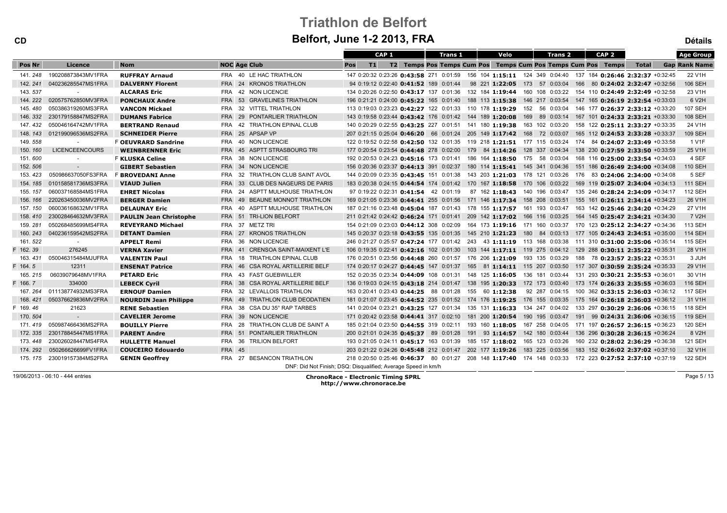CD

| CD        |                             | Belfort, June 1-2 2013, FRA<br><b>Détails</b> |                                        |                                                               |                                                                         |      |                                                                                                          |                                  |                      |  |  |  |
|-----------|-----------------------------|-----------------------------------------------|----------------------------------------|---------------------------------------------------------------|-------------------------------------------------------------------------|------|----------------------------------------------------------------------------------------------------------|----------------------------------|----------------------|--|--|--|
|           |                             |                                               |                                        | CAP <sub>1</sub>                                              | <b>Trans 1</b>                                                          | Velo | CAP <sub>2</sub><br>Trans 2                                                                              |                                  | <b>Age Group</b>     |  |  |  |
| Pos Nr    | Licence                     | <b>Nom</b>                                    | <b>NOC Age Club</b>                    | T1 <br>Pos                                                    |                                                                         |      | T2 Temps Pos Temps Cum Pos Temps Cum Pos Temps Cum Pos Temps                                             | Total                            | <b>Gap Rank Name</b> |  |  |  |
| 141, 248  | 190208873843MV1FRA          | <b>RUFFRAY Arnaud</b>                         | FRA 40 LE HAC TRIATHLON                |                                                               |                                                                         |      | 147 0:20:32 0:23:26 0:43:58 271 0:01:59 156 104 1:15:11 124 349 0:04:40 137 184 0:26:46 2:32:37 +0:32:45 |                                  | 22 V1H               |  |  |  |
| 142.241   | 040236285547MS1FRA          | <b>DALVERNY Florent</b>                       | FRA 24 KRONOS TRIATHLON                | 94 0:19:12 0:22:40 0:41:52 189 0:01:44                        |                                                                         |      | 98 221 1:22:05 173 57 0:03:04 166 80 0:24:02 2:32:47 +0:32:56                                            |                                  | <b>106 SEH</b>       |  |  |  |
| 143.537   |                             | <b>ALCARAS Eric</b>                           | FRA 42 NON LICENCIE                    |                                                               |                                                                         |      | 134 0:20:26 0:22:50 0:43:17 137 0:01:36 132 184 1:19:44 160 108 0:03:22 154 110 0:24:49 2:32:49 +0:32:58 |                                  | 23 V1H               |  |  |  |
|           | 144. 222 020575762850MV3FRA | <b>PONCHAUX Andre</b>                         | FRA 53 GRAVELINES TRIATHLON            |                                                               |                                                                         |      | 196 0:21:21 0:24:00 0:45:22 165 0:01:40 188 113 1:15:38 146 217 0:03:54 147 165 0:26:19 2:32:54 +0:33:03 |                                  | 6 V2H                |  |  |  |
| 145, 480  | 050386319260MS3FRA          | <b>VANCON Mickael</b>                         | FRA 32 VITTEL TRIATHLON                |                                                               |                                                                         |      | 113 0:19:03 0:23:23 0:42:27 122 0:01:33 110 178 1:19:29 152 56 0:03:04 146 177 0:26:37 2:33:12 +0:33:20  |                                  | <b>107 SEH</b>       |  |  |  |
| 146. 332  | 230179158847MS2FRA          | <b>DUMANS Fabrice</b>                         | FRA 29 PONTARLIER TRIATHLON            |                                                               |                                                                         |      | 143 0:19:58 0:23:44 0:43:42 176 0:01:42 144 189 1:20:08 169 89 0:03:14 167 101 0:24:33 2:33:21 +0:33:30  |                                  | <b>108 SEH</b>       |  |  |  |
| 147, 432  | 050046164742MV1FRA          | <b>BERTRAND Renaud</b>                        | 42 TRIATHLON EPINAL CLUB<br><b>FRA</b> |                                                               | 140 0:20:29 0:22:55 0:43:25 227 0:01:51 141 180 1:19:38 163 102 0:03:20 |      |                                                                                                          | 158 122 0:25:11 2:33:27 +0:33:35 | 24 V1H               |  |  |  |
| 148, 143  | 012199096536MS2FRA          | <b>SCHNEIDER Pierre</b>                       | FRA 25 APSAP VP                        |                                                               |                                                                         |      | 207 0:21:15 0:25:04 0:46:20 66 0:01:24 205 149 1:17:42 168 72 0:03:07 165 112 0:24:53 2:33:28 +0:33:37   |                                  | <b>109 SEH</b>       |  |  |  |
| 149.558   |                             | <b>F OEUVRARD Sandrine</b>                    | FRA 40 NON LICENCIE                    |                                                               |                                                                         |      | 122 0:19:52 0:22:58 0:42:50 132 0:01:35 119 218 1:21:51 177 115 0:03:24 174 84 0:24:07 2:33:49 +0:33:58  |                                  | 1 V1F                |  |  |  |
| 150.160   | <b>LICENCEENCOURS</b>       | <b>WEINBRENNER Eric</b>                       | FRA 45 ASPTT STRASBOURG TRI            |                                                               |                                                                         |      | 177 0:20:54 0:23:54 0:44:48 278 0:02:00 179 84 1:14:26 128 337 0:04:34 138 230 0:27:59 2:33:50 +0:33:59  |                                  | 25 V1H               |  |  |  |
| 151.600   |                             | <b>F KLUSKA Celine</b>                        | FRA 38 NON LICENCIE                    |                                                               |                                                                         |      | 192 0:20:53 0:24:23 0:45:16 173 0:01:41 186 164 1:18:50 175 58 0:03:04 168 116 0:25:00 2:33:54 +0:34:03  |                                  | 4 SEF                |  |  |  |
| 152.506   | $\sim$                      | <b>GIBERT Sebastien</b>                       | FRA 34 NON LICENCIE                    |                                                               |                                                                         |      | 156 0:20:36 0:23:37 0:44:13 391 0:02:37 180 114 1:15:41 145 341 0:04:36 151 186 0:26:49 2:34:00 +0:34:08 |                                  | <b>110 SEH</b>       |  |  |  |
| 153, 423  | 050986637050FS3FRA          | <b>F BROVEDANI Anne</b>                       | 32 TRIATHLON CLUB SAINT AVOL<br>FRA    |                                                               |                                                                         |      | 144 0:20:09 0:23:35 0:43:45 151 0:01:38 143 203 1:21:03 178 121 0:03:26 176 83 0:24:06 2:34:00 +0:34:08  |                                  | 5 SEF                |  |  |  |
| 154, 185  | 010158581736MS3FRA          | <b>VIAUD Julien</b>                           | FRA 33 CLUB DES NAGEURS DE PARIS       |                                                               |                                                                         |      | 183 0:20:38 0:24:15 0:44:54 174 0:01:42 170 167 1:18:58 170 106 0:03:22 169 119 0:25:07 2:34:04 +0:34:13 |                                  | <b>111 SEH</b>       |  |  |  |
| 155, 157  | 060037168584MS1FRA          | <b>EHRET Nicolas</b>                          | FRA 24 ASPTT MULHOUSE TRIATHLON        | 97 0:19:22 0:22:31 0:41:54 42 0:01:19                         |                                                                         |      | 87 162 1:18:43 140 196 0:03:47 135 246 0:28:24 2:34:09 +0:34:17                                          |                                  | <b>112 SEH</b>       |  |  |  |
| 156, 166  | 220263450036MV2FRA          | <b>BERGER Damien</b>                          | FRA 49 BEAUNE MONNOT TRIATHLON         |                                                               |                                                                         |      | 169 0:21:05 0:23:36 0:44:41 255 0:01:56 171 146 1:17:34 158 208 0:03:51 155 161 0:26:11 2:34:14 +0:34:23 |                                  | 26 V1H               |  |  |  |
| 157.150   | 060036168632MV1FRA          | <b>DELAUNAY Eric</b>                          | FRA 40 ASPTT MULHOUSE TRIATHLON        |                                                               |                                                                         |      | 187 0:21:16 0:23:48 0:45:04 187 0:01:43 178 155 1:17:57 161 193 0:03:47 163 142 0:25:46 2:34:20 +0:34:29 |                                  | 27 V1H               |  |  |  |
| 158.410   | 230028464632MV3FRA          | <b>PAULIN Jean Christophe</b>                 | FRA 51 TRI-LION BELFORT                |                                                               | 211 0:21:42 0:24:42 0:46:24 171 0:01:41 209 142 1:17:02 166 116 0:03:25 |      |                                                                                                          | 164 145 0:25:47 2:34:21 +0:34:30 | 7 V2H                |  |  |  |
| 159.281   | 050268485699MS4FRA          | <b>REVEYRAND Michael</b>                      | FRA 37 METZ TRI                        |                                                               |                                                                         |      | 154 0:21:09 0:23:03 0:44:12 308 0:02:09 164 173 1:19:16 171 160 0:03:37 170 123 0:25:12 2:34:27 +0:34:36 |                                  | 113 SEH              |  |  |  |
| 160, 243  | 040236159542MS2FRA          | <b>DETANT Damien</b>                          | FRA 27 KRONOS TRIATHLON                |                                                               |                                                                         |      | 145 0:20:37 0:23:18 0:43:55 135 0:01:35 145 210 1:21:23 180 84 0:03:13 177 105 0:24:43 2:34:51 +0:35:00  |                                  | <b>114 SEH</b>       |  |  |  |
| 161, 522  | $\sim$                      | <b>APPELT Remi</b>                            | FRA 36 NON LICENCIE                    |                                                               |                                                                         |      | 246 0:21:27 0:25:57 0:47:24 177 0:01:42 243 43 1:11:19 113 168 0:03:38 111 310 0:31:00 2:35:06 +0:35:14  |                                  | <b>115 SEH</b>       |  |  |  |
| F 162, 39 | 276245                      | <b>VERNA Xavier</b>                           | FRA 41 CRENSOA SAINT-MAIXENT L'E       |                                                               |                                                                         |      | 106 0:19:35 0:22:41 0:42:16 102 0:01:30 103 144 1:17:11 119 275 0:04:12 129 288 0:30:11 2:35:22 +0:35:31 |                                  | 28 V1H               |  |  |  |
| 163, 431  | 050046315484MJUFRA          | <b>VALENTIN Paul</b>                          | FRA 18 TRIATHLON EPINAL CLUB           |                                                               |                                                                         |      | 176 0:20:51 0:23:56 0:44:48 260 0:01:57 176 206 1:21:09 193 135 0:03:29 188 78 0:23:57 2:35:22 +0:35:31  |                                  | 3 JUH                |  |  |  |
| F 164.5   | 12311                       | <b>ENSENAT Patrice</b>                        | FRA 46 CSA ROYAL ARTILLERIE BELF       |                                                               |                                                                         |      | 174 0:20:17 0:24:27 0:44:45 147 0:01:37 165 81 1:14:11 115 207 0:03:50 117 307 0:30:59 2:35:24 +0:35:33  |                                  | 29 V1H               |  |  |  |
| 165, 215  | 06039079648MV1FRA           | <b>PETARD Eric</b>                            | FRA 43 FAST GUEBWILLER                 |                                                               |                                                                         |      | 152 0:20:35 0:23:34 0:44:09 108 0:01:31 148 125 1:16:05 136 181 0:03:44 131 293 0:30:21 2:35:53 +0:36:01 |                                  | 30 V1H               |  |  |  |
| F 166.7   | 334000                      | <b>LEBECK Cyril</b>                           | FRA 38 CSA ROYAL ARTILLERIE BELF       |                                                               |                                                                         |      | 136 0:19:03 0:24:15 0:43:18 214 0:01:47 138 195 1:20:33 172 173 0:03:40 173 174 0:26:33 2:35:55 +0:36:03 |                                  | <b>116 SEH</b>       |  |  |  |
| 167, 264  | 011138774932MS3FRA          | <b>ERNOUF Damien</b>                          | 32 LEVALLOIS TRIATHLON<br>FRA          |                                                               | 163 0:20:41 0:23:43 0:44:25 88 0:01:28 155 60 1:12:38                   |      | 92 287 0:04:15 100 362 0:33:15 2:36:03 +0:36:12                                                          |                                  | <b>117 SEH</b>       |  |  |  |
| 168.421   | 050376629836MV2FRA          | <b>NOURDIN Jean Philippe</b>                  | FRA 49 TRIATHLON CLUB DEODATIEN        |                                                               |                                                                         |      | 181 0:21:07 0:23:45 0:44:52 235 0:01:52 174 176 1:19:25 176 155 0:03:35 175 164 0:26:18 2:36:03 +0:36:12 |                                  | 31 V1H               |  |  |  |
| F 169.46  | 21623                       | <b>RENE Sebastien</b>                         | 38 CSA DU 35° RAP TARBES<br>FRA        |                                                               |                                                                         |      | 141 0:20:04 0:23:21 0:43:25 127 0:01:34 135 131 1:16:33 134 247 0:04:02 133 297 0:30:29 2:36:06 +0:36:15 |                                  | <b>118 SEH</b>       |  |  |  |
| 170.504   | $\sim$                      | <b>CAVELIER Jerome</b>                        | FRA 39 NON LICENCIE                    |                                                               |                                                                         |      | 171 0:20:42 0:23:58 0:44:41 317 0:02:10 181 200 1:20:54 190 195 0:03:47 191 99 0:24:31 2:36:06 +0:36:15  |                                  | <b>119 SEH</b>       |  |  |  |
| 171.419   | 050987466436MS2FRA          | <b>BOUILLY Pierre</b>                         | FRA 28 TRIATHLON CLUB DE SAINT A       |                                                               |                                                                         |      | 185 0:21:04 0:23:50 0:44:55 319 0:02:11 193 160 1:18:05 167 258 0:04:05 171 197 0:26:57 2:36:15 +0:36:23 |                                  | <b>120 SEH</b>       |  |  |  |
|           | 172. 335 230178845447MS1FRA | <b>PARENT Andre</b>                           | FRA 51 PONTARLIER TRIATHLON            |                                                               |                                                                         |      | 200 0:21:01 0:24:35 0:45:37 89 0:01:28 191 93 1:14:57 142 180 0:03:44 136 296 0:30:28 2:36:15 +0:36:24   |                                  | 8 V2H                |  |  |  |
|           | 173.448 230026028447MS4FRA  | <b>HULLETTE Manuel</b>                        | FRA 36 TRILION BELFORT                 |                                                               |                                                                         |      | 193 0:21:05 0:24:11 0:45:17 163 0:01:39 185 157 1:18:02 165 123 0:03:26 160 232 0:28:02 2:36:29 +0:36:38 |                                  | <b>121 SEH</b>       |  |  |  |
| 174, 292  | 050266626699FV1FRA          | <b>COUCEIRO Edouardo</b>                      | <b>FRA 45</b>                          |                                                               |                                                                         |      | 203 0:21:22 0:24:26 0:45:48 212 0:01:47 202 177 1:19:26 183 225 0:03:56 183 152 0:26:02 2:37:02 +0:37:10 |                                  | 32 V1H               |  |  |  |
|           | 175. 175 230019157384MS2FRA | <b>GENIN Geoffrey</b>                         | FRA 27 BESANCON TRIATHLON              |                                                               |                                                                         |      | 218 0:20:50 0:25:46 0:46:37 80 0:01:27 208 148 1:17:40 174 148 0:03:33 172 223 0:27:52 2:37:10 +0:37:19  |                                  | <b>122 SEH</b>       |  |  |  |
|           |                             |                                               |                                        | DNF: Did Not Finish; DSQ: Disqualified; Average Speed in km/h |                                                                         |      |                                                                                                          |                                  |                      |  |  |  |

19/06/2013 - 06:10 - 444 entries

ChronoRace - Electronic Timing SPRL http://www.chronorace.be

Page 5 / 13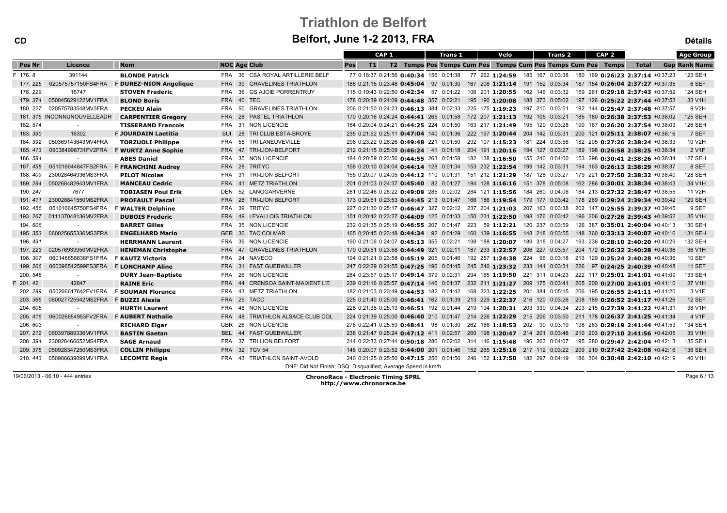| CD            |                             |                               |                                              | Belfort, June 1-2 2013, FRA                                   |                                                                         |                                                                                                          |                                  | <b>Détails</b>       |
|---------------|-----------------------------|-------------------------------|----------------------------------------------|---------------------------------------------------------------|-------------------------------------------------------------------------|----------------------------------------------------------------------------------------------------------|----------------------------------|----------------------|
|               |                             |                               |                                              | CAP <sub>1</sub>                                              | <b>Trans 1</b><br>Velo                                                  | <b>Trans 2</b><br>CAP <sub>2</sub>                                                                       |                                  | <b>Age Group</b>     |
| <b>Pos Nr</b> | Licence                     | <b>Nom</b>                    | <b>NOC Age Club</b>                          | T1<br>Pos                                                     |                                                                         | T2 Temps Pos Temps Cum Pos Temps Cum Pos Temps Cum Pos Temps                                             | <b>Total</b>                     | <b>Gap Rank Name</b> |
| F 176.8       | 391144                      | <b>BLONDE Patrick</b>         | FRA 36 CSA ROYAL ARTILLERIE BELF             |                                                               |                                                                         | 77 0:18:37 0:21:56 0:40:34 156 0:01:38 77 262 1:24:59 185 167 0:03:38 180 169 0:26:23 2:37:14 +0:37:23   |                                  | 123 SEH              |
| 177, 225      | 020575757150FS4FRA          | <b>F DUREZ-NION Angelique</b> | <b>GRAVELINES TRIATHLON</b><br><b>FRA</b> 39 |                                                               |                                                                         | 186 0:21:15 0:23:48 0:45:04 97 0:01:30 167 208 1:21:14 191 152 0:03:34 187 154 0:26:04 2:37:27 +0:37:35  |                                  | 6 SEF                |
| 178, 229      | 16747                       | <b>STOVEN Frederic</b>        | FRA 36<br><b>GS AJOIE PORRENTRUY</b>         |                                                               |                                                                         | 115 0:19:43 0:22:50 0:42:34 57 0:01:22 106 201 1:20:55 162 146 0:03:32 159 261 0:29:18 2:37:43 +0:37:52  |                                  | <b>124 SEH</b>       |
| 179.374       | 050045629122MV1FRA          | <b>BLOND Boris</b>            | FRA 40 TEC                                   |                                                               |                                                                         | 178 0:20:39 0:24:09 0:44:48 357 0:02:21 195 190 1:20:08 188 373 0:05:02 197 126 0:25:22 2:37:44 +0:37:53 |                                  | 33 V1H               |
| 180.227       | 020575783548MV3FRA          | <b>PECKEU Alain</b>           | <b>GRAVELINES TRIATHLON</b><br>FRA<br>50     |                                                               | 206 0:21:50 0:24:23 0:46:13 384 0:02:33 225 175 1:19:23 197 210 0:03:51 | 192 144 0:25:47 2:37:48 +0:37:57                                                                         |                                  | 9 V2H                |
|               | 181. 315 INCONNUNOUVELLEADH | <b>CARPENTIER Gregory</b>     | FRA 28 PASTEL TRIATHLON                      |                                                               |                                                                         | 170 0:20:16 0:24:24 0:44:41 265 0:01:58 172 207 1:21:13 192 105 0:03:21 185 180 0:26:38 2:37:53 +0:38:02 |                                  | <b>125 SEH</b>       |
| 182.574       | $\sim$                      | <b>TISSERAND Francois</b>     | FRA 31 NON LICENCIE                          |                                                               |                                                                         | 164 0:20:04 0:24:21 0:44:25 224 0:01:50 163 217 1:21:49 195 129 0:03:28 190 167 0:26:20 2:37:54 +0:38:03 |                                  | <b>126 SEH</b>       |
| 183.390       | 16302                       | F JOURDAIN Laetitia           | SUI 28 TRI CLUB ESTA-BROYE                   |                                                               |                                                                         | 235 0:21:52 0:25:11 0:47:04 140 0:01:36 222 197 1:20:44 204 142 0:03:31 200 121 0:25:11 2:38:07 +0:38:16 |                                  | 7 SEF                |
| 184.392       | 050369143643MV4FRA          | <b>TORZUOLI Philippe</b>      | FRA 55 TRI LANEUVEVILLE                      |                                                               |                                                                         | 298 0:23:22 0:26:26 0:49:48 221 0:01:50 292 107 1:15:23 181 224 0:03:56 182 205 0:27:26 2:38:24 +0:38:33 |                                  | 10 V2H               |
| 185.413       | 090384998731FV2FRA          | <b>F WURTZ Anne Sophie</b>    | FRA 47 TRI-LION-BELFORT                      |                                                               |                                                                         | 212 0:21:15 0:25:09 0:46:24 41 0:01:18 204 191 1:20:16 194 127 0:03:27 189 198 0:26:58 2:38:25 +0:38:34  |                                  | 2 V1F                |
| 186.584       | $\sim$                      | <b>ABES Daniel</b>            | FRA 35 NON LICENCIE                          |                                                               | 184 0:20:59 0:23:56 0:44:55 263 0:01:58 182 138 1:16:50 155 240 0:04:00 |                                                                                                          | 153 298 0:30:41 2:38:26 +0:38:34 | <b>127 SEH</b>       |
| 187.458       | 051016644847FS2FRA          | <b>F FRANCHINI Audrey</b>     | FRA 28 TRITYC                                |                                                               |                                                                         | 158 0:20:10 0:24:04 0:44:14 128 0:01:34 153 232 1:22:54 199 142 0:03:31 194 163 0:26:13 2:38:29 +0:38:37 |                                  | 8 SEF                |
| 188, 409      | 230028464936MS3FRA          | <b>PILOT Nicolas</b>          | FRA 31 TRI-LION BELFORT                      |                                                               |                                                                         | 155 0:20:07 0:24:05 0:44:12 110 0:01:31 151 212 1:21:29 187 128 0:03:27 179 221 0:27:50 2:38:32 +0:38:40 |                                  | <b>128 SEH</b>       |
| 189, 284      | 050268482943MV1FRA          | <b>MANCEAU Cedric</b>         | FRA 41 METZ TRIATHLON                        |                                                               |                                                                         | 201 0:21:03 0:24:37 0:45:40 82 0:01:27 194 128 1:16:16 151 378 0:05:08 162 286 0:30:01 2:38:34 +0:38:43  |                                  | 34 V1H               |
| 190.247       | 7677                        | <b>TOBIASEN Poul Erik</b>     | DEN 52 LANGGARVERNE                          |                                                               |                                                                         | 281 0:22:46 0:26:22 0:49:09 285 0:02:02 284 121 1:15:56 184 260 0:04:06 184 213 0:27:32 2:38:47 +0:38:55 |                                  | 11 V2H               |
| 191.411       | 230028841550MS2FRA          | <b>PROFAULT Pascal</b>        | FRA 28 TRI-LION BELFORT                      |                                                               |                                                                         | 173 0:20:51 0:23:53 0:44:45 213 0:01:47 166 186 1:19:54 179 177 0:03:42 178 269 0:29:24 2:39:34 +0:39:42 |                                  | <b>129 SEH</b>       |
| 192.456       | 051016645750FS4FRA          | <b>F WALTER Delphine</b>      | FRA 39 TRITYC                                |                                                               |                                                                         | 227 0:21:30 0:25:17 0:46:47 327 0:02:12 237 204 1:21:03 207 163 0:03:38 202 147 0:25:55 2:39:37 +0:39:45 |                                  | 9 SEF                |
| 193.267       | 011137048136MV2FRA          | <b>DUBOIS Frederic</b>        | FRA 49 LEVALLOIS TRIATHLON                   |                                                               |                                                                         | 151 0:20:42 0:23:27 0:44:09 125 0:01:33 150 231 1:22:50 198 176 0:03:42 196 206 0:27:26 2:39:43 +0:39:52 |                                  | 35 V1H               |
| 194, 606      | $\sim$                      | <b>BARRET Gilles</b>          | FRA 35 NON LICENCIE                          |                                                               |                                                                         | 232 0:21:35 0:25:19 0:46:55 207 0:01:47 223 59 1:12:21 120 237 0:03:59 126 387 0:35:01 2:40:04 +0:40:13  |                                  | 130 SEH              |
| 195. 353      | 060025655336MS3FRA          | <b>ENGELHARD Mario</b>        | GER 30 TAC COLMAR                            |                                                               |                                                                         | 165 0:20:45 0:23:48 0:44:34 92 0:01:29 160 139 1:16:55 148 218 0:03:55 148 360 0:33:13 2:40:07 +0:40:16  |                                  | <b>131 SEH</b>       |
| 196.491       |                             | <b>HERRMANN Laurent</b>       | FRA 39 NON LICENCIE                          |                                                               |                                                                         | 190 0:21:06 0:24:07 0:45:13 355 0:02:21 199 188 1:20:07 189 318 0:04:27 193 236 0:28:10 2:40:20 +0:40:29 |                                  | 132 SEH              |
| 197.223       | 020576939950MV2FRA          | <b>HENEMAN Christophe</b>     | FRA 47 GRAVELINES TRIATHLON                  |                                                               |                                                                         | 179 0:20:51 0:23:58 0:44:49 321 0:02:11 187 233 1:22:57 206 227 0:03:57 204 172 0:26:32 2:40:28 +0:40:36 |                                  | 36 V1H               |
| 198.307       | 060146658836FS1FRA          | <b>F KAUTZ Victoria</b>       | FRA 24 NAVECO                                |                                                               |                                                                         | 194 0:21:21 0:23:58 0:45:19 205 0:01:46 192 257 1:24:38 224 96 0:03:18 213 129 0:25:24 2:40:28 +0:40:36  |                                  | <b>10 SEF</b>        |
| 199, 206      | 060396542599FS3FRA          | <b>F LONCHAMP Aline</b>       | FRA 31 FAST GUEBWILLER                       |                                                               |                                                                         | 247 0:22:29 0:24:55 0:47:25 196 0:01:45 245 240 1:23:32 233 141 0:03:31 226 97 0:24:25 2:40:39 +0:40:48  |                                  | <b>11 SEF</b>        |
| 200. 548      | $\sim$                      | <b>DURY Jean-Baptiste</b>     | 26 NON LICENCIE<br><b>FRA</b>                |                                                               |                                                                         | 284 0:23:57 0:25:17 0:49:14 379 0:02:31 294 185 1:19:50 221 311 0:04:23 222 117 0:25:01 2:41:01 +0:41:09 |                                  | 133 SEH              |
| 201.42        | 42847                       | <b>RAINE Eric</b>             | FRA 44 CRENSOA SAINT-MAIXENT L'E             |                                                               |                                                                         | 239 0:21:16 0:25:57 0:47:14 146 0:01:37 232 211 1:21:27 209 175 0:03:41 205 200 0:27:00 2:41:01 +0:41:10 |                                  | 37 V1H               |
| 202.289       | 050266617642FV1FRA          | <b>F SOUMAN Florence</b>      | FRA 43 METZ TRIATHLON                        |                                                               |                                                                         | 182 0:21:03 0:23:49 0:44:53 182 0:01:42 168 223 1:22:25 201 384 0:05:15 206 195 0:26:55 2:41:11 +0:41:20 |                                  | 3 V1F                |
| 203.365       | 060027725942MS2FRA          | F BUZZI Alexia                | FRA 25 TACC                                  |                                                               |                                                                         | 225 0:21:40 0:25:00 0:46:41 162 0:01:39 213 229 1:22:37 216 120 0:03:26 208 189 0:26:52 2:41:17 +0:41:26 |                                  | 12 SEF               |
| 204.605       | $\sim$                      | <b>HURTH Laurent</b>          | FRA 48 NON LICENCIE                          |                                                               |                                                                         | 228 0:21:38 0:25:13 0:46:51 192 0:01:44 219 194 1:20:31 203 339 0:04:34 203 215 0:27:39 2:41:22 +0:41:31 |                                  | 38 V1H               |
| 205, 416      | 060026654953FV2FRA          | <b>F AUBERT Nathalie</b>      | FRA 48 TRIATHLON ALSACE CLUB COL             |                                                               |                                                                         | 224 0:21:39 0:25:00 0:46:40 210 0:01:47 214 226 1:22:29 215 206 0:03:50 211 178 0:26:37 2:41:25 +0:41:34 |                                  | 4 V1F                |
| 206.603       | $\sim$                      | <b>RICHARD Elgar</b>          | GBR 26 NON LICENCIE                          |                                                               |                                                                         | 276 0:22:41 0:25:59 0:48:41 98 0:01:30 262 166 1:18:53 202 99 0:03:19 198 263 0:29:19 2:41:44 +0:41:53   |                                  | <b>134 SEH</b>       |
| 207.212       | 060397889336MV1FRA          | <b>BASTIN Gaetan</b>          | BEL 44 FAST GUEBWILLER                       |                                                               |                                                                         | 238 0:21:47 0:25:24 0:47:12 411 0:02:57 260 198 1:20:47 214 201 0:03:48 210 203 0:27:10 2:41:56 +0:42:05 |                                  | 39 V1H               |
| 208.394       | 230028466652MS4FRA          | <b>SAGE Arnaud</b>            | FRA 37 TRI LION BELFORT                      |                                                               |                                                                         | 314 0:22:33 0:27:44 0:50:18 286 0:02:02 314 116 1:15:48 196 263 0:04:07 195 280 0:29:47 2:42:04 +0:42:13 |                                  | 135 SEH              |
| 209, 375      | 050928347250MS3FRA          | <b>COLLIN Philippe</b>        | FRA 32 TGV 54                                |                                                               |                                                                         | 148 0:20:07 0:23:52 0:44:00 201 0:01:46 152 265 1:25:16 217 112 0:03:22 209 219 0:27:42 2:42:08 +0:42:16 |                                  | <b>136 SEH</b>       |
|               | 210.443 050986639099MV1FRA  | <b>LECOMTE Regis</b>          | FRA 43 TRIATHLON SAINT-AVOLD                 |                                                               |                                                                         | 240 0:21:25 0:25:50 0:47:15 256 0:01:56 246 152 1:17:50 182 297 0:04:19 186 304 0:30:48 2:42:10 +0:42:19 |                                  | 40 V1H               |
|               |                             |                               |                                              | DNF: Did Not Finish; DSQ: Disqualified; Average Speed in km/h |                                                                         |                                                                                                          |                                  |                      |
|               |                             |                               |                                              |                                                               |                                                                         |                                                                                                          |                                  |                      |

19/06/2013 - 06:10 - 444 entries

CD

ChronoRace - Electronic Timing SPRL http://www.chronorace.be

Page 6 / 13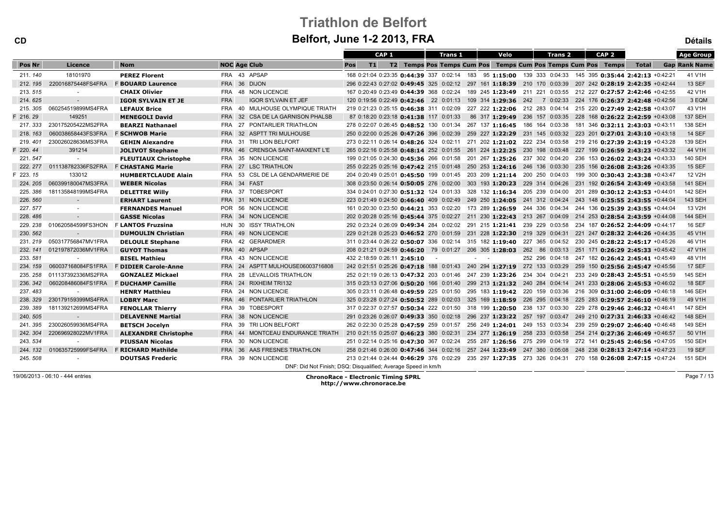# Triathlon de Belfort

| <b>Belfort, June 1-2 2013, FRA</b><br><b>CD</b> |                    |                             |                     |                                                               |                                                                                                          |                  |                                                              |        |                |  | <b>Détails</b>                                                  |  |                                                  |                  |                                  |  |                      |
|-------------------------------------------------|--------------------|-----------------------------|---------------------|---------------------------------------------------------------|----------------------------------------------------------------------------------------------------------|------------------|--------------------------------------------------------------|--------|----------------|--|-----------------------------------------------------------------|--|--------------------------------------------------|------------------|----------------------------------|--|----------------------|
|                                                 |                    |                             |                     |                                                               |                                                                                                          | CAP <sub>1</sub> |                                                              |        | <b>Trans 1</b> |  | Velo                                                            |  | <b>Trans 2</b>                                   | CAP <sub>2</sub> |                                  |  | <b>Age Group</b>     |
| Pos Nr                                          | Licence            | <b>Nom</b>                  | <b>NOC Age Club</b> |                                                               | Pos<br> T1                                                                                               |                  | T2 Temps Pos Temps Cum Pos Temps Cum Pos Temps Cum Pos Temps |        |                |  |                                                                 |  |                                                  |                  | Total                            |  | <b>Gap Rank Name</b> |
| 211.140                                         | 18101970           | <b>PEREZ Florent</b>        |                     | FRA 43 APSAP                                                  | 168 0:21:04 0:23:35 0:44:39 337 0:02:14 183 95 1:15:00 139 333 0:04:33 145 395 0:35:44 2:42:13 +0:42:21  |                  |                                                              |        |                |  |                                                                 |  |                                                  |                  |                                  |  | 41 V1H               |
| 212, 195                                        | 220016875448FS4FRA | <b>F BOUARD Laurence</b>    | FRA 36 DIJON        |                                                               | 296 0:22:43 0:27:02 0:49:45 325 0:02:12 297 161 1:18:39 210 170 0:03:39 207 242 0:28:19 2:42:35 +0:42:44 |                  |                                                              |        |                |  |                                                                 |  |                                                  |                  |                                  |  | <b>13 SEF</b>        |
| 213.515                                         |                    | <b>CHAIX Olivier</b>        |                     | FRA 48 NON LICENCIE                                           | 167 0:20:49 0:23:49 0:44:39 368 0:02:24 189 245 1:23:49 211 221 0:03:55 212 227 0:27:57 2:42:46 +0:42:55 |                  |                                                              |        |                |  |                                                                 |  |                                                  |                  |                                  |  | 42 V1H               |
| 214.625                                         | $\sim$             | <b>IGOR SYLVAIN ET JE</b>   | <b>FRA</b>          | <b>IGOR SYLVAIN ET JEF</b>                                    | 120 0:19:56 0:22:49 0:42:46 22 0:01:13 109 314 1:29:36 242 7 0:02:33 224 176 0:26:37 2:42:48 +0:42:56    |                  |                                                              |        |                |  |                                                                 |  |                                                  |                  |                                  |  | 3 EQM                |
| 215, 305                                        | 060254519899MS4FRA | <b>LEFAUX Brice</b>         |                     | FRA 40 MULHOUSE OLYMPIQUE TRIATH                              | 219 0:21:23 0:25:15 0:46:38 311 0:02:09 227 222 1:22:06 212 283 0:04:14 215 220 0:27:49 2:42:58 +0:43:07 |                  |                                                              |        |                |  |                                                                 |  |                                                  |                  |                                  |  | 43 V1H               |
| F 216, 29                                       | 149251             | <b>MENEGOLI David</b>       |                     | FRA 32 CSA DE LA GARNISON PHALSB                              | 87 0:18:20 0:23:18 0:41:38 117 0:01:33                                                                   |                  |                                                              |        |                |  | 86 317 1:29:49 236 157 0:03:35 228 168 0:26:22 2:42:59 +0:43:08 |  |                                                  |                  |                                  |  | <b>137 SEH</b>       |
| 217.333                                         | 230175205422MS2FRA | <b>BEARZI Nathanael</b>     | <b>FRA</b>          | 27 PONTARLIER TRIATHLON                                       | 278 0:22:07 0:26:45 0:48:52 130 0:01:34 267 137 1:16:45 186 164 0:03:38                                  |                  |                                                              |        |                |  |                                                                 |  |                                                  |                  | 181 346 0:32:11 2:43:03 +0:43:11 |  | 138 SEH              |
| 218, 163                                        | 060038658443FS3FRA | <b>F SCHWOB Marie</b>       |                     | FRA 32 ASPTT TRIMULHOUSE                                      | 250 0:22:00 0:25:26 0:47:26 396 0:02:39 259 227 1:22:29 231 145 0:03:32 223 201 0:27:01 2:43:10 +0:43:18 |                  |                                                              |        |                |  |                                                                 |  |                                                  |                  |                                  |  | <b>14 SEF</b>        |
| 219, 401                                        | 230026028636MS3FRA | <b>GEHIN Alexandre</b>      |                     | FRA 31 TRI LION BELFORT                                       | 273 0:22:11 0:26:14 0:48:26 324 0:02:11 271 202 1:21:02 222 234 0:03:58 219 216 0:27:39 2:43:19 +0:43:28 |                  |                                                              |        |                |  |                                                                 |  |                                                  |                  |                                  |  | 139 SEH              |
| F 220.44                                        | 391214             | <b>JOLIVOT Stephane</b>     |                     | FRA 46 CRENSOA SAINT-MAIXENT L'E                              | 265 0:22:16 0:25:58 0:48:14 252 0:01:55 261 224 1:22:25 230 198 0:03:48 227 199 0:26:59 2:43:23 +0:43:32 |                  |                                                              |        |                |  |                                                                 |  |                                                  |                  |                                  |  | 44 V1H               |
| 221.547                                         | $\sim$             | <b>FLEUTIAUX Christophe</b> | FRA                 | 35 NON LICENCIE                                               | 199 0:21:05 0:24:30 0:45:36 266 0:01:58 201 267 1:25:26 237 302 0:04:20 236 153 0:26:02 2:43:24 +0:43:33 |                  |                                                              |        |                |  |                                                                 |  |                                                  |                  |                                  |  | <b>140 SEH</b>       |
| 222, 277                                        | 011138782336FS2FRA | <b>F CHASTANG Marie</b>     |                     | FRA 27 LSC TRIATHLON                                          | 255 0:22:25 0:25:16 0:47:42 215 0:01:48 250 253 1:24:16 246 136 0:03:30 235 156 0:26:08 2:43:26 +0:43:35 |                  |                                                              |        |                |  |                                                                 |  |                                                  |                  |                                  |  | <b>15 SEF</b>        |
| F 223.15                                        | 133012             | <b>HUMBERTCLAUDE Alain</b>  |                     | FRA 53 CSL DE LA GENDARMERIE DE                               | 204 0:20:49 0:25:01 0:45:50 199 0:01:45 203 209 1:21:14 200 250 0:04:03 199 300 0:30:43 2:43:38 +0:43:47 |                  |                                                              |        |                |  |                                                                 |  |                                                  |                  |                                  |  | 12 V2H               |
| 224, 205                                        | 060399180047MS3FRA | <b>WEBER Nicolas</b>        | FRA 34 FAST         |                                                               | 308 0:23:50 0:26:14 0:50:05 276 0:02:00 303 193 1:20:23 229 314 0:04:26 231 192 0:26:54 2:43:49 +0:43:58 |                  |                                                              |        |                |  |                                                                 |  |                                                  |                  |                                  |  | <b>141 SEH</b>       |
| 225, 386                                        | 181135848199MS4FRA | <b>DELETTRE Willy</b>       |                     | FRA 37 TOBESPORT                                              | 334 0:24:01 0:27:30 0:51:32 124 0:01:33 328 132 1:16:34 205 239 0:04:00 201 289 0:30:12 2:43:53 +0:44:01 |                  |                                                              |        |                |  |                                                                 |  |                                                  |                  |                                  |  | <b>142 SEH</b>       |
| 226.560                                         | $\sim$             | <b>ERHART Laurent</b>       |                     | FRA 31 NON LICENCIE                                           | 223 0:21:49 0:24:50 0:46:40 409 0:02:49 249 250 1:24:05 241 312 0:04:24 243 148 0:25:55 2:43:55 +0:44:04 |                  |                                                              |        |                |  |                                                                 |  |                                                  |                  |                                  |  | 143 SEH              |
| 227, 577                                        |                    | <b>FERNANDES Manuel</b>     |                     | POR 56 NON LICENCIE                                           | 161 0:20:30 0:23:50 0:44:21 353 0:02:20 173 289 1:26:59 244 336 0:04:34 244 136 0:25:39 2:43:55 +0:44:04 |                  |                                                              |        |                |  |                                                                 |  |                                                  |                  |                                  |  | 13 V2H               |
| 228, 486                                        | $\sim$             | <b>GASSE Nicolas</b>        |                     | FRA 34 NON LICENCIE                                           | 202 0:20:28 0:25:16 0:45:44 375 0:02:27 211 230 1:22:43 213 267 0:04:09 214 253 0:28:54 2:43:59 +0:44:08 |                  |                                                              |        |                |  |                                                                 |  |                                                  |                  |                                  |  | <b>144 SEH</b>       |
| 229.238                                         | 010620584599FS3HON | <b>F LANTOS Fruzsina</b>    |                     | HUN 30 ISSY TRIATHLON                                         | 292 0:23:24 0:26:09 0:49:34 284 0:02:02 291 215 1:21:41 239 229 0:03:58 234 187 0:26:52 2:44:09 +0:44:17 |                  |                                                              |        |                |  |                                                                 |  |                                                  |                  |                                  |  | <b>16 SEF</b>        |
| 230, 562                                        |                    | <b>DUMOULIN Christian</b>   |                     | FRA 49 NON LICENCIE                                           | 229 0:21:28 0:25:23 0:46:52 270 0:01:59 231 228 1:22:30 219 329 0:04:31 221 247 0:28:32 2:44:26 +0:44:35 |                  |                                                              |        |                |  |                                                                 |  |                                                  |                  |                                  |  | 45 V1H               |
| 231, 219                                        | 050317756847MV1FRA | <b>DELOULE Stephane</b>     |                     | FRA 42 GERARDMER                                              | 311 0:23:44 0:26:22 0:50:07 336 0:02:14 315 182 1:19:40 227 365 0:04:52 230 245 0:28:22 2:45:17 +0:45:26 |                  |                                                              |        |                |  |                                                                 |  |                                                  |                  |                                  |  | 46 V1H               |
| 232, 141                                        | 012197872036MV1FRA | <b>GUYOT Thomas</b>         |                     | FRA 40 APSAP                                                  | 208 0:21:21 0:24:59 0:46:20 79 0:01:27 206 305 1:28:03 262 86 0:03:13 251 171 0:26:29 2:45:33 +0:45:42   |                  |                                                              |        |                |  |                                                                 |  |                                                  |                  |                                  |  | 47 V1H               |
| 233.581                                         | $\sim$             | <b>BISEL Mathieu</b>        |                     | FRA 43 NON LICENCIE                                           | 432 2:18:59 0:26:11 2:45:10                                                                              |                  |                                                              | $\sim$ |                |  | $\omega_{\rm{max}}=0.01$                                        |  | 252 296 0:04:18 247 182 0:26:42 2:45:41 +0:45:49 |                  |                                  |  | 48 V1H               |
| 234.159                                         | 060037168084FS1FRA | <b>F DIDIER Carole-Anne</b> |                     | FRA 24 ASPTT MULHOUSE06003716808                              | 242 0:21:51 0:25:26 0:47:18 188 0:01:43 240 294 1:27:19 272 133 0:03:29 259 150 0:25:56 2:45:47 +0:45:56 |                  |                                                              |        |                |  |                                                                 |  |                                                  |                  |                                  |  | <b>17 SEF</b>        |
| 235, 258                                        | 011137392336MS2FRA | <b>GONZALEZ Mickael</b>     |                     | FRA 28 LEVALLOIS TRIATHLON                                    | 252 0:21:19 0:26:13 0:47:32 203 0:01:46 247 239 1:23:26 234 304 0:04:21 233 249 0:28:43 2:45:51 +0:45:59 |                  |                                                              |        |                |  |                                                                 |  |                                                  |                  |                                  |  | <b>145 SEH</b>       |
| 236, 342                                        | 060208486084FS1FRA | <b>F DUCHAMP Camille</b>    |                     | FRA 24 RIXHEIM TRI132                                         | 315 0:23:13 0:27:06 0:50:20 166 0:01:40 299 213 1:21:32 240 284 0:04:14 241 233 0:28:06 2:45:53 +0:46:02 |                  |                                                              |        |                |  |                                                                 |  |                                                  |                  |                                  |  | 18 SEF               |
| 237.483                                         |                    | <b>HENRY Matthieu</b>       |                     | FRA 24 NON LICENCIE                                           | 305 0:23:11 0:26:48 0:49:59 225 0:01:50 295 183 1:19:42 220 159 0:03:36 216 309 0:31:00 2:46:09 +0:46:18 |                  |                                                              |        |                |  |                                                                 |  |                                                  |                  |                                  |  | 146 SEH              |
| 238.329                                         | 230179159399MS4FRA | <b>LOBRY Marc</b>           |                     | FRA 46 PONTARLIER TRIATHLON                                   | 325 0:23:28 0:27:24 0:50:52 289 0:02:03 325 169 1:18:59 226 295 0:04:18 225 283 0:29:57 2:46:10 +0:46:19 |                  |                                                              |        |                |  |                                                                 |  |                                                  |                  |                                  |  | 49 V1H               |
| 239, 389                                        | 181139212699MS4FRA | <b>FENOLLAR Thierry</b>     |                     | FRA 39 TOBESPORT                                              | 317 0:22:37 0:27:57 0:50:34 222 0:01:50 318 199 1:20:50 238 137 0:03:30 229 278 0:29:46 2:46:32 +0:46:41 |                  |                                                              |        |                |  |                                                                 |  |                                                  |                  |                                  |  | <b>147 SEH</b>       |
| 240.505                                         | $\sim$             | <b>DELAVENNE Martial</b>    |                     | FRA 38 NON LICENCIE                                           | 291 0:23:26 0:26:07 0:49:33 350 0:02:18 296 237 1:23:22 257 197 0:03:47 249 210 0:27:31 2:46:33 +0:46:42 |                  |                                                              |        |                |  |                                                                 |  |                                                  |                  |                                  |  | <b>148 SEH</b>       |
| 241, 395                                        | 230026059936MS4FRA | <b>BETSCH Jocelyn</b>       |                     | FRA 39 TRI LION BELFORT                                       | 262 0:22:30 0:25:28 0:47:59 259 0:01:57 256 249 1:24:01 249 153 0:03:34 239 259 0:29:07 2:46:40 +0:46:48 |                  |                                                              |        |                |  |                                                                 |  |                                                  |                  |                                  |  | <b>149 SEH</b>       |
| 242.304                                         | 220696928022MV1FRA | <b>ALEXANDRE Christophe</b> |                     | FRA 44 MONTCEAU ENDURANCE TRIATH                              | 210 0:21:15 0:25:07 0:46:23 380 0:02:31 234 277 1:26:19 258 233 0:03:58 254 214 0:27:36 2:46:49 +0:46:57 |                  |                                                              |        |                |  |                                                                 |  |                                                  |                  |                                  |  | 50 V1H               |
| 243.534                                         |                    | <b>PIUSSAN Nicolas</b>      |                     | FRA 30 NON LICENCIE                                           | 251 0:22:14 0:25:16 0:47:30 367 0:02:24 255 287 1:26:56 275 299 0:04:19 272 141 0:25:45 2:46:56 +0:47:05 |                  |                                                              |        |                |  |                                                                 |  |                                                  |                  |                                  |  | <b>150 SEH</b>       |
| 244.132                                         | 010635725999FS4FRA | <b>F RICHARD Mathilde</b>   |                     | FRA 36 AAS FRESNES TRIATHLON                                  | 258 0:21:46 0:26:00 0:47:46 344 0:02:16 257 244 1:23:49 247 380 0:05:08 248 238 0:28:13 2:47:14 +0:47:23 |                  |                                                              |        |                |  |                                                                 |  |                                                  |                  |                                  |  | <b>19 SEF</b>        |
| 245.508                                         |                    | <b>DOUTSAS Frederic</b>     |                     | FRA 39 NON LICENCIE                                           | 213 0:21:44 0:24:44 0:46:29 376 0:02:29 235 297 1:27:35 273 326 0:04:31 270 158 0:26:08 2:47:15 +0:47:24 |                  |                                                              |        |                |  |                                                                 |  |                                                  |                  |                                  |  | <b>151 SEH</b>       |
|                                                 |                    |                             |                     | DNF: Did Not Finish; DSQ: Disqualified; Average Speed in km/h |                                                                                                          |                  |                                                              |        |                |  |                                                                 |  |                                                  |                  |                                  |  |                      |

19/06/2013 - 06:10 - 444 entries

ChronoRace - Electronic Timing SPRL http://www.chronorace.be

Page 7 / 13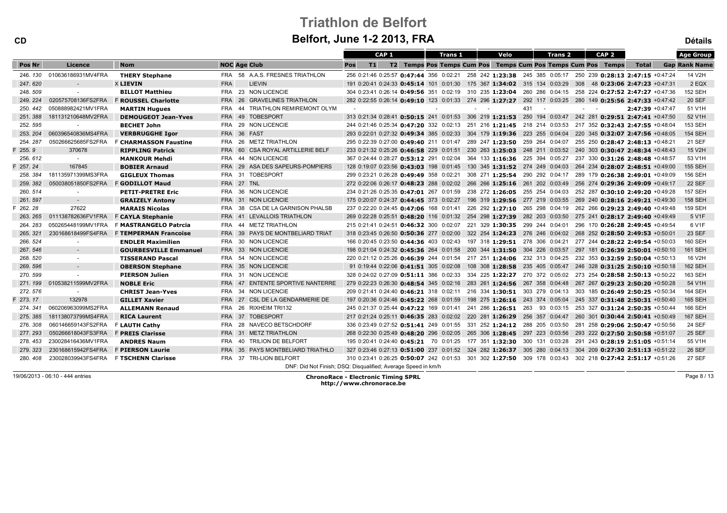# Triathlon de Belfort

| <b>Belfort, June 1-2 2013, FRA</b><br><b>CD</b> |                    |                              |                   |                                                               |                                                                                                                               |                  |  |  |                |  |                                                                  | <b>Détails</b> |            |                |     |                                  |  |                    |                      |
|-------------------------------------------------|--------------------|------------------------------|-------------------|---------------------------------------------------------------|-------------------------------------------------------------------------------------------------------------------------------|------------------|--|--|----------------|--|------------------------------------------------------------------|----------------|------------|----------------|-----|----------------------------------|--|--------------------|----------------------|
|                                                 |                    |                              |                   |                                                               |                                                                                                                               | CAP <sub>1</sub> |  |  | <b>Trans 1</b> |  | Velo                                                             |                |            | <b>Trans 2</b> |     | CAP <sub>2</sub>                 |  |                    | <b>Age Group</b>     |
| Pos Nr                                          | Licence            | <b>Nom</b>                   |                   | <b>NOC Age Club</b>                                           | Pos<br>T1                                                                                                                     |                  |  |  |                |  | T2 Temps Pos Temps Cum Pos Temps Cum Pos Temps Cum Pos Temps     |                |            |                |     |                                  |  | Total              | <b>Gap Rank Name</b> |
| 246.130                                         | 010636186931MV4FRA | <b>THERY Stephane</b>        |                   | FRA 58 A.A.S. FRESNES TRIATHLON                               | 256 0:21:46 0:25:57 0:47:44 356 0:02:21 258 242 1:23:38 245 385 0:05:17 250 239 0:28:13 2:47:15 +0:47:24                      |                  |  |  |                |  |                                                                  |                |            |                |     |                                  |  |                    | 14 V2H               |
| 247.620                                         | $\sim$             | <b>X LIEVIN</b>              | <b>FRA</b>        | <b>LIEVIN</b>                                                 | 191 0:20:41 0:24:33 0:45:14 101 0:01:30 175 367 1:34:02 315 134 0:03:29                                                       |                  |  |  |                |  |                                                                  |                |            |                | 308 | 48 0:23:06 2:47:23 +0:47:31      |  |                    | 2 EQX                |
| 248.509                                         |                    | <b>BILLOT Matthieu</b>       |                   | FRA 23 NON LICENCIE                                           | 304 0:23:41 0:26:14 0:49:56 351 0:02:19 310 235 1:23:04 260 286 0:04:15 258 224 0:27:52 2:47:27 +0:47:36                      |                  |  |  |                |  |                                                                  |                |            |                |     |                                  |  |                    | <b>152 SEH</b>       |
| 249.224                                         | 020575708136FS2FRA | <b>F ROUSSEL Charlotte</b>   | <b>FRA 26</b>     | <b>GRAVELINES TRIATHLON</b>                                   | 282 0:22:55 0:26:14 0:49:10 123 0:01:33 274 296 1:27:27 292 117 0:03:25 280 149 0:25:56 2:47:33 +0:47:42                      |                  |  |  |                |  |                                                                  |                |            |                |     |                                  |  |                    | <b>20 SEF</b>        |
| 250, 442                                        | 050888982421MV1FRA | <b>MARTIN Hugues</b>         | FRA               | TRIATHLON REMIREMONT OLYM<br>44                               | $\sim$ $-$                                                                                                                    |                  |  |  |                |  | $\sim 100$                                                       | 431            | $\sim$ $-$ |                |     | $\omega_{\rm{max}}=0.5$          |  | $2:47:39$ +0:47:47 | 51 V1H               |
| 251.388                                         | 181131210648MV2FRA | <b>DEMOUGEOT Jean-Yves</b>   | <b>FRA</b> 49     | <b>TOBESPORT</b>                                              | 313 0:21:34 0:28:41 0:50:15 241 0:01:53 306 219 1:21:53 250 194 0:03:47 242 281 0:29:51 2:47:41 +0:47:50                      |                  |  |  |                |  |                                                                  |                |            |                |     |                                  |  |                    | 52 V1H               |
| 252.595                                         | $\sim$             | <b>BECHET John</b>           | <b>FRA</b>        | 29<br>NON LICENCIE                                            | 244 0:21:46 0:25:34 0:47:20 332 0:02:13 251 216 1:21:45 218 214 0:03:53 217 352 0:32:43 2:47:55 +0:48:04                      |                  |  |  |                |  |                                                                  |                |            |                |     |                                  |  |                    | 153 SEH              |
| 253, 204                                        | 060396540836MS4FRA | <b>VERBRUGGHE Igor</b>       |                   | FRA 36 FAST                                                   | 293 0:22:01 0:27:32 0:49:34 385 0:02:33 304 179 1:19:36 223 255 0:04:04 220 345 0:32:07 2:47:56 +0:48:05                      |                  |  |  |                |  |                                                                  |                |            |                |     |                                  |  |                    | <b>154 SEH</b>       |
| 254.287                                         | 050266625685FS2FRA | <b>F CHARMASSON Faustine</b> | -26<br>FRA        | <b>METZ TRIATHLON</b>                                         | 295 0:22:39 0:27:00 0:49:40 211 0:01:47 289 247 1:23:50 259 264 0:04:07                                                       |                  |  |  |                |  |                                                                  |                |            |                |     | 255 250 0:28:47 2:48:13 +0:48:21 |  |                    | 21 SEF               |
| F 255.9                                         | 370678             | <b>RIPPLING Patrick</b>      | <b>FRA 60</b>     | CSA ROYAL ARTILLERIE BELF                                     | 233 0:21:32 0:25:26 0:46:58 229 0:01:51 230 263 1:25:03 248 211 0:03:52 240 303 0:30:47 2:48:34 +0:48:43                      |                  |  |  |                |  |                                                                  |                |            |                |     |                                  |  |                    | 15 V2H               |
| 256, 612                                        | $\sim$             | <b>MANKOUR Mehdi</b>         | <b>FRA</b><br>44  | <b>NON LICENCIE</b>                                           | 367 0:24:44 0:28:27 <b>0:53:12</b> 291 0:02:04 364 133 <b>1:16:36</b> 225 394 0:05:27                                         |                  |  |  |                |  |                                                                  |                |            |                |     | 237 330 0:31:26 2:48:48 +0:48:57 |  |                    | 53 V1H               |
| F 257.24                                        | 167845             | <b>BOBIER Arnaud</b>         | <b>FRA</b> 29     | ASA DES SAPEURS-POMPIERS                                      | 128 0:19:07 0:23:56 0:43:03 198 0:01:45 130 345 1:31:52 274 249 0:04:03 264 234 0:28:07 2:48:51 +0:49:00                      |                  |  |  |                |  |                                                                  |                |            |                |     |                                  |  |                    | <b>155 SEH</b>       |
| 258, 384                                        | 181135971399MS3FRA | <b>GIGLEUX Thomas</b>        |                   | FRA 31 TOBESPORT                                              | 299 0:23:21 0:26:28 0:49:49 358 0:02:21 308 271 1:25:54 290 292 0:04:17 289 179 0:26:38 2:49:01 +0:49:09                      |                  |  |  |                |  |                                                                  |                |            |                |     |                                  |  |                    | 156 SEH              |
| 259.382                                         | 050038051850FS2FRA | <b>F GODILLOT Maud</b>       | FRA 27 TNL        |                                                               | 272 0:22:06 0:26:17 0:48:23 288 0:02:02 266 266 1:25:16 261 202 0:03:49 256 274 0:29:36 2:49:09 +0:49:17                      |                  |  |  |                |  |                                                                  |                |            |                |     |                                  |  |                    | <b>22 SEF</b>        |
| 260.514                                         |                    | <b>PETIT-PRETRE Eric</b>     |                   | FRA 36 NON LICENCIE                                           | 234 0:21:26 0:25:35 0:47:01 267 0:01:59 238 272 1:26:05 255 254 0:04:03 252 287 0:30:10 2:49:20 +0:49:28                      |                  |  |  |                |  |                                                                  |                |            |                |     |                                  |  |                    | <b>157 SEH</b>       |
| 261.597                                         | $\sim$ $-$         | <b>GRAIZELY Antony</b>       |                   | FRA 31 NON LICENCIE                                           | 175 0:20:07 0:24:37 0:44:45 373 0:02:27 196 319 1:29:56 277 219 0:03:55 269 240 0:28:16 2:49:21 +0:49:30                      |                  |  |  |                |  |                                                                  |                |            |                |     |                                  |  |                    | <b>158 SEH</b>       |
| 262.28                                          | 27622              | <b>MARAIS Nicolas</b>        | <b>FRA</b><br>-38 | CSA DE LA GARNISON PHALSB                                     | 237 0:22:20 0:24:45 0:47:06 168 0:01:41                                                                                       |                  |  |  |                |  | 226 292 1:27:10 265 298 0:04:19 262 266 0:29:23 2:49:40 +0:49:48 |                |            |                |     |                                  |  |                    | <b>159 SEH</b>       |
| 263.265                                         | 011138782636FV1FRA | <b>F CAYLA Stephanie</b>     | <b>FRA 41</b>     | LEVALLOIS TRIATHLON                                           | 269 0:22:28 0:25:51 0:48:20 116 0:01:32 254 298 1:27:39 282 203 0:03:50                                                       |                  |  |  |                |  |                                                                  |                |            |                |     | 275 241 0:28:17 2:49:40 +0:49:49 |  |                    | 5 V1F                |
| 264, 283                                        | 050265448199MV1FRA | F MASTRANGELO Patrcia        | FRA<br>44         | <b>METZ TRIATHLON</b>                                         | 215 0:21:41 0:24:51 0:46:32 300 0:02:07 221 329 1:30:35 299 244 0:04:01                                                       |                  |  |  |                |  |                                                                  |                |            |                |     | 296 170 0:26:28 2:49:45 +0:49:54 |  |                    | 6 V1F                |
| 265, 321                                        | 230168618499FS4FRA | <b>F TEMPERMAN Francoise</b> | <b>FRA</b> 39     | PAYS DE MONTBELIARD TRIAT                                     | 318 0:23:45 0:26:50 0:50:36 277 0:02:00 322 254 1:24:23 276 246 0:04:02 268 252 0:28:50 2:49:53 +0:50:01                      |                  |  |  |                |  |                                                                  |                |            |                |     |                                  |  |                    | <b>23 SEF</b>        |
| 266.524                                         |                    | <b>ENDLER Maximilien</b>     |                   | FRA 30 NON LICENCIE                                           | 166 0:20:45 0:23:50 0:44:36 403 0:02:43 197 318 1:29:51 278 306 0:04:21                                                       |                  |  |  |                |  |                                                                  |                |            |                |     | 277 244 0:28:22 2:49:54 +0:50:03 |  |                    | <b>160 SEH</b>       |
| 267.546                                         | $\sim$             | <b>GOURBESVILLE Emmanuel</b> |                   | FRA 33 NON LICENCIE                                           | 198 0:21:04 0:24:32 0:45:36 264 0:01:58 200 344 1:31:50 304 226 0:03:57 297 181 0:26:39 2:50:01 +0:50:10                      |                  |  |  |                |  |                                                                  |                |            |                |     |                                  |  |                    | <b>161 SEH</b>       |
| 268.520                                         | $\sim$             | <b>TISSERAND Pascal</b>      |                   | FRA 54 NON LICENCIE                                           | 220 0:21:12 0:25:26 0:46:39 244 0:01:54 217 251 1:24:06 232 313 0:04:25 232 353 0:32:59 2:50:04 +0:50:13                      |                  |  |  |                |  |                                                                  |                |            |                |     |                                  |  |                    | 16 V2H               |
| 269.596                                         | $\sim$             | <b>OBERSON Stephane</b>      |                   | FRA 35 NON LICENCIE                                           | 91 0:19:44 0:22:06 0:41:51 305 0:02:08                                                                                        |                  |  |  |                |  | 108 308 1:28:58 235 405 0:05:47                                  |                |            |                |     | 246 328 0:31:25 2:50:10 +0:50:18 |  |                    | <b>162 SEH</b>       |
| 270.599                                         | $\sim$             | <b>PIERSON Julien</b>        | FRA               | 31 NON LICENCIE                                               | 328 0:24:02 0:27:09 0:51:11 386 0:02:33 334 225 1:22:27 270 372 0:05:02 273 254 0:28:58 2:50:13 +0:50:22                      |                  |  |  |                |  |                                                                  |                |            |                |     |                                  |  |                    | 163 SEH              |
| 271.199                                         | 010538211599MV2FRA | <b>NOBLE Eric</b>            | <b>FRA</b> 47     | <b>ENTENTE SPORTIVE NANTERRE</b>                              | 279 0:22:23 0:26:30 0:48:54 345 0:02:16 283 261 1:24:56 267 358 0:04:48 267 267 0:29:23 2:50:20 +0:50:28                      |                  |  |  |                |  |                                                                  |                |            |                |     |                                  |  |                    | 54 V1H               |
| 272.576                                         |                    | <b>CHRIST Jean-Yves</b>      |                   | FRA 34 NON LICENCIE                                           | 209 0:21:41 0:24:40 <b>0:46:21</b> 318 0:02:11 216 334 <b>1:30:51</b> 303 279 0:04:13 303 185 <b>0:26:49 2:50:25</b> +0:50:34 |                  |  |  |                |  |                                                                  |                |            |                |     |                                  |  |                    | 164 SEH              |
| F 273.17                                        | 132978             | <b>GILLET Xavier</b>         |                   | FRA 27 CSL DE LA GENDARMERIE DE                               | 197 0:20:36 0:24:46 0:45:22 268 0:01:59 198 275 1:26:16 243 374 0:05:04 245 337 0:31:48 2:50:31 +0:50:40                      |                  |  |  |                |  |                                                                  |                |            |                |     |                                  |  |                    | 165 SEH              |
| 274.341                                         | 060206963099MS2FRA | <b>ALLEMANN Renaud</b>       | 26<br>FRA         | <b>RIXHEIM TRI132</b>                                         | 245 0:21:37 0:25:44 0:47:22 169 0:01:41 241 286 1:26:51 263 93 0:03:15 253 327 0:31:24 2:50:35 +0:50:44                       |                  |  |  |                |  |                                                                  |                |            |                |     |                                  |  |                    | 166 SEH              |
| 275.385                                         | 181138073799MS4FRA | <b>RICA Laurent</b>          |                   | FRA 37 TOBESPORT                                              | 217 0:21:24 0:25:11 0:46:35 283 0:02:02 220 281 1:26:29 256 357 0:04:47 260 301 0:30:44 2:50:41 +0:50:49                      |                  |  |  |                |  |                                                                  |                |            |                |     |                                  |  |                    | <b>167 SEH</b>       |
| 276, 308                                        | 060146659143FS2FRA | F LAUTH Cathy                | FRA               | 28 NAVECO BETSCHDORF                                          | 336 0:23:49 0:27:52 0:51:41 249 0:01:55 331 252 1:24:12 288 205 0:03:50                                                       |                  |  |  |                |  |                                                                  |                |            |                |     | 281 258 0:29:06 2:50:47 +0:50:56 |  |                    | <b>24 SEF</b>        |
| 277, 293                                        | 050266618043FS3FRA | <b>F PREIS Clarisse</b>      |                   | FRA 31 METZ TRIATHLON                                         | 268 0:22:30 0:25:49 0:48:20 296 0:02:05 265 306 1:28:45 297 223 0:03:56 293 222 0:27:50 2:50:58 +0:51:07                      |                  |  |  |                |  |                                                                  |                |            |                |     |                                  |  |                    | <b>25 SEF</b>        |
| 278.453                                         | 230028416436MV1FRA | <b>ANDRES Naum</b>           |                   | FRA 40 TRILION DE BELFORT                                     | 195 0:20:41 0:24:40 0:45:21 70 0:01:25 177 351 1:32:30 300 131 0:03:28                                                        |                  |  |  |                |  |                                                                  |                |            |                |     | 291 243 0:28:19 2:51:05 +0:51:14 |  |                    | 55 V1H               |
| 279.323                                         | 230168615942FS4FRA | <b>F PIERSON Laurie</b>      | <b>FRA 35</b>     | PAYS MONTBELIARD TRIATHLO                                     | 327 0:23:46 0:27:13 0:51:00 237 0:01:52 324 282 1:26:37 305 280 0:04:13 304 209 0:27:30 2:51:13 +0:51:22                      |                  |  |  |                |  |                                                                  |                |            |                |     |                                  |  |                    | <b>26 SEF</b>        |
| 280, 408                                        | 230028039943FS4FRA | <b>F TSCHENN Clarisse</b>    |                   | FRA 37 TRI-LION BELFORT                                       | 310 0:23:41 0:26:25 0:50:07 242 0:01:53 301 302 1:27:50 309 178 0:03:43 302 218 0:27:42 2:51:17 +0:51:26                      |                  |  |  |                |  |                                                                  |                |            |                |     |                                  |  |                    | <b>27 SEF</b>        |
|                                                 |                    |                              |                   | DNF: Did Not Finish; DSQ: Disqualified; Average Speed in km/h |                                                                                                                               |                  |  |  |                |  |                                                                  |                |            |                |     |                                  |  |                    |                      |

19/06/2013 - 06:10 - 444 entries

ChronoRace - Electronic Timing SPRL http://www.chronorace.be

Page 8 / 13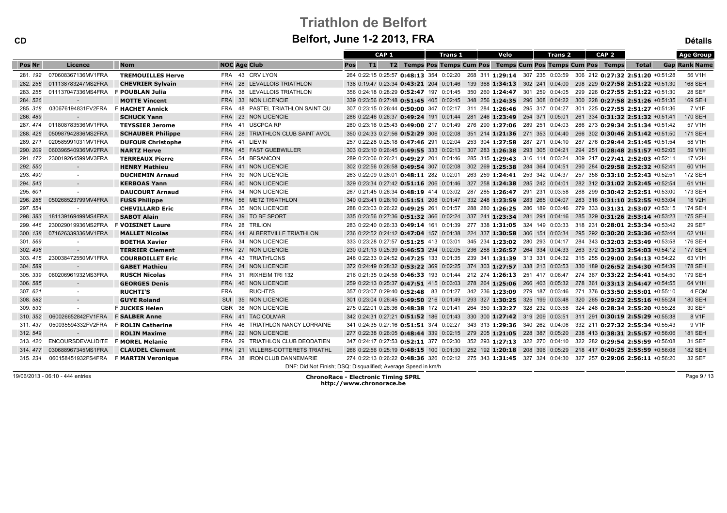# Triathlon de Belfort

CD

| <b>Belfort, June 1-2 2013, FRA</b><br><b>CD</b> |                    |                           |                                  |                                                                                                                |                      |  |  |  |  |  |  |  |
|-------------------------------------------------|--------------------|---------------------------|----------------------------------|----------------------------------------------------------------------------------------------------------------|----------------------|--|--|--|--|--|--|--|
|                                                 |                    |                           |                                  | CAP <sub>1</sub><br>Velo<br>CAP <sub>2</sub><br><b>Trans 1</b><br><b>Trans 2</b>                               | <b>Age Group</b>     |  |  |  |  |  |  |  |
| Pos Nr                                          | Licence            | <b>Nom</b>                | <b>NOC Age Club</b>              | T1 <br>T2 Temps Pos Temps Cum Pos Temps Cum Pos Temps Cum Pos Temps<br>Pos<br><b>Total</b>                     | <b>Gap Rank Name</b> |  |  |  |  |  |  |  |
| 281.192                                         | 070608367136MV1FRA | <b>TREMOUILLES Herve</b>  | FRA 43 CRV LYON                  | 264 0:22:15 0:25:57 0:48:13 354 0:02:20 268 311 1:29:14 307 235 0:03:59 306 212 0:27:32 2:51:20 +0:51:28       | 56 V1H               |  |  |  |  |  |  |  |
| 282.256                                         | 011138783247MS2FRA | <b>CHEVRIER Sylvain</b>   | FRA 28 LEVALLOIS TRIATHLON       | 138 0:19:47 0:23:34 0:43:21 204 0:01:46 139 368 1:34:13 302 241 0:04:00<br>298 229 0:27:58 2:51:22 +0:51:30    | <b>168 SEH</b>       |  |  |  |  |  |  |  |
| 283, 255                                        | 011137047336MS4FRA | <b>F POUBLAN Julia</b>    | FRA 38 LEVALLOIS TRIATHLON       | 356 0:24:18 0:28:29 0:52:47 197 0:01:45 350 260 1:24:47 301 259 0:04:05 299 226 0:27:55 2:51:22 +0:51:30       | <b>28 SEF</b>        |  |  |  |  |  |  |  |
| 284.526                                         | $\sim$             | <b>MOTTE Vincent</b>      | FRA 33 NON LICENCIE              | 339 0:23:56 0:27:48 0:51:45 405 0:02:45 348 256 1:24:35 296 308 0:04:22 300 228 0:27:58 2:51:26 +0:51:35       | <b>169 SEH</b>       |  |  |  |  |  |  |  |
| 285, 318                                        | 030676194831FV2FRA | <b>F HACHET Annick</b>    | FRA 48 PASTEL TRIATHLON SAINT QU | 307 0:23:15 0:26:44 0:50:00 347 0:02:17 311 284 1:26:46 295 317 0:04:27 301 225 0:27:55 2:51:27 +0:51:36       | 7 V1F                |  |  |  |  |  |  |  |
| 286, 489                                        | $\sim$             | <b>SCHUCK Yann</b>        | FRA 23 NON LICENCIE              | 286 0:22:46 0:26:37 0:49:24 191 0:01:44 281 246 1:23:49 254 371 0:05:01 261 334 0:31:32 2:51:32 +0:51:41       | <b>170 SEH</b>       |  |  |  |  |  |  |  |
| 287, 474                                        | 011808783536MV1FRA | <b>TEYSSIER Jerome</b>    | FRA 41 USCPCA RP                 | 280 0:23:16 0:25:43 0:49:00 217 0:01:49 276 290 1:27:06 289 251 0:04:03 286 273 0:29:34 2:51:34 +0:51:42       | 57 V1H               |  |  |  |  |  |  |  |
| 288.426                                         | 050987942836MS2FRA | <b>SCHAUBER Philippe</b>  | FRA 28 TRIATHLON CLUB SAINT AVOL | 350 0:24:33 0:27:56 0:52:29 306 0:02:08 351 214 1:21:36 271 353 0:04:40 266 302 0:30:46 2:51:42 +0:51:50       | <b>171 SEH</b>       |  |  |  |  |  |  |  |
| 289.271                                         | 020585991031MV1FRA | <b>DUFOUR Christophe</b>  | FRA 41 LIEVIN                    | 257 0:22:28 0:25:18 0:47:46 291 0:02:04 253 304 1:27:58 287 271 0:04:10 287 276 0:29:44 2:51:45 +0:51:54       | 58 V1H               |  |  |  |  |  |  |  |
| 290, 209                                        | 060396540936MV2FRA | <b>NARTZ Herve</b>        | FRA 45 FAST GUEBWILLER           | 303 0:23:10 0:26:45 0:49:55 333 0:02:13 307 283 1:26:38 293 305 0:04:21 294 251 0:28:48 2:51:57 +0:52:05       | 59 V1H               |  |  |  |  |  |  |  |
| 291.172                                         | 230019264599MV3FRA | <b>TERREAUX Pierre</b>    | FRA 54 BESANCON                  | 289 0:23:06 0:26:21 0:49:27 201 0:01:46 285 315 1:29:43 316 114 0:03:24 309 217 0:27:41 2:52:03 +0:52:11       | 17 V2H               |  |  |  |  |  |  |  |
| 292, 550                                        | ◆                  | <b>HENRY Mathieu</b>      | FRA 41 NON LICENCIE              | 302 0:22:56 0:26:58 0:49:54 307 0:02:08 302 269 1:25:38 284 364 0:04:51 290 284 0:29:58 2:52:32 +0:52:41       | 60 V1H               |  |  |  |  |  |  |  |
| 293.490                                         | $\sim$             | <b>DUCHEMIN Arnaud</b>    | FRA 39 NON LICENCIE              | 263 259 1:24:41 253 342 0:04:37 257 358 0:33:10 2:52:43 +0:52:51<br>263 0:22:09 0:26:01 0:48:11 282 0:02:01    | <b>172 SEH</b>       |  |  |  |  |  |  |  |
| 294.543                                         | $\sim$             | <b>KERBOAS Yann</b>       | FRA 40 NON LICENCIE              | 329 0:23:34 0:27:42 0:51:16 206 0:01:46 327 258 1:24:38 285 242 0:04:01 282 312 0:31:02 2:52:45 +0:52:54       | 61 V1H               |  |  |  |  |  |  |  |
| 295.601                                         |                    | <b>DAUCOURT Arnaud</b>    | FRA 34 NON LICENCIE              | 267 0:21:45 0:26:34 0:48:19 414 0:03:02 287 285 1:26:47 291 231 0:03:58 288 299 0:30:42 2:52:51 +0:53:00       | 173 SEH              |  |  |  |  |  |  |  |
| 296, 286                                        | 050268523799MV4FRA | <b>FUSS Philippe</b>      | FRA 56 METZ TRIATHLON            | 340 0:23:41 0:28:10 0:51:51 208 0:01:47 332 248 1:23:59 283 265 0:04:07<br>283 316 0:31:10 2:52:55 +0:53:04    | 18 V2H               |  |  |  |  |  |  |  |
| 297.554                                         |                    | <b>CHEVILLARD Eric</b>    | FRA 35 NON LICENCIE              | 288 0:23:03 0:26:22 0:49:25 261 0:01:57<br>288 280 1:26:25 286 189 0:03:46<br>279 333 0:31:31 2:53:07 +0:53:15 | <b>174 SEH</b>       |  |  |  |  |  |  |  |
| 298, 383                                        | 181139169499MS4FRA | <b>SABOT Alain</b>        | FRA 39 TO BE SPORT               | 335 0:23:56 0:27:36 0:51:32 366 0:02:24 337 241 1:23:34 281 291 0:04:16 285 329 0:31:26 2:53:14 +0:53:23       | <b>175 SEH</b>       |  |  |  |  |  |  |  |
| 299, 446                                        | 230029019936MS2FRA | <b>F VOISINET Laure</b>   | FRA 28 TRILION                   | 283 0:22:40 0:26:33 0:49:14 161 0:01:39 277 338 1:31:05 324 149 0:03:33 318 231 0:28:01 2:53:34 +0:53:42       | <b>29 SEF</b>        |  |  |  |  |  |  |  |
| 300.138                                         | 071626339336MV1FRA | <b>MALLET Nicolas</b>     | FRA 44 ALBERTVILLE TRIATHLON     | 236 0:22:52 0:24:12 0:47:04 157 0:01:38 224 337 1:30:58 306 151 0:03:34 295 292 0:30:20 2:53:36 +0:53:44       | 62 V1H               |  |  |  |  |  |  |  |
| 301.569                                         | $\sim$             | <b>BOETHA Xavier</b>      | FRA 34 NON LICENCIE              | 333 0:23:28 0:27:57 0:51:25 413 0:03:01 345 234 1:23:02 280 293 0:04:17 284 343 0:32:03 2:53:49 +0:53:58       | <b>176 SEH</b>       |  |  |  |  |  |  |  |
| 302.498                                         | $\sim$             | <b>TERRIER Clement</b>    | FRA 27 NON LICENCIE              | 236 288 1:26:57 264 334 0:04:33 263 372 0:33:33 2:54:03 +0:54:12<br>230 0:21:13 0:25:39 0:46:53 294 0:02:05    | <b>177 SEH</b>       |  |  |  |  |  |  |  |
| 303.415                                         | 230038472550MV1FRA | <b>COURBOILLET Eric</b>   | FRA 43 TRIATH'LONS               | 248 0:22:33 0:24:52 0:47:25 133 0:01:35 239 341 1:31:39 313 331 0:04:32 315 255 0:29:00 2:54:13 +0:54:22       | 63 V1H               |  |  |  |  |  |  |  |
| 304, 589                                        | $\sim$             | <b>GABET Mathieu</b>      | FRA 24 NON LICENCIE              | 372 0:24:49 0:28:32 0:53:22 369 0:02:25 374 303 1:27:57 338 213 0:03:53 330 189 0:26:52 2:54:30 +0:54:39       | <b>178 SEH</b>       |  |  |  |  |  |  |  |
| 305.339                                         | 060206961932MS3FRA | <b>RUSCH Nicolas</b>      | FRA 31 RIXHEIM TRI 132           | 216 0:21:35 0:24:58 0:46:33 193 0:01:44 212 274 1:26:13 251 417 0:06:47 274 367 0:33:22 2:54:41 +0:54:50       | 179 SEH              |  |  |  |  |  |  |  |
| 306, 585                                        | $\sim$             | <b>GEORGES Denis</b>      | FRA 46 NON LICENCIE              | 259 0:22:13 0:25:37 0:47:51 415 0:03:03 278 264 1:25:06 266 403 0:05:32 278 361 0:33:13 2:54:47 +0:54:55       | 64 V1H               |  |  |  |  |  |  |  |
| 307.621                                         | $\sim$             | <b>RUCHTI'S</b>           | <b>FRA</b><br><b>RUCHTI'S</b>    | 357 0:23:07 0:29:40 0:52:48 83 0:01:27 342 236 1:23:09 279 187 0:03:46 271 376 0:33:50 2:55:01 +0:55:10        | 4 EQM                |  |  |  |  |  |  |  |
| 308, 582                                        | $\sim$             | <b>GUYE Roland</b>        | SUI 35 NON LICENCIE              | 301 0:23:04 0:26:45 0:49:50 216 0:01:49 293 327 1:30:25 325 199 0:03:48 320 265 0:29:22 2:55:16 +0:55:24       | <b>180 SEH</b>       |  |  |  |  |  |  |  |
| 309, 533                                        | $\sim$             | <b>F JUCKES Helen</b>     | GBR 38 NON LICENCIE              | 275 0:22:01 0:26:36 0:48:38 172 0:01:41 264 350 1:32:27 328 232 0:03:58<br>324 248 0:28:34 2:55:20 +0:55:28    | 30 SEF               |  |  |  |  |  |  |  |
| 310.352                                         | 060026652842FV1FRA | <b>F SALBER Anne</b>      | FRA 41 TAC COLMAR                | 342 0:24:31 0:27:21 0:51:52 186 0:01:43 330 300 1:27:42 319 209 0:03:51 311 291 0:30:19 2:55:29 +0:55:38       | 8 V1F                |  |  |  |  |  |  |  |
| 311.437                                         | 050035594332FV2FRA | <b>F ROLIN Catherine</b>  | FRA 46 TRIATHLON NANCY LORRAINE  | 341 0:24:35 0:27:16 0:51:51 374 0:02:27 343 313 1:29:36 340 262 0:04:06<br>332 211 0:27:32 2:55:34 +0:55:43    | 9 V1F                |  |  |  |  |  |  |  |
| 312, 549                                        | $\sim$ $-$         | <b>ROLIN Maxime</b>       | FRA 22 NON LICENCIE              | 277 0:22:38 0:26:05 0:48:44 339 0:02:15 279 205 1:21:05 228 387 0:05:20 238 413 0:38:31 2:55:57 +0:56:06       | <b>181 SEH</b>       |  |  |  |  |  |  |  |
| 313, 420                                        | ENCOURSDEVALIDITE  | <b>F MOREL Melanie</b>    | FRA 29 TRIATHLON CLUB DEODATIEN  | 347 0:24:17 0:27:53 0:52:11 377 0:02:30 352 293 1:27:13 322 270 0:04:10 322 282 0:29:54 2:55:59 +0:56:08       | 31 SEF               |  |  |  |  |  |  |  |
| 314, 477                                        | 030688967345MS1FRA | <b>CLAUDEL Clement</b>    | FRA 21 VILLERS-COTTERETS TRIATHL | 266 0:22:56 0:25:19 0:48:15 100 0:01:30 252 192 1:20:18 208 396 0:05:29 218 417 0:40:25 2:55:59 +0:56:08       | <b>182 SEH</b>       |  |  |  |  |  |  |  |
| 315.234                                         | 060158451932FS4FRA | <b>F MARTIN Veronique</b> | FRA 38 IRON CLUB DANNEMARIE      | 274 0:22:13 0:26:22 0:48:36 326 0:02:12 275 343 1:31:45 327 324 0:04:30 327 257 0:29:06 2:56:11 +0:56:20       | 32 SEF               |  |  |  |  |  |  |  |
|                                                 |                    |                           |                                  | DNF: Did Not Finish; DSQ: Disqualified; Average Speed in km/h                                                  |                      |  |  |  |  |  |  |  |

19/06/2013 - 06:10 - 444 entries

ChronoRace - Electronic Timing SPRL http://www.chronorace.be

Page 9 / 13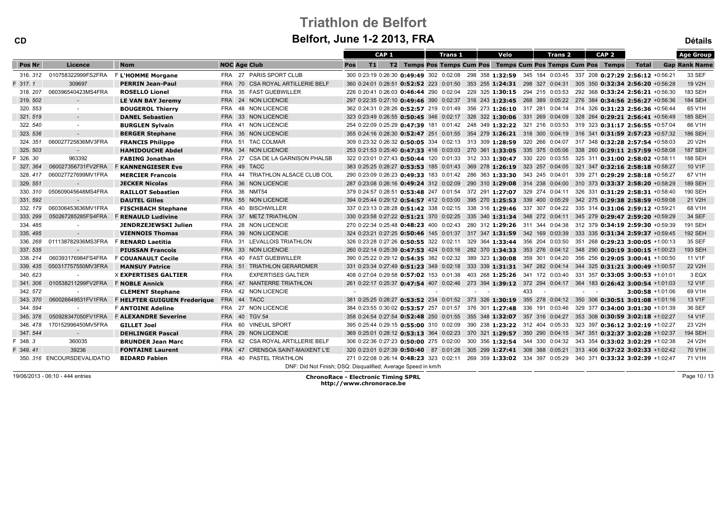| <b>CD</b>  |                             | Beltort, June 1-2 2013, FRA                                 |                     |  |                                                               |     |    |                  |  |  |                |  |                         |                                                                                                          |     | <b>Détails</b> |         |                              |                  |                    |                      |
|------------|-----------------------------|-------------------------------------------------------------|---------------------|--|---------------------------------------------------------------|-----|----|------------------|--|--|----------------|--|-------------------------|----------------------------------------------------------------------------------------------------------|-----|----------------|---------|------------------------------|------------------|--------------------|----------------------|
|            |                             |                                                             |                     |  |                                                               |     |    | CAP <sub>1</sub> |  |  | <b>Trans 1</b> |  |                         | Velo                                                                                                     |     |                | Trans 2 |                              | CAP <sub>2</sub> |                    | <b>Age Group</b>     |
| Pos Nr     | Licence                     | <b>Nom</b>                                                  | <b>NOC Age Club</b> |  |                                                               | Pos | T1 |                  |  |  |                |  |                         | T2 Temps Pos Temps Cum Pos Temps Cum Pos Temps Cum Pos Temps                                             |     |                |         |                              |                  | <b>Total</b>       | <b>Gap Rank Name</b> |
| 316, 312   | 010758322999FS2FRA          | F L'HOMME Morgane                                           |                     |  | FRA 27 PARIS SPORT CLUB                                       |     |    |                  |  |  |                |  |                         | 300 0:23:19 0:26:30 0:49:49 302 0:02:08 298 358 1:32:59 345 184 0:03:45 337 208 0:27:29 2:56:12 +0:56:21 |     |                |         |                              |                  |                    | 33 SEF               |
| $= 317.1$  | 309697                      | <b>PERRIN Jean-Paul</b>                                     |                     |  | FRA 70 CSA ROYAL ARTILLERIE BELF                              |     |    |                  |  |  |                |  |                         | 360 0:24:01 0:28:51 0:52:52 223 0:01:50 353 255 1:24:31 298 327 0:04:31 305 350 0:32:34 2:56:20 +0:56:28 |     |                |         |                              |                  |                    | 19 V2H               |
| 318, 207   | 060396540423MS4FRA          | <b>ROSELLO Lionel</b>                                       |                     |  | FRA 35 FAST GUEBWILLER                                        |     |    |                  |  |  |                |  |                         | 226 0:20:41 0:26:03 0:46:44 290 0:02:04 229 325 1:30:15 294 215 0:03:53 292 368 0:33:24 2:56:21 +0:56:30 |     |                |         |                              |                  |                    | 183 SEH              |
| 319.502    | $\sim$ $-$                  | <b>LE VAN BAY Jeremy</b>                                    |                     |  | FRA 24 NON LICENCIE                                           |     |    |                  |  |  |                |  |                         | 297 0:22:35 0:27:10 0:49:46 390 0:02:37 316 243 1:23:45 268 389 0:05:22 276 384 0:34:56 2:56:27 +0:56:36 |     |                |         |                              |                  |                    | <b>184 SEH</b>       |
| 320.553    | $\sim$                      | <b>BOUGEROL Thierry</b>                                     |                     |  | FRA 48 NON LICENCIE                                           |     |    |                  |  |  |                |  |                         | 362 0:24:31 0:28:26 0:52:57 219 0:01:49 356 273 1:26:10 317 281 0:04:14 314 326 0:31:23 2:56:36 +0:56:44 |     |                |         |                              |                  |                    | 65 V1H               |
| 321.519    | $\sim$                      | <b>DANEL Sebastien</b>                                      |                     |  | FRA 33 NON LICENCIE                                           |     |    |                  |  |  |                |  |                         | 323 0:23:49 0:26:55 0:50:45 346 0:02:17 326 322 1:30:06 331 269 0:04:09 328 264 0:29:21 2:56:41 +0:56:49 |     |                |         |                              |                  |                    | <b>185 SEH</b>       |
| 322.540    |                             | <b>BURGLEN Sylvain</b>                                      |                     |  | FRA 41 NON LICENCIE                                           |     |    |                  |  |  |                |  |                         | 254 0:22:09 0:25:29 0:47:39 181 0:01:42 248 349 1:32:22 321 216 0:03:53 319 323 0:31:17 2:56:55 +0:57:04 |     |                |         |                              |                  |                    | 66 V1H               |
| 323.536    | $\sim$ $-$                  | <b>BERGER Stephane</b>                                      |                     |  | FRA 35 NON LICENCIE                                           |     |    |                  |  |  |                |  |                         | 355 0:24:16 0:28:30 0:52:47 251 0:01:55 354 279 1:26:21 318 300 0:04:19 316 341 0:31:59 2:57:23 +0:57:32 |     |                |         |                              |                  |                    | <b>186 SEH</b>       |
| 324.351    | 060027725836MV3FRA          | <b>FRANCIS Philippe</b>                                     |                     |  | FRA 51 TAC COLMAR                                             |     |    |                  |  |  |                |  |                         | 309 0:23:32 0:26:32 0:50:05 334 0:02:13 313 309 1:28:59 320 266 0:04:07 317 348 0:32:28 2:57:54 +0:58:03 |     |                |         |                              |                  |                    | 20 V2H               |
| 325.503    | $\sim$                      | <b>HAMIDOUCHE Abdel</b>                                     |                     |  | FRA 34 NON LICENCIE                                           |     |    |                  |  |  |                |  |                         | 253 0:21:53 0:25:40 0:47:33 416 0:03:03 270 361 1:33:05 335 375 0:05:06 338 260 0:29:11 2:57:59 +0:58:08 |     |                |         |                              |                  |                    | <b>187 SEH</b>       |
| 326.30     | 963392                      | <b>FABING Jonathan</b>                                      |                     |  | FRA 27 CSA DE LA GARNISON PHALSB                              |     |    |                  |  |  |                |  |                         | 322 0:23:01 0:27:43 0:50:44 120 0:01:33 312 333 1:30:47 330 220 0:03:55 325 311 0:31:00 2:58:02 +0:58:11 |     |                |         |                              |                  |                    | <b>188 SEH</b>       |
| 327.364    | 060027356731FV2FRA          | <b>F KANNENGIESER Eve</b>                                   |                     |  | FRA 49 TACC                                                   |     |    |                  |  |  |                |  |                         | 383 0:25:25 0:28:27 0:53:53 185 0:01:43 369 278 1:26:19 323 257 0:04:05 321 347 0:32:16 2:58:18 +0:58:27 |     |                |         |                              |                  |                    | 10 V1F               |
| 328.417    | 060027727699MV1FRA          | <b>MERCIER Francois</b>                                     |                     |  | FRA 44 TRIATHLON ALSACE CLUB COL                              |     |    |                  |  |  |                |  |                         | 290 0:23:09 0:26:23 0:49:33 183 0:01:42 286 363 1:33:30 343 245 0:04:01 339 271 0:29:29 2:58:18 +0:58:27 |     |                |         |                              |                  |                    | 67 V1H               |
| 329.551    | $\sim$                      | <b>JECKER Nicolas</b>                                       |                     |  | FRA 36 NON LICENCIE                                           |     |    |                  |  |  |                |  |                         | 287 0:23:08 0:26:16 0:49:24 312 0:02:09 290 310 1:29:08 314 238 0:04:00 310 373 0:33:37 2:58:20 +0:58:29 |     |                |         |                              |                  |                    | <b>189 SEH</b>       |
| 330.310    | 050609045648MS4FRA          | <b>RAILLOT Sebastien</b>                                    |                     |  | FRA 36 NMT54                                                  |     |    |                  |  |  |                |  |                         | 379 0:24:57 0:28:51 0:53:48 247 0:01:54 372 291 1:27:07 329 274 0:04:11 326 331 0:31:29 2:58:31 +0:58:40 |     |                |         |                              |                  |                    | <b>190 SEH</b>       |
| 331.592    | $\sim$ $-$                  | <b>DAUTEL Gilles</b>                                        |                     |  | FRA 55 NON LICENCIE                                           |     |    |                  |  |  |                |  |                         | 394 0:25:44 0:29:12 0:54:57 412 0:03:00 395 270 1:25:53 339 400 0:05:29 342 275 0:29:38 2:58:59 +0:59:08 |     |                |         |                              |                  |                    | 21 V2H               |
| 332, 179   | 060306453636MV1FRA          | <b>FISCHBACH Stephane</b>                                   |                     |  | FRA 40 BISCHWILLER                                            |     |    |                  |  |  |                |  |                         | 337 0:23:13 0:28:28 0:51:42 338 0:02:15 338 316 1:29:46 337 307 0:04:22 335 314 0:31:06 2:59:12 +0:59:21 |     |                |         |                              |                  |                    | 68 V1H               |
| 333.299    | 050267285285FS4FRA          | <b>F RENAULD Ludivine</b>                                   |                     |  | FRA 37 METZ TRIATHLON                                         |     |    |                  |  |  |                |  |                         | 330 0:23:58 0:27:22 0:51:21 370 0:02:25 335 340 1:31:34 348 272 0:04:11 345 279 0:29:47 2:59:20 +0:59:29 |     |                |         |                              |                  |                    | 34 SEF               |
| 334.485    |                             | JENDRZEJEWSKI Julien                                        |                     |  | FRA 28 NON LICENCIE                                           |     |    |                  |  |  |                |  |                         | 270 0:22:34 0:25:48 0:48:23 400 0:02:43 280 312 1:29:26 311 344 0:04:38 312 379 0:34:19 2:59:30 +0:59:39 |     |                |         |                              |                  |                    | 191 SEH              |
| 335.495    | $\sim$ $-$                  | <b>VIENNOIS Thomas</b>                                      |                     |  | FRA 39 NON LICENCIE                                           |     |    |                  |  |  |                |  |                         | 324 0:23:21 0:27:25 0:50:46 145 0:01:37 317 347 1:31:59 342 169 0:03:39 333 335 0:31:34 2:59:37 +0:59:45 |     |                |         |                              |                  |                    | <b>192 SEH</b>       |
| 336, 268   | 011138782936MS3FRA          | F RENARD Laetitia                                           |                     |  | FRA 31 LEVALLOIS TRIATHLON                                    |     |    |                  |  |  |                |  |                         | 326 0:23:28 0:27:26 0:50:55 322 0:02:11 329 364 1:33:44 356 204 0:03:50 351 268 0:29:23 3:00:05 +1:00:13 |     |                |         |                              |                  |                    | 35 SEF               |
| 337.535    | $\sim 10^{-1}$              | <b>PIUSSAN Francois</b>                                     |                     |  | FRA 33 NON LICENCIE                                           |     |    |                  |  |  |                |  |                         | 260 0:22:14 0:25:39 0:47:53 424 0:03:16 282 370 1:34:33 353 276 0:04:12 348 290 0:30:19 3:00:15 +1:00:23 |     |                |         |                              |                  |                    | <b>193 SEH</b>       |
| 338, 214   | 060393176984FS4FRA          | <b>F COUANAULT Cecile</b>                                   |                     |  | FRA 40 FAST GUEBWILLER                                        |     |    |                  |  |  |                |  |                         | 390 0:25:22 0:29:12 0:54:35 382 0:02:32 389 323 1:30:08 359 301 0:04:20 356 256 0:29:05 3:00:41 +1:00:50 |     |                |         |                              |                  |                    | 11 V1F               |
| 339.435    | 050317757550MV3FRA          | <b>MANSUY Patrice</b>                                       |                     |  | FRA 51 TRIATHLON GERARDMER                                    |     |    |                  |  |  |                |  |                         | 331 0:23:34 0:27:49 0:51:23 349 0:02:18 333 339 1:31:31 347 282 0:04:14 344 325 0:31:21 3:00:49 +1:00:57 |     |                |         |                              |                  |                    | 22 V2H               |
| 340.623    |                             | <b>X EXPERTISES GALTIER</b>                                 | <b>FRA</b>          |  | <b>EXPERTISES GALTIER</b>                                     |     |    |                  |  |  |                |  |                         | 408 0:27:04 0:29:58 0:57:02 153 0:01:38 403 268 1:25:26 341 172 0:03:40 331 357 0:33:05 3:00:53 +1:01:01 |     |                |         |                              |                  |                    | 3 EQX                |
| 341.306    | 010538211299FV2FRA          | <b>F NOBLE Annick</b>                                       |                     |  | FRA 47 NANTERRE TRIATHLON                                     |     |    |                  |  |  |                |  |                         | 261 0:22:17 0:25:37 0:47:54 407 0:02:46 273 394 1:39:12 372 294 0:04:17 364 183 0:26:42 3:00:54 +1:01:03 |     |                |         |                              |                  |                    | 12 V1F               |
| 342.572    |                             | <b>CLEMENT Stephane</b>                                     |                     |  | FRA 42 NON LICENCIE                                           |     |    |                  |  |  |                |  | $\omega_{\rm{max}}=0.5$ |                                                                                                          | 433 | $\sim$ $-$     |         | $\sim$ 100 $\sim$ 100 $\sim$ |                  | $3:00:58 +1:01:06$ | 69 V1H               |
| 343.370    |                             | 060026649531FV1FRA F HELFTER GUIGUEN Frederique FRA 44 TACC |                     |  |                                                               |     |    |                  |  |  |                |  |                         | 381 0:25:25 0:28:27 0:53:52 234 0:01:52 373 326 1:30:19 355 278 0:04:12 350 306 0:30:51 3:01:08 +1:01:16 |     |                |         |                              |                  |                    | 13 V1F               |
| 344, 594   | $\sim$                      | <b>F ANTOINE Adeline</b>                                    |                     |  | FRA 27 NON LICENCIE                                           |     |    |                  |  |  |                |  |                         | 384 0:23:55 0:30:02 0:53:57 257 0:01:57 376 301 1:27:48 336 191 0:03:46 329 377 0:34:00 3:01:30 +1:01:39 |     |                |         |                              |                  |                    | 36 SEF               |
| 345.376    | 050928347050FV1FRA          | <b>F ALEXANDRE Severine</b>                                 |                     |  | FRA 40 TGV 54                                                 |     |    |                  |  |  |                |  |                         | 358 0:24:54 0:27:54 0:52:48 250 0:01:55 355 348 1:32:07 357 316 0:04:27 353 308 0:30:59 3:02:18 +1:02:27 |     |                |         |                              |                  |                    | 14 V1F               |
| 346.478    | 170152996450MV5FRA          | <b>GILLET Joel</b>                                          |                     |  | FRA 60 VINEUIL SPORT                                          |     |    |                  |  |  |                |  |                         | 395 0:25:44 0:29:15 0:55:00 310 0:02:09 390 238 1:23:22 312 404 0:05:33 323 397 0:36:12 3:02:19 +1:02:27 |     |                |         |                              |                  |                    | 23 V2H               |
| 347.544    | $\sim$ $-$                  | <b>DEHLINGER Pascal</b>                                     |                     |  | FRA 29 NON LICENCIE                                           |     |    |                  |  |  |                |  |                         | 369 0:25:01 0:28:12 0:53:13 364 0:02:23 370 321 1:29:57 350 290 0:04:15 347 351 0:32:37 3:02:28 +1:02:37 |     |                |         |                              |                  |                    | <b>194 SEH</b>       |
| $= 348.3$  | 360035                      | <b>BRUNDER Jean Marc</b>                                    |                     |  | FRA 62 CSA ROYAL ARTILLERIE BELF                              |     |    |                  |  |  |                |  |                         | 306 0:22:36 0:27:23 0:50:00 275 0:02:00 300 356 1:32:54 344 330 0:04:32 343 354 0:33:02 3:02:29 +1:02:38 |     |                |         |                              |                  |                    | 24 V2H               |
| $= 349.41$ | 39236                       | <b>FONTAINE Laurent</b>                                     |                     |  | FRA 47 CRENSOA SAINT-MAIXENT L'E                              |     |    |                  |  |  |                |  |                         | 320 0:23:01 0:27:39 0:50:40 87 0:01:28 305 299 1:27:41 308 388 0:05:21 313 406 0:37:22 3:02:33 +1:02:42  |     |                |         |                              |                  |                    | 70 V1H               |
|            | 350, 316 ENCOURSDEVALIDATIO | <b>BIDARD Fabien</b>                                        |                     |  | FRA 40 PASTEL TRIATHLON                                       |     |    |                  |  |  |                |  |                         | 271 0:22:08 0:26:14 0:48:23 323 0:02:11 269 359 1:33:02 334 397 0:05:29 340 371 0:33:32 3:02:39 +1:02:47 |     |                |         |                              |                  |                    | 71 V1H               |
|            |                             |                                                             |                     |  | DNF: Did Not Finish; DSQ: Disqualified; Average Speed in km/h |     |    |                  |  |  |                |  |                         |                                                                                                          |     |                |         |                              |                  |                    |                      |

19/06/2013 - 06:10 - 444 entries

ChronoRace - Electronic Timing SPRL http://www.chronorace.be

Page 10 / 13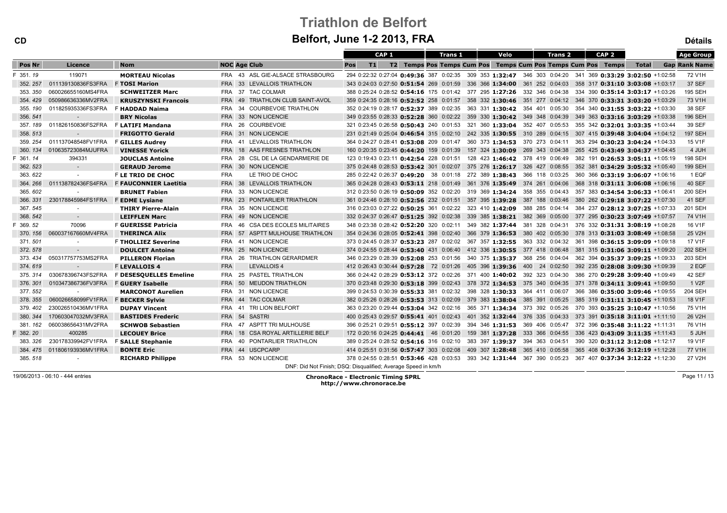| <b>CD</b>     |                    | Belfort, June 1-2 2013, FRA  |                     |                                                               |                                                                                                          |                  |  |  |                |  |      |  |                |                                                              | <b>Détails</b>                   |                      |
|---------------|--------------------|------------------------------|---------------------|---------------------------------------------------------------|----------------------------------------------------------------------------------------------------------|------------------|--|--|----------------|--|------|--|----------------|--------------------------------------------------------------|----------------------------------|----------------------|
|               |                    |                              |                     |                                                               |                                                                                                          | CAP <sub>1</sub> |  |  | <b>Trans 1</b> |  | Velo |  | <b>Trans 2</b> | CAP <sub>2</sub>                                             |                                  | <b>Age Group</b>     |
| <b>Pos Nr</b> | Licence            | <b>Nom</b>                   | <b>NOC Age Club</b> |                                                               | T1<br>Pos                                                                                                |                  |  |  |                |  |      |  |                | T2 Temps Pos Temps Cum Pos Temps Cum Pos Temps Cum Pos Temps | <b>Total</b>                     | <b>Gap Rank Name</b> |
| 351.19        | 119071             | <b>MORTEAU Nicolas</b>       |                     | FRA 43 ASL GIE-ALSACE STRASBOURG                              | 294 0:22:32 0:27:04 0:49:36 387 0:02:35 309 353 1:32:47 346 303 0:04:20 341 369 0:33:29 3:02:50 +1:02:58 |                  |  |  |                |  |      |  |                |                                                              |                                  | 72 V1H               |
| 352, 257      | 011139130836FS3FRA | <b>F TOSI Marion</b>         |                     | FRA 33 LEVALLOIS TRIATHLON                                    | 343 0:24:03 0:27:50 0:51:54 269 0:01:59 336 366 1:34:00 361 252 0:04:03                                  |                  |  |  |                |  |      |  |                |                                                              | 358 317 0:31:10 3:03:08 +1:03:17 | <b>37 SEF</b>        |
| 353.350       | 060026655160MS4FRA | <b>SCHWEITZER Marc</b>       |                     | FRA 37 TAC COLMAR                                             | 388 0:25:24 0:28:52 0:54:16 175 0:01:42 377 295 1:27:26 332 346 0:04:38 334 390 0:35:14 3:03:17 +1:03:26 |                  |  |  |                |  |      |  |                |                                                              |                                  | <b>195 SEH</b>       |
| 354.429       | 050986636336MV2FRA | <b>KRUSZYNSKI Francois</b>   |                     | FRA 49 TRIATHLON CLUB SAINT-AVOL                              | 359 0:24:35 0:28:16 0:52:52 258 0:01:57 358 332 1:30:46 351 277 0:04:12 346 370 0:33:31 3:03:20 +1:03:29 |                  |  |  |                |  |      |  |                |                                                              |                                  | 73 V1H               |
| 355.190       | 011825935336FS3FRA | F HADDAD Naima               |                     | FRA 34 COURBEVOIE TRIATHLON                                   | 352 0:24:19 0:28:17 0:52:37 389 0:02:35 363 331 1:30:42 354 401 0:05:30 354 340 0:31:55 3:03:22 +1:03:30 |                  |  |  |                |  |      |  |                |                                                              |                                  | 38 SEF               |
| 356.541       | $\sim$ $-$         | <b>BRY Nicolas</b>           |                     | FRA 33 NON LICENCIE                                           | 349 0:23:55 0:28:33 0:52:28 360 0:02:22 359 330 1:30:42 349 348 0:04:39                                  |                  |  |  |                |  |      |  |                |                                                              | 349 363 0:33:16 3:03:29 +1:03:38 | 196 SEH              |
| 357.189       | 011826150836FS2FRA | <b>F LATIFI Mandana</b>      |                     | FRA 26 COURBEVOIE                                             | 321 0:23:45 0:26:58 0:50:43 240 0:01:53 321 360 1:33:04 352 407 0:05:53                                  |                  |  |  |                |  |      |  |                |                                                              | 355 342 0:32:01 3:03:35 +1:03:44 | 39 SEF               |
| 358.513       | $\sim$             | <b>FRIGOTTO Gerald</b>       |                     | FRA 31 NON LICENCIE                                           | 231 0:21:49 0:25:04 0:46:54 315 0:02:10 242 335 1:30:55 310 289 0:04:15 307 415 0:39:48 3:04:04 +1:04:12 |                  |  |  |                |  |      |  |                |                                                              |                                  | <b>197 SEH</b>       |
| 359.254       | 011137048548FV1FRA | <b>F GILLES Audrey</b>       |                     | FRA 41 LEVALLOIS TRIATHLON                                    | 364 0:24:27 0:28:41 0:53:08 209 0:01:47 360 373 1:34:53 370 273 0:04:11 363 294 0:30:23 3:04:24 +1:04:33 |                  |  |  |                |  |      |  |                |                                                              |                                  | 15 V1F               |
| 360.134       | 010635723084MJUFRA | <b>VINESSE Yorick</b>        |                     | FRA 18 AAS FRESNES TRIATHLON                                  | 160 0:20:35 0:23:45 0:44:20 159 0:01:39 157 324 1:30:09 269 343 0:04:38 265 425 0:43:49 3:04:37 +1:04:45 |                  |  |  |                |  |      |  |                |                                                              |                                  | 4 JUH                |
| F 361.14      | 394331             | <b>JOUCLAS Antoine</b>       |                     | FRA 28 CSL DE LA GENDARMERIE DE                               | 123 0:19:43 0:23:11 0:42:54 228 0:01:51 128 423 1:46:42 378 419 0:06:49 382 191 0:26:53 3:05:11 +1:05:19 |                  |  |  |                |  |      |  |                |                                                              |                                  | <b>198 SEH</b>       |
| 362.523       | $\sim 100$         | <b>GERAUD Jerome</b>         |                     | FRA 30 NON LICENCIE                                           | 375 0:24:48 0:28:53 0:53:42 301 0:02:07 375 276 1:26:17 326 427 0:08:55 352 381 0:34:29 3:05:32 +1:05:40 |                  |  |  |                |  |      |  |                |                                                              |                                  | 199 SEH              |
| 363.622       |                    | F LE TRIO DE CHOC            | <b>FRA</b>          | LE TRIO DE CHOC                                               | 285 0:22:42 0:26:37 0:49:20 38 0:01:18 272 389 1:38:43 366 118 0:03:25                                   |                  |  |  |                |  |      |  |                |                                                              | 360 366 0:33:19 3:06:07 +1:06:16 | 1 EQF                |
| 364.266       | 011138782436FS4FRA | <b>F FAUCONNIER Laetitia</b> |                     | FRA 38 LEVALLOIS TRIATHLON                                    | 365 0:24:28 0:28:43 0:53:11 218 0:01:49 361 376 1:35:49 374 261 0:04:06                                  |                  |  |  |                |  |      |  |                |                                                              | 368 318 0:31:11 3:06:08 +1:06:16 | <b>40 SEF</b>        |
| 365.602       | $\sim$             | <b>BRUNET Fabien</b>         |                     | FRA 33 NON LICENCIE                                           | 312 0:23:50 0:26:19 0:50:09 352 0:02:20 319 369 1:34:24 358 355 0:04:43                                  |                  |  |  |                |  |      |  |                |                                                              | 357 383 0:34:54 3:06:33 +1:06:41 | 200 SEH              |
| 366.331       | 230178845984FS1FRA | <b>F EDME Lysiane</b>        |                     | FRA 23 PONTARLIER TRIATHLON                                   | 361 0:24:46 0:28:10 0:52:56 232 0:01:51 357 395 1:39:28 387 188 0:03:46 380 262 0:29:18 3:07:22 +1:07:30 |                  |  |  |                |  |      |  |                |                                                              |                                  | <b>41 SEF</b>        |
| 367.545       |                    | <b>THIRY Pierre-Alain</b>    |                     | FRA 35 NON LICENCIE                                           | 316 0:23:03 0:27:22 0:50:25 361 0:02:22 323 410 1:42:09 388 285 0:04:14 384 237 0:28:12 3:07:25 +1:07:33 |                  |  |  |                |  |      |  |                |                                                              |                                  | 201 SEH              |
| 368.542       | $\sim$             | <b>LEIFFLEN Marc</b>         |                     | FRA 49 NON LICENCIE                                           | 332 0:24:37 0:26:47 0:51:25 392 0:02:38 339 385 1:38:21 382 369 0:05:00                                  |                  |  |  |                |  |      |  |                |                                                              | 377 295 0:30:23 3:07:49 +1:07:57 | 74 V1H               |
| F 369.52      | 70096              | F GUERISSE Patricia          |                     | FRA 46 CSA DES ECOLES MILITAIRES                              | 348 0:23:38 0:28:42 0:52:20 320 0:02:11 349 382 1:37:44 381 328 0:04:31 376 332 0:31:31 3:08:19 +1:08:28 |                  |  |  |                |  |      |  |                |                                                              |                                  | 16 V1F               |
| 370.156       | 060037167660MV4FRA | <b>THERINCA Alix</b>         |                     | FRA 57 ASPTT MULHOUSE TRIATHLON                               | 354 0:24:36 0:28:05 0:52:41 398 0:02:40 366 379 1:36:53 380 402 0:05:30 378 313 0:31:03 3:08:49 +1:08:58 |                  |  |  |                |  |      |  |                |                                                              |                                  | 25 V2H               |
| 371, 501      |                    | <b>F THOLLIEZ Severine</b>   |                     | FRA 41 NON LICENCIE                                           | 373 0:24:45 0:28:37 0:53:23 287 0:02:02 367 357 1:32:55 363 332 0:04:32 361 398 0:36:15 3:09:09 +1:09:18 |                  |  |  |                |  |      |  |                |                                                              |                                  | 17 V1F               |
| 372.578       | $\sim$             | <b>DOULCET Antoine</b>       |                     | FRA 25 NON LICENCIE                                           | 374 0:24:55 0:28:44 0:53:40 431 0:06:40 412 336 1:30:55 377 418 0:06:48                                  |                  |  |  |                |  |      |  |                |                                                              | 381 315 0:31:06 3:09:11 +1:09:20 | <b>202 SEH</b>       |
| 373.434       | 050317757753MS2FRA | <b>PILLERON Florian</b>      |                     | FRA 26 TRIATHLON GERARDMER                                    | 346 0:23:29 0:28:39 0:52:08 253 0:01:56 340 375 1:35:37 368 256 0:04:04                                  |                  |  |  |                |  |      |  |                |                                                              | 362 394 0:35:37 3:09:25 +1:09:33 | 203 SEH              |
| 374.619       | $\sim$ $-$         | <b>F LEVALLOIS 4</b>         | <b>FRA</b>          | <b>LEVALLOIS 4</b>                                            | 412 0:26:43 0:30:44 0:57:28 72 0:01:26 405 396 1:39:36 400 24 0:02:50                                    |                  |  |  |                |  |      |  |                |                                                              | 392 235 0:28:08 3:09:30 +1:09:39 | 2 EQF                |
| 375.314       | 030678396743FS2FRA | F DESESQUELLES Emeline       |                     | FRA 25 PASTEL TRIATHLON                                       | 366 0:24:42 0:28:29 0:53:12 372 0:02:26 371 400 1:40:02 392 323 0:04:30 386 270 0:29:28 3:09:40 +1:09:49 |                  |  |  |                |  |      |  |                |                                                              |                                  | 42 SEF               |
| 376.301       | 010347386736FV3FRA | <b>F GUERY Isabelle</b>      |                     | FRA 50 MEUDON TRIATHLON                                       | 370 0:23:48 0:29:30 0:53:18 399 0:02:43 378 372 1:34:53 375 340 0:04:35 371 378 0:34:11 3:09:41 +1:09:50 |                  |  |  |                |  |      |  |                |                                                              |                                  | 1 V2F                |
| 377.552       |                    | <b>MARCONOT Aurelien</b>     |                     | FRA 31 NON LICENCIE                                           | 399 0:24:53 0:30:39 0:55:33 381 0:02:32 398 328 1:30:33 364 411 0:06:07 366 386 0:35:00 3:09:46 +1:09:55 |                  |  |  |                |  |      |  |                |                                                              |                                  | 204 SEH              |
| 378, 355      | 060026658099FV1FRA | <b>F BECKER Sylvie</b>       |                     | FRA 44 TAC COLMAR                                             | 382 0:25:26 0:28:26 0:53:53 313 0:02:09 379 383 1:38:04 385 391 0:05:25                                  |                  |  |  |                |  |      |  |                |                                                              | 385 319 0:31:11 3:10:45 +1:10:53 | 18 V1F               |
| 379.402       | 230026510436MV1FRA | <b>DUPAY Vincent</b>         |                     | FRA 41 TRI LION BELFORT                                       | 363 0:23:20 0:29:44 0:53:04 342 0:02:16 365 371 1:34:34 373 392 0:05:26                                  |                  |  |  |                |  |      |  |                |                                                              | 370 393 0:35:25 3:10:47 +1:10:56 | 75 V1H               |
| 380. 344      | 170603047032MV3FRA | <b>BASTIDES Frederic</b>     | FRA 54 SASTRI       |                                                               | 400 0:25:43 0:29:57 0:55:41 401 0:02:43 401 352 1:32:44 376 335 0:04:33                                  |                  |  |  |                |  |      |  |                |                                                              | 373 391 0:35:18 3:11:01 +1:11:10 | 26 V2H               |
| 381.162       | 060038656431MV2FRA | <b>SCHWOB Sebastien</b>      |                     | FRA 47 ASPTT TRI MULHOUSE                                     | 396 0:25:21 0:29:51 0:55:12 397 0:02:39 394 346 1:31:53 369 406 0:05:47                                  |                  |  |  |                |  |      |  |                |                                                              | 372 396 0:35:48 3:11:22 +1:11:31 | 76 V1H               |
| 382.20        | 400285             | <b>LECOUEY Brice</b>         |                     | FRA 18 CSA ROYAL ARTILLERIE BELF                              | 172 0:20:16 0:24:25 0:44:41 46 0:01:20 159 381 1:37:28 333 366 0:04:55                                   |                  |  |  |                |  |      |  |                |                                                              | 336 423 0:43:09 3:11:35 +1:11:43 | 5 JUH                |
| 383, 326      | 230178339942FV1FRA | <b>F SALLE Stephanie</b>     | FRA 40              | PONTARLIER TRIATHLON                                          | 389 0:25:24 0:28:52 0:54:16 316 0:02:10 383 397 1:39:37 394 363 0:04:51                                  |                  |  |  |                |  |      |  |                |                                                              | 390 320 0:31:12 3:12:08 +1:12:17 | 19 V1F               |
| 384.475       | 011806193936MV1FRA | <b>BONTE Eric</b>            |                     | FRA 44 USCPCARP                                               | 414 0:25:51 0:31:56 0:57:47 303 0:02:08 409 307 1:28:48 365 410 0:05:58 365 408 0:37:36 3:12:19 +1:12:28 |                  |  |  |                |  |      |  |                |                                                              |                                  | 77 V1H               |
| 385.518       |                    | <b>RICHARD Philippe</b>      |                     | FRA 53 NON LICENCIE                                           | 378 0:24:55 0:28:51 0:53:46 428 0:03:53 393 342 1:31:44 367 390 0:05:23                                  |                  |  |  |                |  |      |  |                |                                                              | 367 407 0:37:34 3:12:22 +1:12:30 | 27 V2H               |
|               |                    |                              |                     | DNF: Did Not Finish; DSQ: Disqualified; Average Speed in km/h |                                                                                                          |                  |  |  |                |  |      |  |                |                                                              |                                  |                      |

19/06/2013 - 06:10 - 444 entries

ChronoRace - Electronic Timing SPRL http://www.chronorace.be

Page 11 / 13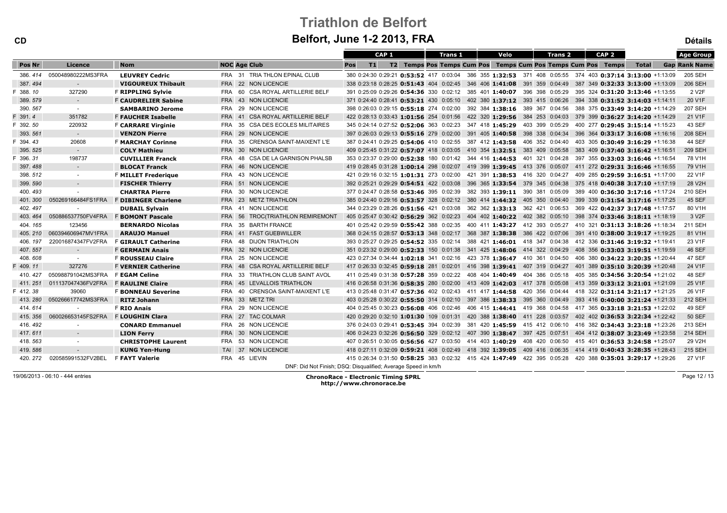CD

| <b>CD</b> |                    | Belfort, June 1-2 2013, FRA |                     |                                                               |     |    |                  |                                                                         |  |                |  |  |      |                | <b>Détails</b> |                  |                                                                                                          |                      |
|-----------|--------------------|-----------------------------|---------------------|---------------------------------------------------------------|-----|----|------------------|-------------------------------------------------------------------------|--|----------------|--|--|------|----------------|----------------|------------------|----------------------------------------------------------------------------------------------------------|----------------------|
|           |                    |                             |                     |                                                               |     |    | CAP <sub>1</sub> |                                                                         |  | <b>Trans 1</b> |  |  | Velo | <b>Trans 2</b> |                | CAP <sub>2</sub> |                                                                                                          | <b>Age Group</b>     |
| Pos Nr    | Licence            | <b>Nom</b>                  | <b>NOC Age Club</b> |                                                               | Pos | T1 |                  | T2 Temps Pos Temps Cum Pos Temps Cum Pos Temps Cum Pos Temps            |  |                |  |  |      |                |                |                  | <b>Total</b>                                                                                             | <b>Gap Rank Name</b> |
| 386.414   | 050048980222MS3FRA | <b>LEUVREY Cedric</b>       |                     | FRA 31 TRIA THLON EPINAL CLUB                                 |     |    |                  |                                                                         |  |                |  |  |      |                |                |                  | 380 0:24:30 0:29:21 0:53:52 417 0:03:04 386 355 1:32:53 371 408 0:05:55 374 403 0:37:14 3:13:00 +1:13:09 | 205 SEH              |
| 387.494   | $\sim$             | <b>VIGOUREUX Thibault</b>   |                     | FRA 22 NON LICENCIE                                           |     |    |                  |                                                                         |  |                |  |  |      |                |                |                  | 338 0:23:18 0:28:25 0:51:43 404 0:02:45 346 406 1:41:08 391 359 0:04:49 387 349 0:32:33 3:13:00 +1:13:09 | 206 SEH              |
| F 388.10  | 327290             | <b>F RIPPLING Sylvie</b>    |                     | FRA 60 CSA ROYAL ARTILLERIE BELF                              |     |    |                  | 391 0:25:09 0:29:26 0:54:36 330 0:02:12 385 401 1:40:07 396 398 0:05:29 |  |                |  |  |      |                |                |                  | 395 324 0:31:20 3:13:46 +1:13:55                                                                         | 2 V <sub>2</sub> F   |
| 389.579   | $\sim 100$         | <b>F CAUDRELIER Sabine</b>  |                     | FRA 43 NON LICENCIE                                           |     |    |                  | 371 0:24:40 0:28:41 0:53:21 430 0:05:10 402 380 1:37:12 393 415 0:06:26 |  |                |  |  |      |                |                |                  | 394 338 0:31:52 3:14:03 +1:14:11                                                                         | 20 V1F               |
| 390.567   | $\sim$ $-$         | <b>SAMBARINO Jerome</b>     |                     | FRA 29 NON LICENCIE                                           |     |    |                  | 398 0:26:03 0:29:15 0:55:18 274 0:02:00 392 384 1:38:16 389 367 0:04:56 |  |                |  |  |      |                |                |                  | 388 375 0:33:49 3:14:20 +1:14:29                                                                         | 207 SEH              |
| F 391.4   | 351782             | <b>F FAUCHER Isabelle</b>   | <b>FRA 41</b>       | CSA ROYAL ARTILLERIE BELF                                     |     |    |                  | 422 0:28:13 0:33:43 1:01:56 254 0:01:56 422 320 1:29:56 384 253 0:04:03 |  |                |  |  |      |                |                |                  | 379 399 0:36:27 3:14:20 +1:14:29                                                                         | 21 V1F               |
| F 392.50  | 220932             | <b>F CARRARE Virginie</b>   | FRA                 | 35 CSA DES ECOLES MILITAIRES                                  |     |    |                  | 345 0:24:14 0:27:52 0:52:06 363 0:02:23 347 418 1:45:29 403 399 0:05:29 |  |                |  |  |      |                |                |                  | 400 277 0:29:45 3:15:14 +1:15:23                                                                         | 43 SEF               |
| 393.561   | $\sim 100$         | <b>VENZON Pierre</b>        |                     | FRA 29 NON LICENCIE                                           |     |    |                  |                                                                         |  |                |  |  |      |                |                |                  | 397 0:26:03 0:29:13 0:55:16 279 0:02:00 391 405 1:40:58 398 338 0:04:34 396 364 0:33:17 3:16:08 +1:16:16 | 208 SEH              |
| F 394.43  | 20608              | <b>F MARCHAY Corinne</b>    |                     | FRA 35 CRENSOA SAINT-MAIXENT L'E                              |     |    |                  |                                                                         |  |                |  |  |      |                |                |                  | 387 0:24:41 0:29:25 0:54:06 410 0:02:55 387 412 1:43:58 406 352 0:04:40 403 305 0:30:49 3:16:29 +1:16:38 | <b>44 SEF</b>        |
| 395.525   | $\sim$ $-$         | <b>COLY Mathieu</b>         |                     | FRA 30 NON LICENCIE                                           |     |    |                  |                                                                         |  |                |  |  |      |                |                |                  | 409 0:25:45 0:31:22 0:57:07 418 0:03:05 410 354 1:32:51 383 409 0:05:58 383 409 0:37:40 3:16:42 +1:16:51 | 209 SEH              |
| F 396.31  | 198737             | <b>CUVILLIER Franck</b>     |                     | FRA 48 CSA DE LA GARNISON PHALSB                              |     |    |                  |                                                                         |  |                |  |  |      |                |                |                  | 353 0:23:37 0:29:00 0:52:38 180 0:01:42 344 416 1:44:53 401 321 0:04:28 397 355 0:33:03 3:16:46 +1:16:54 | 78 V1H               |
| 397.488   | $\sim 100$         | <b>BLOCAT Franck</b>        |                     | FRA 46 NON LICENCIE                                           |     |    |                  |                                                                         |  |                |  |  |      |                |                |                  | 419 0:28:45 0:31:28 1:00:14 298 0:02:07 419 399 1:39:45 413 376 0:05:07 411 272 0:29:31 3:16:46 +1:16:55 | 79 V1H               |
| 398.512   | $\sim$             | <b>F MILLET Frederique</b>  |                     | FRA 43 NON LICENCIE                                           |     |    |                  | 421 0:29:16 0:32:15 1:01:31 273 0:02:00 421 391 1:38:53 416 320 0:04:27 |  |                |  |  |      |                |                |                  | 409 285 0:29:59 3:16:51 +1:17:00                                                                         | 22 V1F               |
| 399.590   | $\sim 10$          | <b>FISCHER Thierry</b>      |                     | FRA 51 NON LICENCIE                                           |     |    |                  |                                                                         |  |                |  |  |      |                |                |                  | 392 0:25:21 0:29:29 0:54:51 422 0:03:08 396 365 1:33:54 379 345 0:04:38 375 418 0:40:38 3:17:10 +1:17:19 | 28 V2H               |
| 400.493   | $\sim$             | <b>CHARTRA Pierre</b>       |                     | FRA 30 NON LICENCIE                                           |     |    |                  | 377 0:24:47 0:28:58 0:53:46 395 0:02:39 382 393 1:39:11 390 381 0:05:09 |  |                |  |  |      |                |                |                  | 389 400 0:36:30 3:17:16 +1:17:24                                                                         | 210 SEH              |
| 401.300   | 050269166484FS1FRA | <b>F DIBINGER Charlene</b>  |                     | FRA 23 METZ TRIATHLON                                         |     |    |                  |                                                                         |  |                |  |  |      |                |                |                  | 385 0:24:40 0:29:16 0:53:57 328 0:02:12 380 414 1:44:32 405 350 0:04:40 399 339 0:31:54 3:17:16 +1:17:25 | 45 SEF               |
| 402.497   |                    | <b>DUBAIL Sylvain</b>       |                     | FRA 41 NON LICENCIE                                           |     |    |                  | 344 0:23:29 0:28:26 0:51:56 421 0:03:08 362 362 1:33:13 362 421 0:06:53 |  |                |  |  |      |                |                |                  | 369 422 0:42:37 3:17:48 +1:17:57                                                                         | 80 V1H               |
| 403.464   | 050886537750FV4FRA | <b>F BOMONT Pascale</b>     |                     | FRA 56 TROC(TRIATHLON REMIREMONT                              |     |    |                  |                                                                         |  |                |  |  |      |                |                |                  | 405 0:25:47 0:30:42 0:56:29 362 0:02:23 404 402 1:40:22 402 382 0:05:10 398 374 0:33:46 3:18:11 +1:18:19 | 3 V <sub>2</sub> F   |
| 404.165   | 123456             | <b>BERNARDO Nicolas</b>     |                     | FRA 35 BARTH FRANCE                                           |     |    |                  |                                                                         |  |                |  |  |      |                |                |                  | 401 0:25:42 0:29:59 0:55:42 388 0:02:35 400 411 1:43:27 412 393 0:05:27 410 321 0:31:13 3:18:26 +1:18:34 | 211 SEH              |
| 405.210   | 060394606947MV1FRA | <b>ARAUJO Manuel</b>        |                     | FRA 41 FAST GUEBWILLER                                        |     |    |                  | 368 0:24:15 0:28:57 0:53:13 348 0:02:17 368 387 1:38:38 386 422 0:07:06 |  |                |  |  |      |                |                |                  | 391 410 0:38:00 3:19:17 +1:19:25                                                                         | 81 V1H               |
| 406.197   | 220016874347FV2FRA | <b>F GIRAULT Catherine</b>  | FRA 48              | DIJON TRIATHLON                                               |     |    |                  |                                                                         |  |                |  |  |      |                |                |                  | 393 0:25:27 0:29:25 0:54:52 335 0:02:14 388 421 1:46:01 418 347 0:04:38 412 336 0:31:46 3:19:32 +1:19:41 | 23 V1F               |
| 407.557   | $\sim 10^{-1}$     | <b>F GERMAIN Anais</b>      |                     | FRA 32 NON LICENCIE                                           |     |    |                  | 351 0:23:32 0:29:00 0:52:33 150 0:01:38 341 425 1:48:06 414 322 0:04:29 |  |                |  |  |      |                |                |                  | 408 356 0:33:03 3:19:51 +1:19:59                                                                         | 46 SEF               |
| 408.608   | $\sim$             | <b>F ROUSSEAU Claire</b>    |                     | FRA 25 NON LICENCIE                                           |     |    |                  |                                                                         |  |                |  |  |      |                |                |                  | 423 0:27:34 0:34:44 1:02:18 341 0:02:16 423 378 1:36:47 410 361 0:04:50 406 380 0:34:22 3:20:35 +1:20:44 | 47 SEF               |
| F 409.11  | 327276             | <b>F VERNIER Catherine</b>  |                     | FRA 48 CSA ROYAL ARTILLERIE BELF                              |     |    |                  |                                                                         |  |                |  |  |      |                |                |                  | 417 0:26:33 0:32:45 0:59:18 281 0:02:01 416 398 1:39:41 407 319 0:04:27 401 389 0:35:10 3:20:39 +1:20:48 | 24 V1F               |
| 410, 427  | 050988791042MS3FRA | <b>F EGAM Celine</b>        |                     | FRA 33 TRIATHLON CLUB SAINT AVOL                              |     |    |                  |                                                                         |  |                |  |  |      |                |                |                  | 411 0:25:49 0:31:38 0:57:28 359 0:02:22 408 404 1:40:49 404 386 0:05:18 405 385 0:34:56 3:20:54 +1:21:02 | 48 SEF               |
| 411.251   | 011137047436FV2FRA | <b>F RAULINE Claire</b>     |                     | FRA 45 LEVALLOIS TRIATHLON                                    |     |    |                  |                                                                         |  |                |  |  |      |                |                |                  | 416 0:26:58 0:31:36 0:58:35 280 0:02:00 413 409 1:42:03 417 378 0:05:08 413 359 0:33:12 3:21:01 +1:21:09 | 25 V1F               |
| F 412.38  | 39060              | <b>F BONNEAU Severine</b>   |                     | FRA 40 CRENSOA SAINT-MAIXENT L'E                              |     |    |                  |                                                                         |  |                |  |  |      |                |                |                  | 413 0:25:48 0:31:47 0:57:36 402 0:02:43 411 417 1:44:58 420 356 0:04:44 418 322 0:31:14 3:21:17 +1:21:25 | 26 V1F               |
| 413.280   | 050266617742MS3FRA | <b>RITZ Johann</b>          |                     | FRA 33 METZ TRI                                               |     |    |                  | 403 0:25:28 0:30:22 0:55:50 314 0:02:10 397 386 1:38:33 395 360 0:04:49 |  |                |  |  |      |                |                |                  | 393 416 0:40:00 3:21:24 +1:21:33                                                                         | 212 SEH              |
| 414.614   | $\sim$             | <b>F RIO Anais</b>          |                     | FRA 29 NON LICENCIE                                           |     |    |                  | 404 0:25:45 0:30:23 0:56:08 406 0:02:46 406 415 1:44:41 419 368 0:04:58 |  |                |  |  |      |                |                |                  | 417 365 0:33:18 3:21:53 +1:22:02                                                                         | 49 SEF               |
| 415.356   | 060026653145FS2FRA | F LOUGHIN Clara             |                     | FRA 27 TAC COLMAR                                             |     |    |                  |                                                                         |  |                |  |  |      |                |                |                  | 420 0:29:20 0:32:10 1:01:30 109 0:01:31 420 388 1:38:40 411 228 0:03:57 402 402 0:36:53 3:22:34 +1:22:42 | <b>50 SEF</b>        |
| 416.492   | $\sim$             | <b>CONARD Emmanuel</b>      |                     | FRA 26 NON LICENCIE                                           |     |    |                  |                                                                         |  |                |  |  |      |                |                |                  | 376 0:24:03 0:29:41 0:53:45 394 0:02:39 381 420 1:45:59 415 412 0:06:10 416 382 0:34:43 3:23:18 +1:23:26 | 213 SEH              |
| 417.611   | $\sim$ $-$         | <b>LION Ferry</b>           |                     | FRA 30 NON LICENCIE                                           |     |    |                  |                                                                         |  |                |  |  |      |                |                |                  | 406 0:24:23 0:32:26 0:56:50 329 0:02:12 407 390 1:38:47 397 425 0:07:51 404 412 0:38:07 3:23:49 +1:23:58 | 214 SEH              |
| 418.563   |                    | <b>CHRISTOPHE Laurent</b>   |                     | FRA 53 NON LICENCIE                                           |     |    |                  |                                                                         |  |                |  |  |      |                |                |                  | 407 0:26:51 0:30:05 0:56:56 427 0:03:50 414 403 1:40:29 408 420 0:06:50 415 401 0:36:53 3:24:58 +1:25:07 | 29 V2H               |
| 419.586   | $\sim$ $-$         | <b>KUNG Yen-Hung</b>        |                     | TAI 37 NON LICENCIE                                           |     |    |                  |                                                                         |  |                |  |  |      |                |                |                  | 418 0:27:11 0:32:09 0:59:21 408 0:02:49 418 392 1:39:05 409 416 0:06:35 414 419 0:40:43 3:28:35 +1:28:43 | 215 SEH              |
| 420, 272  | 020585991532FV2BEL | <b>F FAYT Valerie</b>       | FRA 45 LIEVIN       |                                                               |     |    |                  |                                                                         |  |                |  |  |      |                |                |                  | 415 0:26:34 0:31:50 0:58:25 383 0:02:32 415 424 1:47:49 422 395 0:05:28 420 388 0:35:01 3:29:17 +1:29:26 | 27 V1F               |
|           |                    |                             |                     | DNF: Did Not Finish; DSQ: Disqualified; Average Speed in km/h |     |    |                  |                                                                         |  |                |  |  |      |                |                |                  |                                                                                                          |                      |

19/06/2013 - 06:10 - 444 entries

ChronoRace - Electronic Timing SPRL http://www.chronorace.be

Page 12 / 13